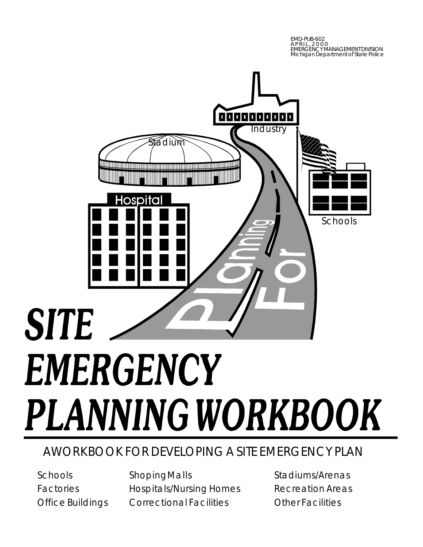EMD-PUB-602 APRIL,2000 EMERGENCY MANAGEMENT DIVISION Michigan Department of State Police



## AWORKBOOK FOR DEVELOPING A SITE EMERGENCY PLAN

Schools Factories Office Buildings ShopingMalls Hospitals/Nursing Homes Correctional Facilities

Stadiums/Arenas Recreation Areas Other Facilities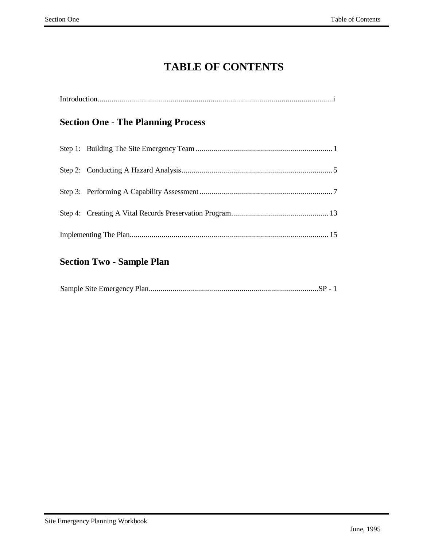## **TABLE OF CONTENTS**

|  | <b>Section One - The Planning Process</b> |  |  |  |
|--|-------------------------------------------|--|--|--|
|  |                                           |  |  |  |
|  |                                           |  |  |  |
|  |                                           |  |  |  |
|  |                                           |  |  |  |
|  |                                           |  |  |  |

## **Section Two - Sample Plan**

|--|--|--|--|--|--|--|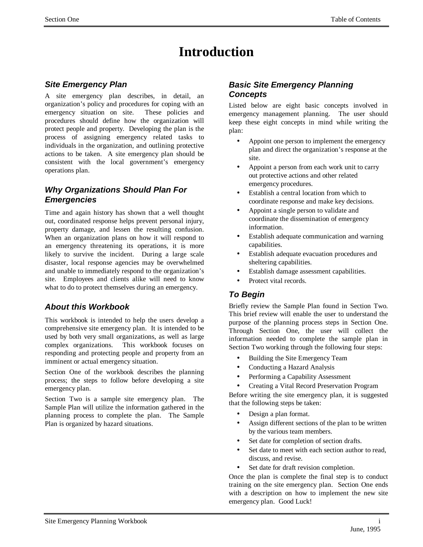## **Introduction**

## *Site Emergency Plan*

A site emergency plan describes, in detail, an organization's policy and procedures for coping with an emergency situation on site. These policies and procedures should define how the organization will protect people and property. Developing the plan is the process of assigning emergency related tasks to individuals in the organization, and outlining protective actions to be taken. A site emergency plan should be consistent with the local government's emergency operations plan.

## *Why Organizations Should Plan For Emergencies*

Time and again history has shown that a well thought out, coordinated response helps prevent personal injury, property damage, and lessen the resulting confusion. When an organization plans on how it will respond to an emergency threatening its operations, it is more likely to survive the incident. During a large scale disaster, local response agencies may be overwhelmed and unable to immediately respond to the organization's site. Employees and clients alike will need to know what to do to protect themselves during an emergency.

## *About this Workbook*

This workbook is intended to help the users develop a comprehensive site emergency plan. It is intended to be used by both very small organizations, as well as large complex organizations. This workbook focuses on responding and protecting people and property from an imminent or actual emergency situation.

Section One of the workbook describes the planning process; the steps to follow before developing a site emergency plan.

Section Two is a sample site emergency plan. The Sample Plan will utilize the information gathered in the planning process to complete the plan. The Sample Plan is organized by hazard situations.

## *Basic Site Emergency Planning Concepts*

Listed below are eight basic concepts involved in emergency management planning. The user should keep these eight concepts in mind while writing the plan:

- Appoint one person to implement the emergency plan and direct the organization's response at the site.
- Appoint a person from each work unit to carry out protective actions and other related emergency procedures.
- Establish a central location from which to coordinate response and make key decisions.
- Appoint a single person to validate and coordinate the dissemination of emergency information.
- Establish adequate communication and warning capabilities.
- Establish adequate evacuation procedures and sheltering capabilities.
- Establish damage assessment capabilities.
- Protect vital records.

## *To Begin*

Briefly review the Sample Plan found in Section Two. This brief review will enable the user to understand the purpose of the planning process steps in Section One. Through Section One, the user will collect the information needed to complete the sample plan in Section Two working through the following four steps:

- Building the Site Emergency Team
- Conducting a Hazard Analysis
- Performing a Capability Assessment
- Creating a Vital Record Preservation Program

Before writing the site emergency plan, it is suggested that the following steps be taken:

- Design a plan format.
- Assign different sections of the plan to be written by the various team members.
- Set date for completion of section drafts.
- Set date to meet with each section author to read. discuss, and revise.
- Set date for draft revision completion.

Once the plan is complete the final step is to conduct training on the site emergency plan. Section One ends with a description on how to implement the new site emergency plan. Good Luck!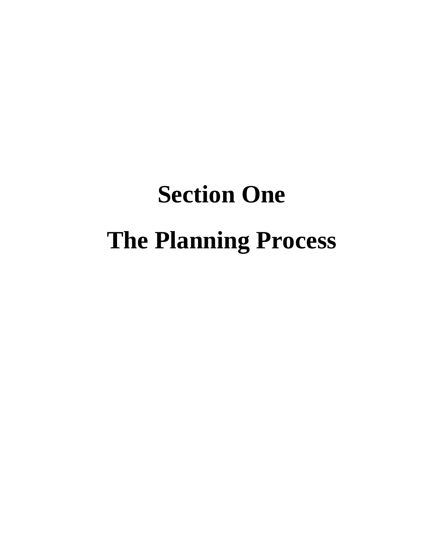# **Section One The Planning Process**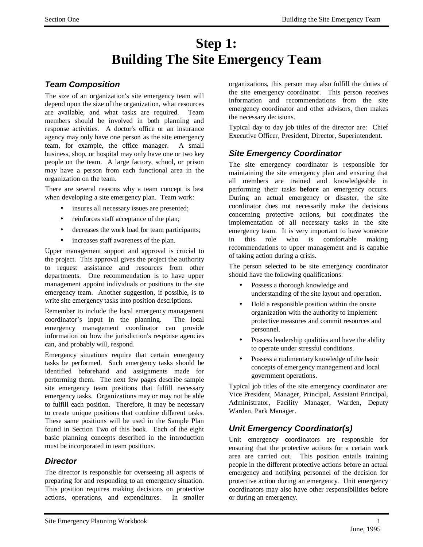## **Step 1: Building The Site Emergency Team**

## *Team Composition*

The size of an organization's site emergency team will depend upon the size of the organization, what resources are available, and what tasks are required. Team members should be involved in both planning and response activities. A doctor's office or an insurance agency may only have one person as the site emergency team, for example, the office manager. A small business, shop, or hospital may only have one or two key people on the team. A large factory, school, or prison may have a person from each functional area in the organization on the team.

There are several reasons why a team concept is best when developing a site emergency plan. Team work:

- insures all necessary issues are presented;
- reinforces staff acceptance of the plan;
- decreases the work load for team participants;
- increases staff awareness of the plan.

Upper management support and approval is crucial to the project. This approval gives the project the authority to request assistance and resources from other departments. One recommendation is to have upper management appoint individuals or positions to the site emergency team. Another suggestion, if possible, is to write site emergency tasks into position descriptions.

Remember to include the local emergency management coordinator's input in the planning. The local emergency management coordinator can provide information on how the jurisdiction's response agencies can, and probably will, respond.

Emergency situations require that certain emergency tasks be performed. Such emergency tasks should be identified beforehand and assignments made for performing them. The next few pages describe sample site emergency team positions that fulfill necessary emergency tasks. Organizations may or may not be able to fulfill each position. Therefore, it may be necessary to create unique positions that combine different tasks. These same positions will be used in the Sample Plan found in Section Two of this book. Each of the eight basic planning concepts described in the introduction must be incorporated in team positions.

## *Director*

The director is responsible for overseeing all aspects of preparing for and responding to an emergency situation. This position requires making decisions on protective actions, operations, and expenditures. In smaller

organizations, this person may also fulfill the duties of the site emergency coordinator. This person receives information and recommendations from the site emergency coordinator and other advisors, then makes the necessary decisions.

Typical day to day job titles of the director are: Chief Executive Officer, President, Director, Superintendent.

## *Site Emergency Coordinator*

The site emergency coordinator is responsible for maintaining the site emergency plan and ensuring that all members are trained and knowledgeable in performing their tasks **before** an emergency occurs. During an actual emergency or disaster, the site coordinator does not necessarily make the decisions concerning protective actions, but coordinates the implementation of all necessary tasks in the site emergency team. It is very important to have someone in this role who is comfortable making recommendations to upper management and is capable of taking action during a crisis.

The person selected to be site emergency coordinator should have the following qualifications:

- Possess a thorough knowledge and understanding of the site layout and operation.
- Hold a responsible position within the onsite organization with the authority to implement protective measures and commit resources and personnel.
- Possess leadership qualities and have the ability to operate under stressful conditions.
- Possess a rudimentary knowledge of the basic concepts of emergency management and local government operations.

Typical job titles of the site emergency coordinator are: Vice President, Manager, Principal, Assistant Principal, Administrator, Facility Manager, Warden, Deputy Warden, Park Manager.

## *Unit Emergency Coordinator(s)*

Unit emergency coordinators are responsible for ensuring that the protective actions for a certain work area are carried out. This position entails training people in the different protective actions before an actual emergency and notifying personnel of the decision for protective action during an emergency. Unit emergency coordinators may also have other responsibilities before or during an emergency.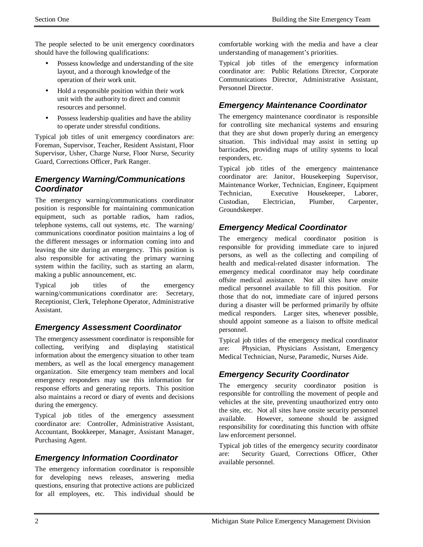The people selected to be unit emergency coordinators should have the following qualifications:

- Possess knowledge and understanding of the site layout, and a thorough knowledge of the operation of their work unit.
- Hold a responsible position within their work unit with the authority to direct and commit resources and personnel.
- Possess leadership qualities and have the ability to operate under stressful conditions.

Typical job titles of unit emergency coordinators are: Foreman, Supervisor, Teacher, Resident Assistant, Floor Supervisor, Usher, Charge Nurse, Floor Nurse, Security Guard, Corrections Officer, Park Ranger.

## *Emergency Warning/Communications Coordinator*

The emergency warning/communications coordinator position is responsible for maintaining communication equipment, such as portable radios, ham radios, telephone systems, call out systems, etc. The warning/ communications coordinator position maintains a log of the different messages or information coming into and leaving the site during an emergency. This position is also responsible for activating the primary warning system within the facility, such as starting an alarm, making a public announcement, etc.

Typical job titles of the emergency warning/communications coordinator are: Secretary, Receptionist, Clerk, Telephone Operator, Administrative Assistant.

## *Emergency Assessment Coordinator*

The emergency assessment coordinator is responsible for collecting, verifying and displaying statistical information about the emergency situation to other team members, as well as the local emergency management organization. Site emergency team members and local emergency responders may use this information for response efforts and generating reports. This position also maintains a record or diary of events and decisions during the emergency.

Typical job titles of the emergency assessment coordinator are: Controller, Administrative Assistant, Accountant, Bookkeeper, Manager, Assistant Manager, Purchasing Agent.

## *Emergency Information Coordinator*

The emergency information coordinator is responsible for developing news releases, answering media questions, ensuring that protective actions are publicized for all employees, etc. This individual should be

comfortable working with the media and have a clear understanding of management's priorities.

Typical job titles of the emergency information coordinator are: Public Relations Director, Corporate Communications Director, Administrative Assistant, Personnel Director.

## *Emergency Maintenance Coordinator*

The emergency maintenance coordinator is responsible for controlling site mechanical systems and ensuring that they are shut down properly during an emergency situation. This individual may assist in setting up barricades, providing maps of utility systems to local responders, etc.

Typical job titles of the emergency maintenance coordinator are: Janitor, Housekeeping Supervisor, Maintenance Worker, Technician, Engineer, Equipment Technician, Executive Housekeeper, Laborer, Custodian, Electrician, Plumber, Carpenter, Groundskeeper.

## *Emergency Medical Coordinator*

The emergency medical coordinator position is responsible for providing immediate care to injured persons, as well as the collecting and compiling of health and medical-related disaster information. The emergency medical coordinator may help coordinate offsite medical assistance. Not all sites have onsite medical personnel available to fill this position. For those that do not, immediate care of injured persons during a disaster will be performed primarily by offsite medical responders. Larger sites, whenever possible, should appoint someone as a liaison to offsite medical personnel.

Typical job titles of the emergency medical coordinator are: Physician, Physicians Assistant, Emergency Medical Technician, Nurse, Paramedic, Nurses Aide.

## *Emergency Security Coordinator*

The emergency security coordinator position is responsible for controlling the movement of people and vehicles at the site, preventing unauthorized entry onto the site, etc. Not all sites have onsite security personnel available. However, someone should be assigned responsibility for coordinating this function with offsite law enforcement personnel.

Typical job titles of the emergency security coordinator are: Security Guard, Corrections Officer, Other available personnel.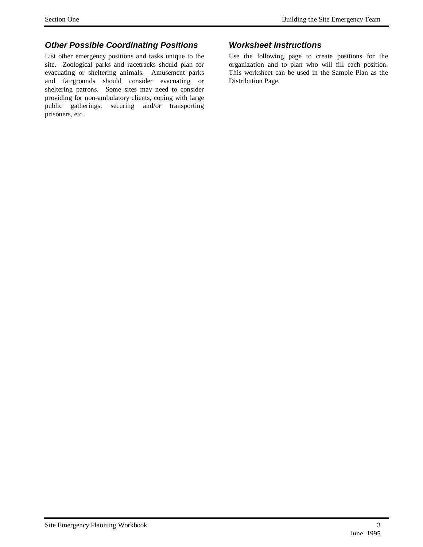## *Other Possible Coordinating Positions*

List other emergency positions and tasks unique to the site. Zoological parks and racetracks should plan for evacuating or sheltering animals. Amusement parks and fairgrounds should consider evacuating or sheltering patrons. Some sites may need to consider providing for non-ambulatory clients, coping with large public gatherings, securing and/or transporting prisoners, etc.

## *Worksheet Instructions*

Use the following page to create positions for the organization and to plan who will fill each position. This worksheet can be used in the Sample Plan as the Distribution Page.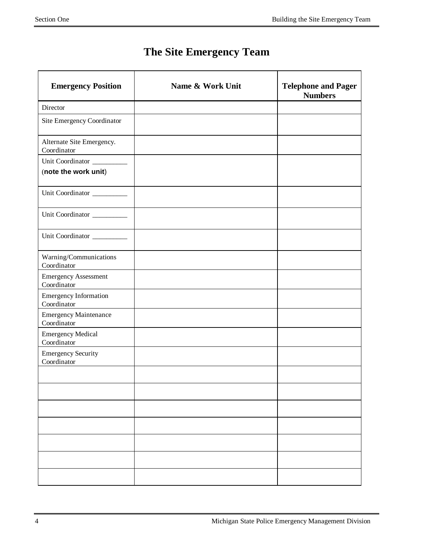## **The Site Emergency Team**

| <b>Emergency Position</b>                   | Name & Work Unit | <b>Telephone and Pager</b><br><b>Numbers</b> |
|---------------------------------------------|------------------|----------------------------------------------|
| Director                                    |                  |                                              |
| Site Emergency Coordinator                  |                  |                                              |
| Alternate Site Emergency.<br>Coordinator    |                  |                                              |
| Unit Coordinator                            |                  |                                              |
| (note the work unit)                        |                  |                                              |
| Unit Coordinator                            |                  |                                              |
| Unit Coordinator                            |                  |                                              |
| Unit Coordinator                            |                  |                                              |
| Warning/Communications<br>Coordinator       |                  |                                              |
| <b>Emergency Assessment</b><br>Coordinator  |                  |                                              |
| <b>Emergency Information</b><br>Coordinator |                  |                                              |
| <b>Emergency Maintenance</b><br>Coordinator |                  |                                              |
| <b>Emergency Medical</b><br>Coordinator     |                  |                                              |
| <b>Emergency Security</b><br>Coordinator    |                  |                                              |
|                                             |                  |                                              |
|                                             |                  |                                              |
|                                             |                  |                                              |
|                                             |                  |                                              |
|                                             |                  |                                              |
|                                             |                  |                                              |
|                                             |                  |                                              |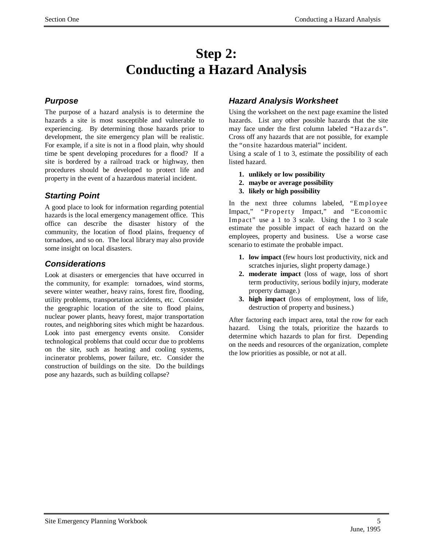## **Step 2: Conducting a Hazard Analysis**

## *Purpose*

The purpose of a hazard analysis is to determine the hazards a site is most susceptible and vulnerable to experiencing. By determining those hazards prior to development, the site emergency plan will be realistic. For example, if a site is not in a flood plain, why should time be spent developing procedures for a flood? If a site is bordered by a railroad track or highway, then procedures should be developed to protect life and property in the event of a hazardous material incident.

## *Starting Point*

A good place to look for information regarding potential hazards is the local emergency management office. This office can describe the disaster history of the community, the location of flood plains, frequency of tornadoes, and so on. The local library may also provide some insight on local disasters.

## *Considerations*

Look at disasters or emergencies that have occurred in the community, for example: tornadoes, wind storms, severe winter weather, heavy rains, forest fire, flooding, utility problems, transportation accidents, etc. Consider the geographic location of the site to flood plains, nuclear power plants, heavy forest, major transportation routes, and neighboring sites which might be hazardous. Look into past emergency events onsite. Consider technological problems that could occur due to problems on the site, such as heating and cooling systems, incinerator problems, power failure, etc. Consider the construction of buildings on the site. Do the buildings pose any hazards, such as building collapse?

## *Hazard Analysis Worksheet*

Using the worksheet on the next page examine the listed hazards. List any other possible hazards that the site may face under the first column labeled "Hazards". Cross off any hazards that are not possible, for example the "onsite hazardous material" incident.

Using a scale of 1 to 3, estimate the possibility of each listed hazard.

- **1. unlikely or low possibility**
- **2. maybe or average possibility**
- **3. likely or high possibility**

In the next three columns labeled, "Employee Impact," "Property Impact," and "Economic Impact" use a 1 to 3 scale. Using the 1 to 3 scale estimate the possible impact of each hazard on the employees, property and business. Use a worse case scenario to estimate the probable impact.

- **1. low impact** (few hours lost productivity, nick and scratches injuries, slight property damage.)
- **2. moderate impact** (loss of wage, loss of short term productivity, serious bodily injury, moderate property damage.)
- **3. high impact** (loss of employment, loss of life, destruction of property and business.)

After factoring each impact area, total the row for each hazard. Using the totals, prioritize the hazards to determine which hazards to plan for first. Depending on the needs and resources of the organization, complete the low priorities as possible, or not at all.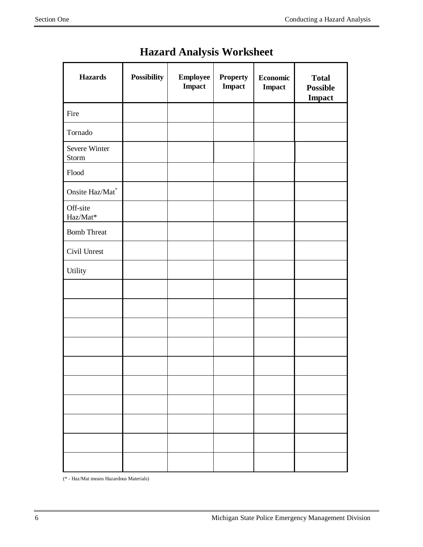| <b>Hazards</b>         | <b>Possibility</b> | <b>Employee</b><br><b>Impact</b> | <b>Property</b><br><b>Impact</b> | <b>Economic</b><br><b>Impact</b> | <b>Total</b><br><b>Possible</b><br><b>Impact</b> |
|------------------------|--------------------|----------------------------------|----------------------------------|----------------------------------|--------------------------------------------------|
| Fire                   |                    |                                  |                                  |                                  |                                                  |
| Tornado                |                    |                                  |                                  |                                  |                                                  |
| Severe Winter<br>Storm |                    |                                  |                                  |                                  |                                                  |
| Flood                  |                    |                                  |                                  |                                  |                                                  |
| Onsite Haz/Mat*        |                    |                                  |                                  |                                  |                                                  |
| Off-site<br>Haz/Mat*   |                    |                                  |                                  |                                  |                                                  |
| <b>Bomb Threat</b>     |                    |                                  |                                  |                                  |                                                  |
| Civil Unrest           |                    |                                  |                                  |                                  |                                                  |
| Utility                |                    |                                  |                                  |                                  |                                                  |
|                        |                    |                                  |                                  |                                  |                                                  |
|                        |                    |                                  |                                  |                                  |                                                  |
|                        |                    |                                  |                                  |                                  |                                                  |
|                        |                    |                                  |                                  |                                  |                                                  |
|                        |                    |                                  |                                  |                                  |                                                  |
|                        |                    |                                  |                                  |                                  |                                                  |
|                        |                    |                                  |                                  |                                  |                                                  |
|                        |                    |                                  |                                  |                                  |                                                  |
|                        |                    |                                  |                                  |                                  |                                                  |
|                        |                    |                                  |                                  |                                  |                                                  |

## **Hazard Analysis Worksheet**

(\* - Haz/Mat means Hazardous Materials)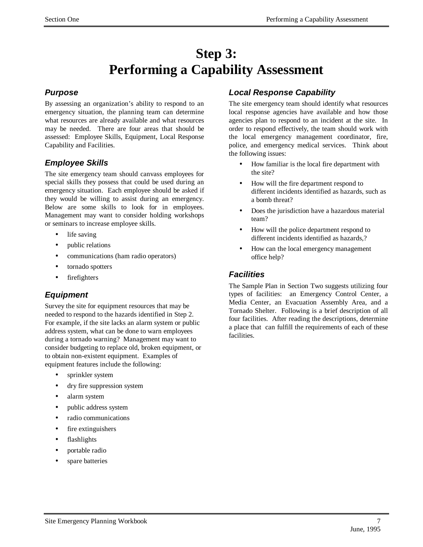## **Step 3: Performing a Capability Assessment**

## *Purpose*

By assessing an organization's ability to respond to an emergency situation, the planning team can determine what resources are already available and what resources may be needed. There are four areas that should be assessed: Employee Skills, Equipment, Local Response Capability and Facilities.

## *Employee Skills*

The site emergency team should canvass employees for special skills they possess that could be used during an emergency situation. Each employee should be asked if they would be willing to assist during an emergency. Below are some skills to look for in employees. Management may want to consider holding workshops or seminars to increase employee skills.

- life saving
- public relations
- communications (ham radio operators)
- tornado spotters
- firefighters

## *Equipment*

Survey the site for equipment resources that may be needed to respond to the hazards identified in Step 2. For example, if the site lacks an alarm system or public address system, what can be done to warn employees during a tornado warning? Management may want to consider budgeting to replace old, broken equipment, or to obtain non-existent equipment. Examples of equipment features include the following:

- sprinkler system
- dry fire suppression system
- alarm system
- public address system
- radio communications
- fire extinguishers
- flashlights
- portable radio
- spare batteries

## *Local Response Capability*

The site emergency team should identify what resources local response agencies have available and how those agencies plan to respond to an incident at the site. In order to respond effectively, the team should work with the local emergency management coordinator, fire, police, and emergency medical services. Think about the following issues:

- How familiar is the local fire department with the site?
- How will the fire department respond to different incidents identified as hazards, such as a bomb threat?
- Does the jurisdiction have a hazardous material team?
- How will the police department respond to different incidents identified as hazards,?
- How can the local emergency management office help?

## *Facilities*

The Sample Plan in Section Two suggests utilizing four types of facilities: an Emergency Control Center, a Media Center, an Evacuation Assembly Area, and a Tornado Shelter. Following is a brief description of all four facilities. After reading the descriptions, determine a place that can fulfill the requirements of each of these facilities.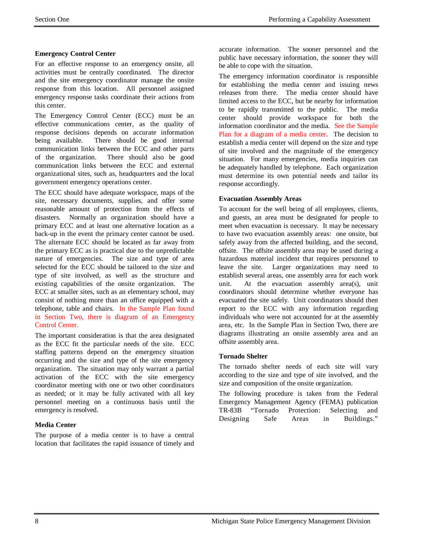#### **Emergency Control Center**

For an effective response to an emergency onsite, all activities must be centrally coordinated. The director and the site emergency coordinator manage the onsite response from this location. All personnel assigned emergency response tasks coordinate their actions from this center.

The Emergency Control Center (ECC) must be an effective communications center, as the quality of response decisions depends on accurate information being available. There should be good internal communication links between the ECC and other parts of the organization. There should also be good communication links between the ECC and external organizational sites, such as, headquarters and the local government emergency operations center.

The ECC should have adequate workspace, maps of the site, necessary documents, supplies, and offer some reasonable amount of protection from the effects of disasters. Normally an organization should have a primary ECC and at least one alternative location as a back-up in the event the primary center cannot be used. The alternate ECC should be located as far away from the primary ECC as is practical due to the unpredictable nature of emergencies. The size and type of area selected for the ECC should be tailored to the size and type of site involved, as well as the structure and existing capabilities of the onsite organization. The ECC at smaller sites, such as an elementary school, may consist of nothing more than an office equipped with a telephone, table and chairs. In the Sample Plan found in Section Two, there is diagram of an Emergency Control Center.

The important consideration is that the area designated as the ECC fit the particular needs of the site. ECC staffing patterns depend on the emergency situation occurring and the size and type of the site emergency organization. The situation may only warrant a partial activation of the ECC with the site emergency coordinator meeting with one or two other coordinators as needed; or it may be fully activated with all key personnel meeting on a continuous basis until the emergency is resolved.

#### **Media Center**

The purpose of a media center is to have a central location that facilitates the rapid issuance of timely and accurate information. The sooner personnel and the public have necessary information, the sooner they will be able to cope with the situation.

The emergency information coordinator is responsible for establishing the media center and issuing news releases from there. The media center should have limited access to the ECC, but be nearby for information to be rapidly transmitted to the public. The media center should provide workspace for both the information coordinator and the media. See the Sample Plan for a diagram of a media center. The decision to establish a media center will depend on the size and type of site involved and the magnitude of the emergency situation. For many emergencies, media inquiries can be adequately handled by telephone. Each organization must determine its own potential needs and tailor its response accordingly.

#### **Evacuation Assembly Areas**

To account for the well being of all employees, clients, and guests, an area must be designated for people to meet when evacuation is necessary. It may be necessary to have two evacuation assembly areas: one onsite, but safely away from the affected building, and the second, offsite. The offsite assembly area may be used during a hazardous material incident that requires personnel to leave the site. Larger organizations may need to establish several areas, one assembly area for each work unit. At the evacuation assembly area(s), unit coordinators should determine whether everyone has evacuated the site safely. Unit coordinators should then report to the ECC with any information regarding individuals who were not accounted for at the assembly area, etc. In the Sample Plan in Section Two, there are diagrams illustrating an onsite assembly area and an offsite assembly area.

#### **Tornado Shelter**

The tornado shelter needs of each site will vary according to the size and type of site involved, and the size and composition of the onsite organization.

The following procedure is taken from the Federal Emergency Management Agency (FEMA) publication TR-83B "Tornado Protection: Selecting and Designing Safe Areas in Buildings."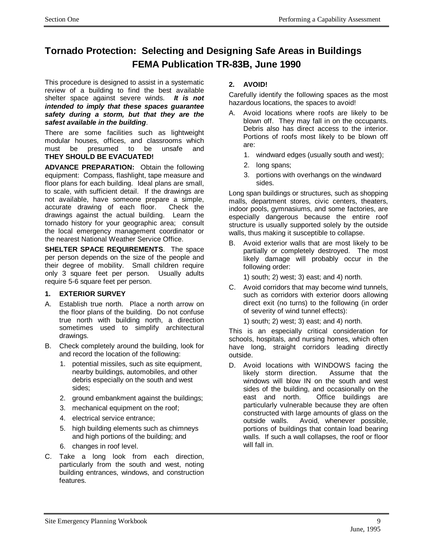## **Tornado Protection: Selecting and Designing Safe Areas in Buildings FEMA Publication TR-83B, June 1990**

This procedure is designed to assist in a systematic review of a building to find the best available shelter space against severe winds. *It is not intended to imply that these spaces guarantee safety during a storm, but that they are the safest available in the building*.

There are some facilities such as lightweight modular houses, offices, and classrooms which must be presumed to be unsafe and **THEY SHOULD BE EVACUATED!**

**ADVANCE PREPARATION:** Obtain the following equipment: Compass, flashlight, tape measure and floor plans for each building. Ideal plans are small, to scale, with sufficient detail. If the drawings are not available, have someone prepare a simple, accurate drawing of each floor. Check the drawings against the actual building. Learn the tornado history for your geographic area; consult the local emergency management coordinator or the nearest National Weather Service Office.

**SHELTER SPACE REQUIREMENTS**. The space per person depends on the size of the people and their degree of mobility. Small children require only 3 square feet per person. Usually adults require 5-6 square feet per person.

#### **1. EXTERIOR SURVEY**

- A. Establish true north. Place a north arrow on the floor plans of the building. Do not confuse true north with building north, a direction sometimes used to simplify architectural drawings.
- B. Check completely around the building, look for and record the location of the following:
	- 1. potential missiles, such as site equipment, nearby buildings, automobiles, and other debris especially on the south and west sides;
	- 2. ground embankment against the buildings;
	- 3. mechanical equipment on the roof;
	- 4. electrical service entrance;
	- 5. high building elements such as chimneys and high portions of the building; and
	- 6. changes in roof level.
- C. Take a long look from each direction, particularly from the south and west, noting building entrances, windows, and construction features.

#### **2. AVOID!**

Carefully identify the following spaces as the most hazardous locations, the spaces to avoid!

- A. Avoid locations where roofs are likely to be blown off. They may fall in on the occupants. Debris also has direct access to the interior. Portions of roofs most likely to be blown off are:
	- 1. windward edges (usually south and west);
	- 2. long spans;
	- 3. portions with overhangs on the windward sides.

Long span buildings or structures, such as shopping malls, department stores, civic centers, theaters, indoor pools, gymnasiums, and some factories, are especially dangerous because the entire roof structure is usually supported solely by the outside walls, thus making it susceptible to collapse.

B. Avoid exterior walls that are most likely to be partially or completely destroyed. The most likely damage will probably occur in the following order:

1) south; 2) west; 3) east; and 4) north.

C. Avoid corridors that may become wind tunnels, such as corridors with exterior doors allowing direct exit (no turns) to the following (in order of severity of wind tunnel effects):

1) south; 2) west; 3) east; and 4) north.

This is an especially critical consideration for schools, hospitals, and nursing homes, which often have long, straight corridors leading directly outside.

D. Avoid locations with WINDOWS facing the likely storm direction. Assume that the windows will blow IN on the south and west sides of the building, and occasionally on the east and north. Office buildings are particularly vulnerable because they are often constructed with large amounts of glass on the outside walls. Avoid, whenever possible, portions of buildings that contain load bearing walls. If such a wall collapses, the roof or floor will fall in.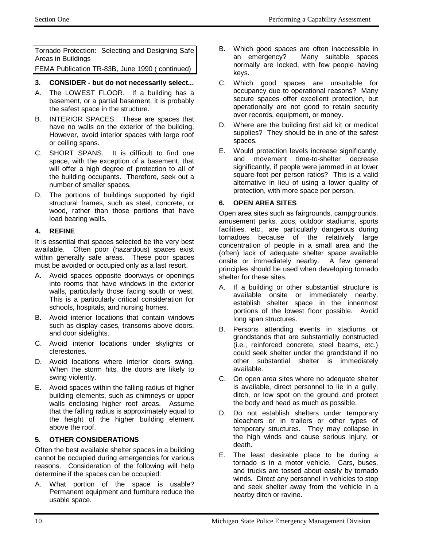Tornado Protection: Selecting and Designing Safe Areas in Buildings FEMA Publication TR-83B, June 1990 ( continued)

#### **3. CONSIDER - but do not necessarily select...**

- A. The LOWEST FLOOR. If a building has a basement, or a partial basement, it is probably the safest space in the structure.
- B. INTERIOR SPACES. These are spaces that have no walls on the exterior of the building. However, avoid interior spaces with large roof or ceiling spans.
- C. SHORT SPANS. It is difficult to find one space, with the exception of a basement, that will offer a high degree of protection to all of the building occupants. Therefore, seek out a number of smaller spaces.
- D. The portions of buildings supported by rigid structural frames, such as steel, concrete, or wood, rather than those portions that have load bearing walls.

#### **4. REFINE**

It is essential that spaces selected be the very best available. Often poor (hazardous) spaces exist within generally safe areas. These poor spaces must be avoided or occupied only as a last resort.

- A. Avoid spaces opposite doorways or openings into rooms that have windows in the exterior walls, particularly those facing south or west. This is a particularly critical consideration for schools, hospitals, and nursing homes.
- B. Avoid interior locations that contain windows such as display cases, transoms above doors, and door sidelights.
- C. Avoid interior locations under skylights or clerestories.
- D. Avoid locations where interior doors swing. When the storm hits, the doors are likely to swing violently.
- E. Avoid spaces within the falling radius of higher building elements, such as chimneys or upper walls enclosing higher roof areas. Assume that the falling radius is approximately equal to the height of the higher building element above the roof.

#### **5. OTHER CONSIDERATIONS**

Often the best available shelter spaces in a building cannot be occupied during emergencies for various reasons. Consideration of the following will help determine if the spaces can be occupied:

A. What portion of the space is usable? Permanent equipment and furniture reduce the usable space.

- B. Which good spaces are often inaccessible in an emergency? Many suitable spaces normally are locked, with few people having keys.
- C. Which good spaces are unsuitable for occupancy due to operational reasons? Many secure spaces offer excellent protection, but operationally are not good to retain security over records, equipment, or money.
- D. Where are the building first aid kit or medical supplies? They should be in one of the safest spaces.
- E. Would protection levels increase significantly, and movement time-to-shelter decrease significantly, if people were jammed in at lower square-foot per person ratios? This is a valid alternative in lieu of using a lower quality of protection, with more space per person.

#### **6. OPEN AREA SITES**

Open area sites such as fairgrounds, campgrounds, amusement parks, zoos, outdoor stadiums, sports facilities, etc., are particularly dangerous during tornadoes because of the relatively large concentration of people in a small area and the (often) lack of adequate shelter space available onsite or immediately nearby. A few general principles should be used when developing tornado shelter for these sites.

- A. If a building or other substantial structure is available onsite or immediately nearby, establish shelter space in the innermost portions of the lowest floor possible. Avoid long span structures.
- B. Persons attending events in stadiums or grandstands that are substantially constructed (i.e., reinforced concrete, steel beams, etc.) could seek shelter under the grandstand if no other substantial shelter is immediately available.
- C. On open area sites where no adequate shelter is available, direct personnel to lie in a gully, ditch, or low spot on the ground and protect the body and head as much as possible.
- D. Do not establish shelters under temporary bleachers or in trailers or other types of temporary structures. They may collapse in the high winds and cause serious injury, or death.
- E. The least desirable place to be during a tornado is in a motor vehicle. Cars, buses, and trucks are tossed about easily by tornado winds. Direct any personnel in vehicles to stop and seek shelter away from the vehicle in a nearby ditch or ravine.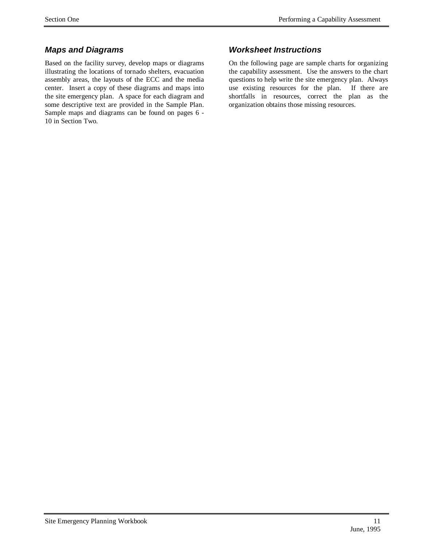## *Maps and Diagrams*

Based on the facility survey, develop maps or diagrams illustrating the locations of tornado shelters, evacuation assembly areas, the layouts of the ECC and the media center. Insert a copy of these diagrams and maps into the site emergency plan. A space for each diagram and some descriptive text are provided in the Sample Plan. Sample maps and diagrams can be found on pages 6 - 10 in Section Two.

## *Worksheet Instructions*

On the following page are sample charts for organizing the capability assessment. Use the answers to the chart questions to help write the site emergency plan. Always use existing resources for the plan. If there are shortfalls in resources, correct the plan as the organization obtains those missing resources.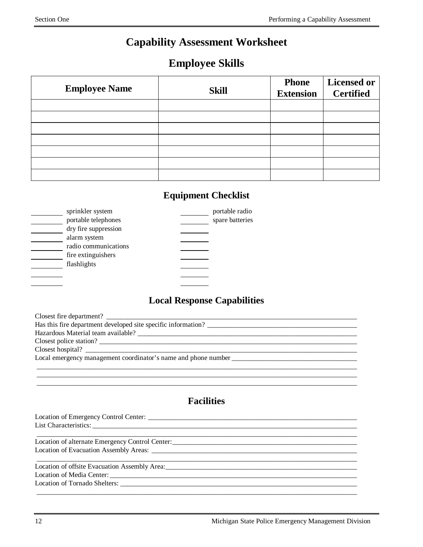## **Capability Assessment Worksheet**

## **Employee Skills**

| <b>Employee Name</b> | <b>Skill</b> | <b>Phone</b><br><b>Extension</b> | <b>Licensed or</b><br><b>Certified</b> |
|----------------------|--------------|----------------------------------|----------------------------------------|
|                      |              |                                  |                                        |
|                      |              |                                  |                                        |
|                      |              |                                  |                                        |
|                      |              |                                  |                                        |
|                      |              |                                  |                                        |
|                      |              |                                  |                                        |
|                      |              |                                  |                                        |

## **Equipment Checklist**

| sprinkler system     | portable radio  |
|----------------------|-----------------|
| portable telephones  | spare batteries |
| dry fire suppression |                 |
| alarm system         |                 |
| radio communications |                 |
| fire extinguishers   |                 |
| flashlights          |                 |
|                      |                 |
|                      |                 |

## **Local Response Capabilities**

| Closest fire department?                                       |
|----------------------------------------------------------------|
| Has this fire department developed site specific information?  |
|                                                                |
| Closest police station?                                        |
| Closest hospital?                                              |
| Local emergency management coordinator's name and phone number |
|                                                                |
|                                                                |

 $\_$  ,  $\_$  ,  $\_$  ,  $\_$  ,  $\_$  ,  $\_$  ,  $\_$  ,  $\_$  ,  $\_$  ,  $\_$  ,  $\_$  ,  $\_$  ,  $\_$  ,  $\_$  ,  $\_$  ,  $\_$  ,  $\_$  ,  $\_$  ,  $\_$  ,  $\_$  ,  $\_$  ,  $\_$  ,  $\_$  ,  $\_$  ,  $\_$  ,  $\_$  ,  $\_$  ,  $\_$  ,  $\_$  ,  $\_$  ,  $\_$  ,  $\_$  ,  $\_$  ,  $\_$  ,  $\_$  ,  $\_$  ,  $\_$  ,

## **Facilities**

| Location of alternate Emergency Control Center: _________________________________                                                                                                                                             |  |
|-------------------------------------------------------------------------------------------------------------------------------------------------------------------------------------------------------------------------------|--|
|                                                                                                                                                                                                                               |  |
|                                                                                                                                                                                                                               |  |
| Location of offsite Evacuation Assembly Area: New York Channels and School and School and School and School and School and School and School and School and School and School and School and School and School and School and |  |
|                                                                                                                                                                                                                               |  |
| Location of Tornado Shelters: New York Channels and Shelters:                                                                                                                                                                 |  |
|                                                                                                                                                                                                                               |  |
|                                                                                                                                                                                                                               |  |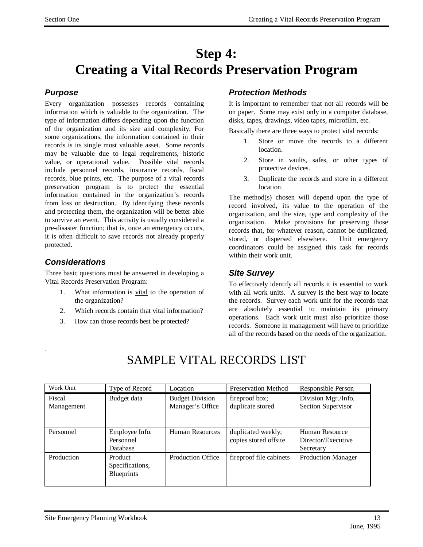## **Step 4: Creating a Vital Records Preservation Program**

## *Purpose*

Every organization possesses records containing information which is valuable to the organization. The type of information differs depending upon the function of the organization and its size and complexity. For some organizations, the information contained in their records is its single most valuable asset. Some records may be valuable due to legal requirements, historic value, or operational value. Possible vital records include personnel records, insurance records, fiscal records, blue prints, etc. The purpose of a vital records preservation program is to protect the essential information contained in the organization's records from loss or destruction. By identifying these records and protecting them, the organization will be better able to survive an event. This activity is usually considered a pre-disaster function; that is, once an emergency occurs, it is often difficult to save records not already properly protected.

## *Considerations*

.

Three basic questions must be answered in developing a Vital Records Preservation Program:

- 1. What information is vital to the operation of the organization?
- 2. Which records contain that vital information?
- 3. How can those records best be protected?

#### *Protection Methods*

It is important to remember that not all records will be on paper. Some may exist only in a computer database, disks, tapes, drawings, video tapes, microfilm, etc.

Basically there are three ways to protect vital records:

- 1. Store or move the records to a different location.
- 2. Store in vaults, safes, or other types of protective devices.
- 3. Duplicate the records and store in a different location.

The method(s) chosen will depend upon the type of record involved, its value to the operation of the organization, and the size, type and complexity of the organization. Make provisions for preserving those records that, for whatever reason, cannot be duplicated, stored, or dispersed elsewhere. Unit emergency coordinators could be assigned this task for records within their work unit.

#### *Site Survey*

To effectively identify all records it is essential to work with all work units. A survey is the best way to locate the records. Survey each work unit for the records that are absolutely essential to maintain its primary operations. Each work unit must also prioritize those records. Someone in management will have to prioritize all of the records based on the needs of the organization.

| Work Unit  | Type of Record    | Location                 | <b>Preservation Method</b> | Responsible Person        |
|------------|-------------------|--------------------------|----------------------------|---------------------------|
| Fiscal     | Budget data       | <b>Budget Division</b>   | fireproof box;             | Division Mgr./Info.       |
| Management |                   | Manager's Office         | duplicate stored           | Section Supervisor        |
|            |                   |                          |                            |                           |
| Personnel  | Employee Info.    | Human Resources          | duplicated weekly;         | Human Resource            |
|            | Personnel         |                          | copies stored offsite      | Director/Executive        |
|            | Database          |                          |                            | Secretary                 |
| Production | Product           | <b>Production Office</b> | fireproof file cabinets    | <b>Production Manager</b> |
|            | Specifications,   |                          |                            |                           |
|            | <b>Blueprints</b> |                          |                            |                           |
|            |                   |                          |                            |                           |

## SAMPLE VITAL RECORDS LIST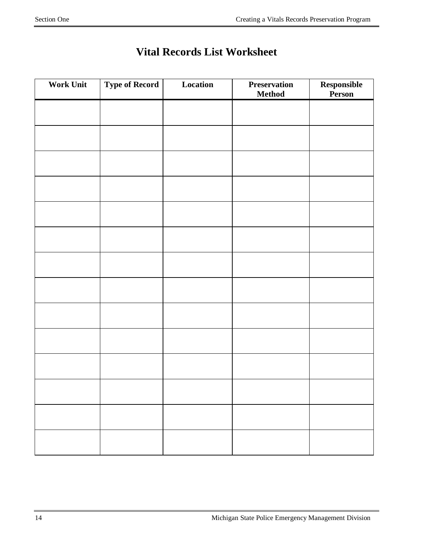| <b>Work Unit</b> | <b>Type of Record</b> | Location | <b>Preservation</b><br><b>Method</b> | ${\bf Responseible}$<br>Person |
|------------------|-----------------------|----------|--------------------------------------|--------------------------------|
|                  |                       |          |                                      |                                |
|                  |                       |          |                                      |                                |
|                  |                       |          |                                      |                                |
|                  |                       |          |                                      |                                |
|                  |                       |          |                                      |                                |
|                  |                       |          |                                      |                                |
|                  |                       |          |                                      |                                |
|                  |                       |          |                                      |                                |
|                  |                       |          |                                      |                                |
|                  |                       |          |                                      |                                |
|                  |                       |          |                                      |                                |
|                  |                       |          |                                      |                                |
|                  |                       |          |                                      |                                |
|                  |                       |          |                                      |                                |
|                  |                       |          |                                      |                                |
|                  |                       |          |                                      |                                |

## **Vital Records List Worksheet**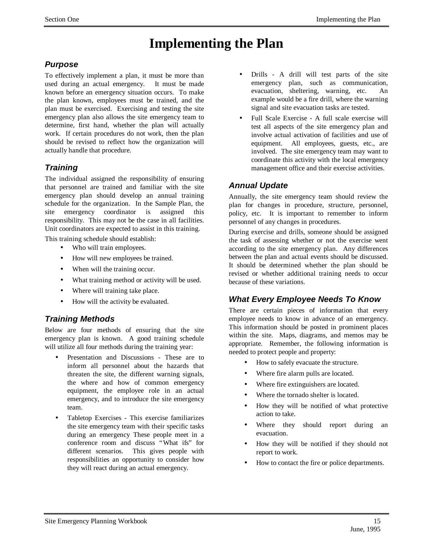## **Implementing the Plan**

## *Purpose*

To effectively implement a plan, it must be more than used during an actual emergency. It must be made known before an emergency situation occurs. To make the plan known, employees must be trained, and the plan must be exercised. Exercising and testing the site emergency plan also allows the site emergency team to determine, first hand, whether the plan will actually work. If certain procedures do not work, then the plan should be revised to reflect how the organization will actually handle that procedure.

## *Training*

The individual assigned the responsibility of ensuring that personnel are trained and familiar with the site emergency plan should develop an annual training schedule for the organization. In the Sample Plan, the site emergency coordinator is assigned this responsibility. This may not be the case in all facilities. Unit coordinators are expected to assist in this training.

This training schedule should establish:

- Who will train employees.
- How will new employees be trained.
- When will the training occur.
- What training method or activity will be used.
- Where will training take place.
- How will the activity be evaluated.

## *Training Methods*

Below are four methods of ensuring that the site emergency plan is known. A good training schedule will utilize all four methods during the training year:

- Presentation and Discussions These are to inform all personnel about the hazards that threaten the site, the different warning signals, the where and how of common emergency equipment, the employee role in an actual emergency, and to introduce the site emergency team.
- Tabletop Exercises This exercise familiarizes the site emergency team with their specific tasks during an emergency These people meet in a conference room and discuss "What ifs" for different scenarios. This gives people with responsibilities an opportunity to consider how they will react during an actual emergency.
- Drills A drill will test parts of the site emergency plan, such as communication, evacuation, sheltering, warning, etc. An example would be a fire drill, where the warning signal and site evacuation tasks are tested.
- Full Scale Exercise A full scale exercise will test all aspects of the site emergency plan and involve actual activation of facilities and use of equipment. All employees, guests, etc., are involved. The site emergency team may want to coordinate this activity with the local emergency management office and their exercise activities.

## *Annual Update*

Annually, the site emergency team should review the plan for changes in procedure, structure, personnel, policy, etc. It is important to remember to inform personnel of any changes in procedures.

During exercise and drills, someone should be assigned the task of assessing whether or not the exercise went according to the site emergency plan. Any differences between the plan and actual events should be discussed. It should be determined whether the plan should be revised or whether additional training needs to occur because of these variations.

## *What Every Employee Needs To Know*

There are certain pieces of information that every employee needs to know in advance of an emergency. This information should be posted in prominent places within the site. Maps, diagrams, and memos may be appropriate. Remember, the following information is needed to protect people and property:

- How to safely evacuate the structure.
- Where fire alarm pulls are located.
- Where fire extinguishers are located.
- Where the tornado shelter is located.
- How they will be notified of what protective action to take.
- Where they should report during an evacuation.
- How they will be notified if they should not report to work.
- How to contact the fire or police departments.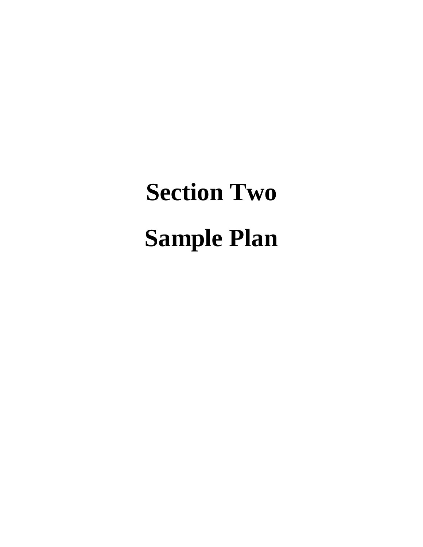# **Section Two Sample Plan**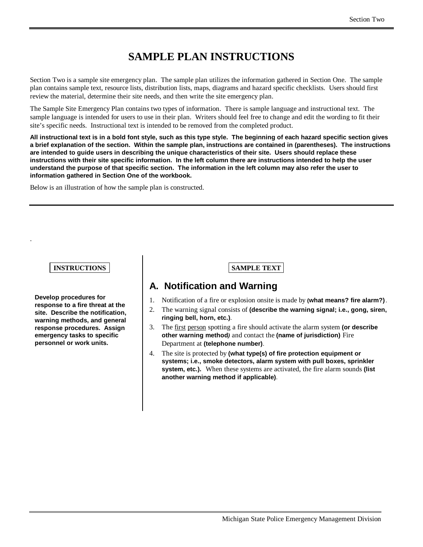## **SAMPLE PLAN INSTRUCTIONS**

Section Two is a sample site emergency plan. The sample plan utilizes the information gathered in Section One. The sample plan contains sample text, resource lists, distribution lists, maps, diagrams and hazard specific checklists. Users should first review the material, determine their site needs, and then write the site emergency plan.

The Sample Site Emergency Plan contains two types of information. There is sample language and instructional text. The sample language is intended for users to use in their plan. Writers should feel free to change and edit the wording to fit their site's specific needs. Instructional text is intended to be removed from the completed product.

**All instructional text is in a bold font style, such as this type style. The beginning of each hazard specific section gives a brief explanation of the section. Within the sample plan, instructions are contained in (parentheses). The instructions are intended to guide users in describing the unique characteristics of their site. Users should replace these instructions with their site specific information. In the left column there are instructions intended to help the user understand the purpose of that specific section. The information in the left column may also refer the user to information gathered in Section One of the workbook.**

Below is an illustration of how the sample plan is constructed.

#### **INSTRUCTIONS SAMPLE TEXT**

.

**Develop procedures for response to a fire threat at the site. Describe the notification, warning methods, and general response procedures. Assign emergency tasks to specific personnel or work units.**

## **A. Notification and Warning**

- 1. Notification of a fire or explosion onsite is made by **(what means? fire alarm?)**.
- 2. The warning signal consists of **(describe the warning signal; i.e., gong, siren, ringing bell, horn, etc.)**.
- 3. The first person spotting a fire should activate the alarm system **(or describe other warning method***)* and contact the **(name of jurisdiction)** Fire Department at **(telephone number)**.
- 4. The site is protected by **(what type(s) of fire protection equipment or systems; i.e., smoke detectors, alarm system with pull boxes, sprinkler system, etc.).** When these systems are activated, the fire alarm sounds **(list another warning method if applicable)**.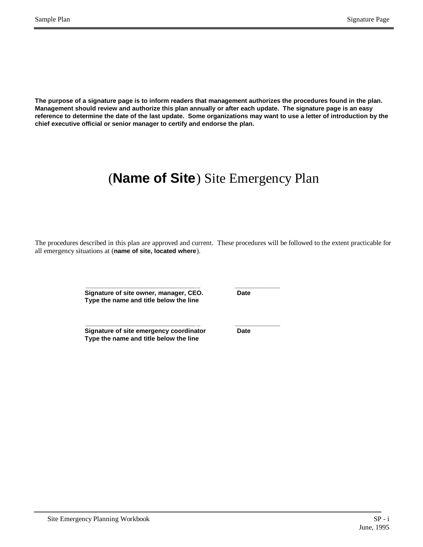**The purpose of a signature page is to inform readers that management authorizes the procedures found in the plan. Management should review and authorize this plan annually or after each update. The signature page is an easy reference to determine the date of the last update. Some organizations may want to use a letter of introduction by the chief executive official or senior manager to certify and endorse the plan.**

## (**Name of Site**) Site Emergency Plan

The procedures described in this plan are approved and current. These procedures will be followed to the extent practicable for all emergency situations at (**name of site, located where**).

> **\_\_\_\_\_\_\_\_\_\_\_\_\_\_\_\_\_\_\_\_\_\_\_\_\_\_\_\_\_\_\_\_ \_ \_\_\_\_\_\_\_\_\_\_\_\_\_ Signature of site owner, manager, CEO. Date Type the name and title below the line**

**\_\_\_\_\_\_\_\_\_\_\_\_\_\_\_\_\_\_\_\_\_\_\_\_\_\_\_\_\_\_\_\_ \_ \_\_\_\_\_\_\_\_\_\_\_\_\_ Signature of site emergency coordinator Date Type the name and title below the line**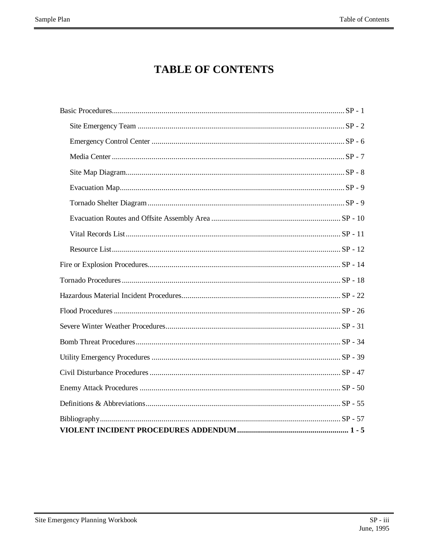## **TABLE OF CONTENTS**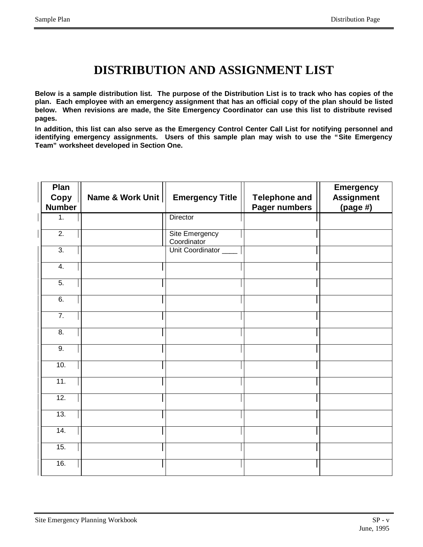## **DISTRIBUTION AND ASSIGNMENT LIST**

**Below is a sample distribution list. The purpose of the Distribution List is to track who has copies of the plan. Each employee with an emergency assignment that has an official copy of the plan should be listed below. When revisions are made, the Site Emergency Coordinator can use this list to distribute revised pages.**

**In addition, this list can also serve as the Emergency Control Center Call List for notifying personnel and identifying emergency assignments. Users of this sample plan may wish to use the "Site Emergency Team" worksheet developed in Section One.**

| Plan<br>Copy     | Name & Work Unit | <b>Emergency Title</b>        | <b>Telephone and</b> | <b>Emergency</b><br><b>Assignment</b> |
|------------------|------------------|-------------------------------|----------------------|---------------------------------------|
| <b>Number</b>    |                  |                               | Pager numbers        | $(page\#)$                            |
| 1.               |                  | Director                      |                      |                                       |
| $\overline{2}$ . |                  | Site Emergency<br>Coordinator |                      |                                       |
| $\overline{3}$ . |                  | Unit Coordinator ____         |                      |                                       |
| 4.               |                  |                               |                      |                                       |
| $\overline{5}$ . |                  |                               |                      |                                       |
| 6.               |                  |                               |                      |                                       |
| $\overline{7}$ . |                  |                               |                      |                                       |
| 8.               |                  |                               |                      |                                       |
| 9.               |                  |                               |                      |                                       |
| 10.              |                  |                               |                      |                                       |
| 11.              |                  |                               |                      |                                       |
| 12.              |                  |                               |                      |                                       |
| 13.              |                  |                               |                      |                                       |
| 14.              |                  |                               |                      |                                       |
| 15.              |                  |                               |                      |                                       |
| 16.              |                  |                               |                      |                                       |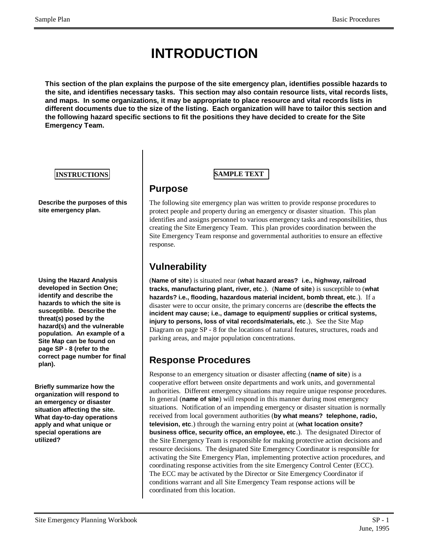## **INTRODUCTION**

**This section of the plan explains the purpose of the site emergency plan, identifies possible hazards to the site, and identifies necessary tasks. This section may also contain resource lists, vital records lists, and maps. In some organizations, it may be appropriate to place resource and vital records lists in different documents due to the size of the listing. Each organization will have to tailor this section and the following hazard specific sections to fit the positions they have decided to create for the Site Emergency Team.**

#### **INSTRUCTIONS SAMPLE TEXT**

**Describe the purposes of this site emergency plan.**

**Using the Hazard Analysis developed in Section One; identify and describe the hazards to which the site is susceptible. Describe the threat(s) posed by the hazard(s) and the vulnerable population. An example of a Site Map can be found on page SP - 8 (refer to the correct page number for final plan).**

**Briefly summarize how the organization will respond to an emergency or disaster situation affecting the site. What day-to-day operations apply and what unique or special operations are utilized?**

## **Purpose**

The following site emergency plan was written to provide response procedures to protect people and property during an emergency or disaster situation. This plan identifies and assigns personnel to various emergency tasks and responsibilities, thus creating the Site Emergency Team. This plan provides coordination between the Site Emergency Team response and governmental authorities to ensure an effective response.

## **Vulnerability**

(**Name of site**) is situated near (**what hazard areas? i.e., highway, railroad tracks, manufacturing plant, river, etc**.). (**Name of site**) is susceptible to (**what hazards? i.e., flooding, hazardous material incident, bomb threat, etc**.). If a disaster were to occur onsite, the primary concerns are (**describe the effects the incident may cause; i.e., damage to equipment/ supplies or critical systems, injury to persons, loss of vital records/materials, etc** .). See the Site Map Diagram on page SP - 8 for the locations of natural features, structures, roads and parking areas, and major population concentrations.

## **Response Procedures**

Response to an emergency situation or disaster affecting (**name of site**) is a cooperative effort between onsite departments and work units, and governmental authorities. Different emergency situations may require unique response procedures. In general (**name of site**) will respond in this manner during most emergency situations. Notification of an impending emergency or disaster situation is normally received from local government authorities (**by what means? telephone, radio, television, etc**.) through the warning entry point at (**what location onsite? business office, security office, an employee, etc**.). The designated Director of the Site Emergency Team is responsible for making protective action decisions and resource decisions. The designated Site Emergency Coordinator is responsible for activating the Site Emergency Plan, implementing protective action procedures, and coordinating response activities from the site Emergency Control Center (ECC). The ECC may be activated by the Director or Site Emergency Coordinator if conditions warrant and all Site Emergency Team response actions will be coordinated from this location.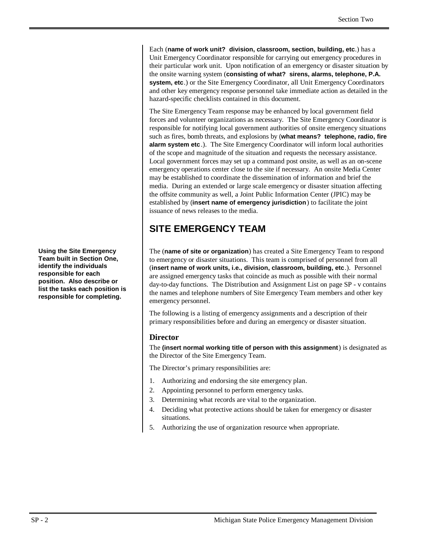Each (**name of work unit? division, classroom, section, building, etc**.) has a Unit Emergency Coordinator responsible for carrying out emergency procedures in their particular work unit. Upon notification of an emergency or disaster situation by the onsite warning system (**consisting of what? sirens, alarms, telephone, P.A. system, etc**.) or the Site Emergency Coordinator, all Unit Emergency Coordinators and other key emergency response personnel take immediate action as detailed in the hazard-specific checklists contained in this document.

The Site Emergency Team response may be enhanced by local government field forces and volunteer organizations as necessary. The Site Emergency Coordinator is responsible for notifying local government authorities of onsite emergency situations such as fires, bomb threats, and explosions by (**what means? telephone, radio, fire alarm system etc** .). The Site Emergency Coordinator will inform local authorities of the scope and magnitude of the situation and requests the necessary assistance. Local government forces may set up a command post onsite, as well as an on-scene emergency operations center close to the site if necessary. An onsite Media Center may be established to coordinate the dissemination of information and brief the media. During an extended or large scale emergency or disaster situation affecting the offsite community as well, a Joint Public Information Center (JPIC) may be established by (**insert name of emergency jurisdiction**) to facilitate the joint issuance of news releases to the media.

## **SITE EMERGENCY TEAM**

The (**name of site or organization**) has created a Site Emergency Team to respond to emergency or disaster situations. This team is comprised of personnel from all (**insert name of work units, i.e., division, classroom, building, etc**.). Personnel are assigned emergency tasks that coincide as much as possible with their normal day-to-day functions. The Distribution and Assignment List on page SP - v contains the names and telephone numbers of Site Emergency Team members and other key emergency personnel.

The following is a listing of emergency assignments and a description of their primary responsibilities before and during an emergency or disaster situation.

#### **Director**

The **(insert normal working title of person with this assignment**) is designated as the Director of the Site Emergency Team.

The Director's primary responsibilities are:

- 1. Authorizing and endorsing the site emergency plan.
- 2. Appointing personnel to perform emergency tasks.
- 3. Determining what records are vital to the organization.
- 4. Deciding what protective actions should be taken for emergency or disaster situations.
- 5. Authorizing the use of organization resource when appropriate.

**Using the Site Emergency Team built in Section One, identify the individuals responsible for each position. Also describe or list the tasks each position is responsible for completing.**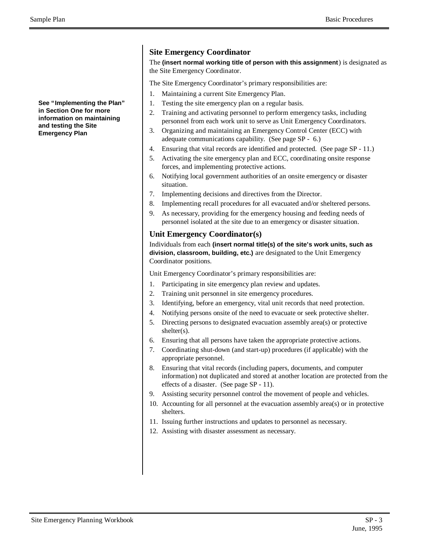**See "Implementing the Plan" in Section One for more information on maintaining and testing the Site Emergency Plan**

#### **Site Emergency Coordinator**

The **(insert normal working title of person with this assignment**) is designated as the Site Emergency Coordinator.

The Site Emergency Coordinator's primary responsibilities are:

- 1. Maintaining a current Site Emergency Plan.
- 1. Testing the site emergency plan on a regular basis.
- 2. Training and activating personnel to perform emergency tasks, including personnel from each work unit to serve as Unit Emergency Coordinators.
- 3. Organizing and maintaining an Emergency Control Center (ECC) with adequate communications capability. (See page SP - 6.)
- 4. Ensuring that vital records are identified and protected. (See page SP 11.)
- 5. Activating the site emergency plan and ECC, coordinating onsite response forces, and implementing protective actions.
- 6. Notifying local government authorities of an onsite emergency or disaster situation.
- 7. Implementing decisions and directives from the Director.
- 8. Implementing recall procedures for all evacuated and/or sheltered persons.
- 9. As necessary, providing for the emergency housing and feeding needs of personnel isolated at the site due to an emergency or disaster situation.

#### **Unit Emergency Coordinator(s)**

Individuals from each **(insert normal title(s) of the site's work units, such as division, classroom, building, etc.)** are designated to the Unit Emergency Coordinator positions.

Unit Emergency Coordinator's primary responsibilities are:

- 1. Participating in site emergency plan review and updates.
- 2. Training unit personnel in site emergency procedures.
- 3. Identifying, before an emergency, vital unit records that need protection.
- 4. Notifying persons onsite of the need to evacuate or seek protective shelter.
- 5. Directing persons to designated evacuation assembly area(s) or protective shelter(s).
- 6. Ensuring that all persons have taken the appropriate protective actions.
- 7. Coordinating shut-down (and start-up) procedures (if applicable) with the appropriate personnel.
- 8. Ensuring that vital records (including papers, documents, and computer information) not duplicated and stored at another location are protected from the effects of a disaster. (See page SP - 11).
- 9. Assisting security personnel control the movement of people and vehicles.
- 10. Accounting for all personnel at the evacuation assembly area(s) or in protective shelters.
- 11. Issuing further instructions and updates to personnel as necessary.
- 12. Assisting with disaster assessment as necessary.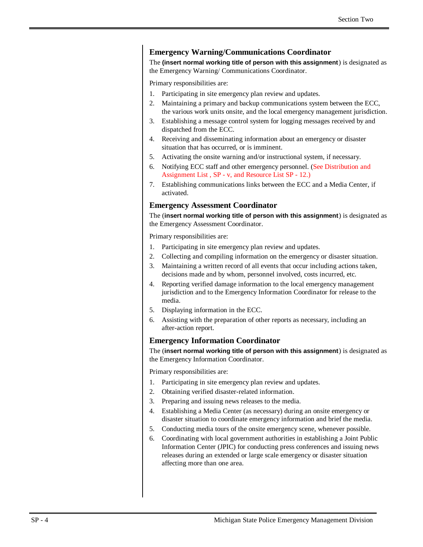#### **Emergency Warning/Communications Coordinator**

The **(insert normal working title of person with this assignment**) is designated as the Emergency Warning/ Communications Coordinator.

Primary responsibilities are:

- 1. Participating in site emergency plan review and updates.
- 2. Maintaining a primary and backup communications system between the ECC, the various work units onsite, and the local emergency management jurisdiction.
- 3. Establishing a message control system for logging messages received by and dispatched from the ECC.
- 4. Receiving and disseminating information about an emergency or disaster situation that has occurred, or is imminent.
- 5. Activating the onsite warning and/or instructional system, if necessary.
- 6. Notifying ECC staff and other emergency personnel. (See Distribution and Assignment List , SP - v, and Resource List SP - 12.)
- 7. Establishing communications links between the ECC and a Media Center, if activated.

#### **Emergency Assessment Coordinator**

The (**insert normal working title of person with this assignment**) is designated as the Emergency Assessment Coordinator.

Primary responsibilities are:

- 1. Participating in site emergency plan review and updates.
- 2. Collecting and compiling information on the emergency or disaster situation.
- 3. Maintaining a written record of all events that occur including actions taken, decisions made and by whom, personnel involved, costs incurred, etc.
- 4. Reporting verified damage information to the local emergency management jurisdiction and to the Emergency Information Coordinator for release to the media.
- 5. Displaying information in the ECC.
- 6. Assisting with the preparation of other reports as necessary, including an after-action report.

#### **Emergency Information Coordinator**

The (**insert normal working title of person with this assignment**) is designated as the Emergency Information Coordinator.

Primary responsibilities are:

- 1. Participating in site emergency plan review and updates.
- 2. Obtaining verified disaster-related information.
- 3. Preparing and issuing news releases to the media.
- 4. Establishing a Media Center (as necessary) during an onsite emergency or disaster situation to coordinate emergency information and brief the media.
- 5. Conducting media tours of the onsite emergency scene, whenever possible.
- 6. Coordinating with local government authorities in establishing a Joint Public Information Center (JPIC) for conducting press conferences and issuing news releases during an extended or large scale emergency or disaster situation affecting more than one area.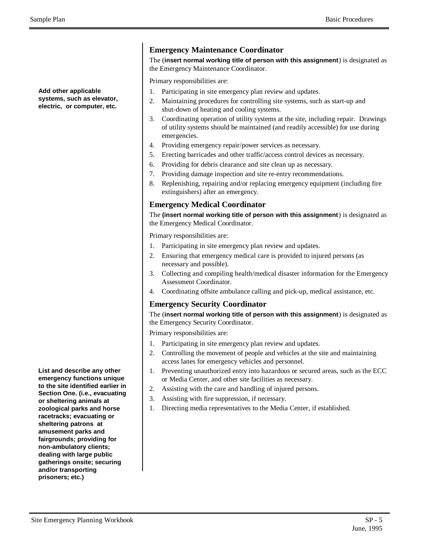Sample Plan Basic Procedures and the Basic Procedures and Basic Procedures and Basic Procedures and Basic Procedures

**Add other applicable systems, such as elevator, electric, or computer, etc.**

**List and describe any other emergency functions unique to the site identified earlier in Section One. (i.e., evacuating or sheltering animals at zoological parks and horse racetracks; evacuating or sheltering patrons at amusement parks and fairgrounds; providing for non-ambulatory clients; dealing with large public gatherings onsite; securing and/or transporting prisoners; etc.)**

#### **Emergency Maintenance Coordinator**

The (**insert normal working title of person with this assignment**) is designated as the Emergency Maintenance Coordinator.

Primary responsibilities are:

- 1. Participating in site emergency plan review and updates.
- 2. Maintaining procedures for controlling site systems, such as start-up and shut-down of heating and cooling systems.
- 3. Coordinating operation of utility systems at the site, including repair. Drawings of utility systems should be maintained (and readily accessible) for use during emergencies.
- 4. Providing emergency repair/power services as necessary.
- 5. Erecting barricades and other traffic/access control devices as necessary.
- 6. Providing for debris clearance and site clean up as necessary.
- 7. Providing damage inspection and site re-entry recommendations.
- 8. Replenishing, repairing and/or replacing emergency equipment (including fire extinguishers) after an emergency.

#### **Emergency Medical Coordinator**

The **(insert normal working title of person with this assignment**) is designated as the Emergency Medical Coordinator.

Primary responsibilities are:

- 1. Participating in site emergency plan review and updates.
- 2. Ensuring that emergency medical care is provided to injured persons (as necessary and possible).
- 3. Collecting and compiling health/medical disaster information for the Emergency Assessment Coordinator.
- 4. Coordinating offsite ambulance calling and pick-up, medical assistance, etc.

#### **Emergency Security Coordinator**

The (**insert normal working title of person with this assignment**) is designated as the Emergency Security Coordinator.

Primary responsibilities are:

- 1. Participating in site emergency plan review and updates.
- 2. Controlling the movement of people and vehicles at the site and maintaining access lanes for emergency vehicles and personnel.
- 1. Preventing unauthorized entry into hazardous or secured areas, such as the ECC or Media Center, and other site facilities as necessary.
- 2. Assisting with the care and handling of injured persons.
- 3. Assisting with fire suppression, if necessary.
- 1. Directing media representatives to the Media Center, if established.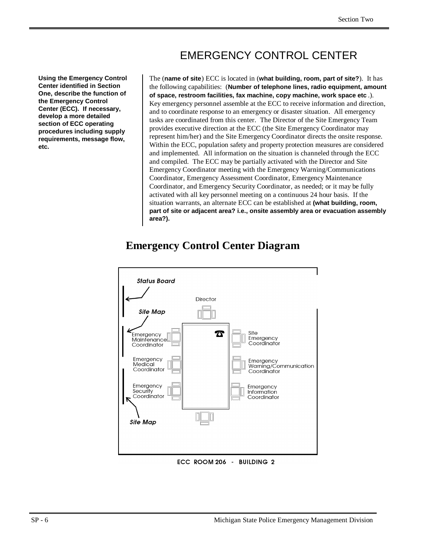## EMERGENCY CONTROL CENTER

**Using the Emergency Control Center identified in Section One, describe the function of the Emergency Control Center (ECC). If necessary, develop a more detailed section of ECC operating procedures including supply requirements, message flow, etc.**

The (**name of site**) ECC is located in (**what building, room, part of site?**). It has the following capabilities: (**Number of telephone lines, radio equipment, amount of space, restroom facilities, fax machine, copy machine, work space etc** .). Key emergency personnel assemble at the ECC to receive information and direction, and to coordinate response to an emergency or disaster situation. All emergency tasks are coordinated from this center. The Director of the Site Emergency Team provides executive direction at the ECC (the Site Emergency Coordinator may represent him/her) and the Site Emergency Coordinator directs the onsite response. Within the ECC, population safety and property protection measures are considered and implemented. All information on the situation is channeled through the ECC and compiled. The ECC may be partially activated with the Director and Site Emergency Coordinator meeting with the Emergency Warning/Communications Coordinator, Emergency Assessment Coordinator, Emergency Maintenance Coordinator, and Emergency Security Coordinator, as needed; or it may be fully activated with all key personnel meeting on a continuous 24 hour basis. If the situation warrants, an alternate ECC can be established at **(what building, room, part of site or adjacent area? i.e., onsite assembly area or evacuation assembly area?).**

## **Emergency Control Center Diagram**



ECC ROOM 206 - BUILDING 2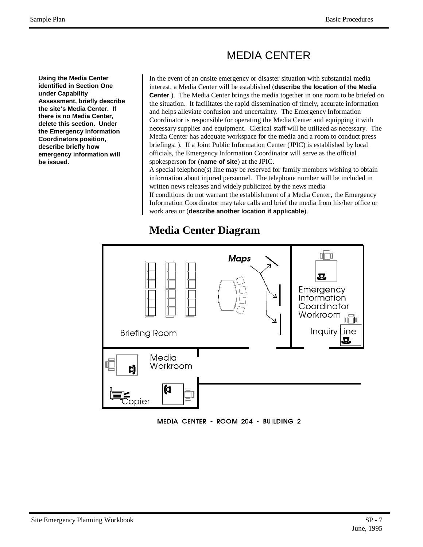# MEDIA CENTER

**Using the Media Center identified in Section One under Capability Assessment, briefly describe the site's Media Center. If there is no Media Center, delete this section. Under the Emergency Information Coordinators position, describe briefly how emergency information will be issued.**

In the event of an onsite emergency or disaster situation with substantial media interest, a Media Center will be established (**describe the location of the Media Center** ). The Media Center brings the media together in one room to be briefed on the situation. It facilitates the rapid dissemination of timely, accurate information and helps alleviate confusion and uncertainty. The Emergency Information Coordinator is responsible for operating the Media Center and equipping it with necessary supplies and equipment. Clerical staff will be utilized as necessary. The Media Center has adequate workspace for the media and a room to conduct press briefings. ). If a Joint Public Information Center (JPIC) is established by local officials, the Emergency Information Coordinator will serve as the official spokesperson for (**name of site**) at the JPIC.

A special telephone(s) line may be reserved for family members wishing to obtain information about injured personnel. The telephone number will be included in written news releases and widely publicized by the news media

If conditions do not warrant the establishment of a Media Center, the Emergency Information Coordinator may take calls and brief the media from his/her office or work area or (**describe another location if applicable**).

#### nĦ **Maps**  $\boldsymbol{\Sigma}$ Emergency Information Coordinator Workroom Inquiry Line **Briefing Room** Media Workroom Ŋ Ю copier

# **Media Center Diagram**

MEDIA CENTER - ROOM 204 - BUILDING 2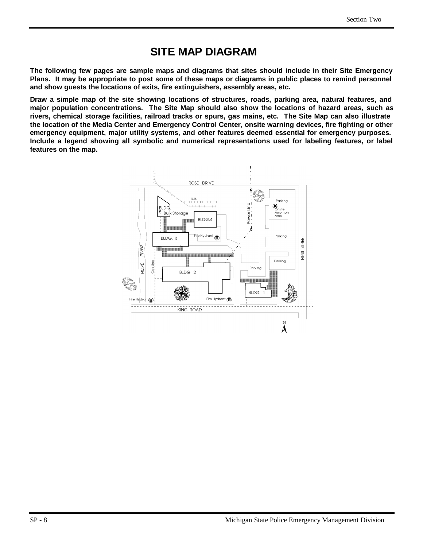# **SITE MAP DIAGRAM**

**The following few pages are sample maps and diagrams that sites should include in their Site Emergency Plans. It may be appropriate to post some of these maps or diagrams in public places to remind personnel and show guests the locations of exits, fire extinguishers, assembly areas, etc.**

**Draw a simple map of the site showing locations of structures, roads, parking area, natural features, and major population concentrations. The Site Map should also show the locations of hazard areas, such as rivers, chemical storage facilities, railroad tracks or spurs, gas mains, etc. The Site Map can also illustrate the location of the Media Center and Emergency Control Center, onsite warning devices, fire fighting or other emergency equipment, major utility systems, and other features deemed essential for emergency purposes. Include a legend showing all symbolic and numerical representations used for labeling features, or label features on the map.**

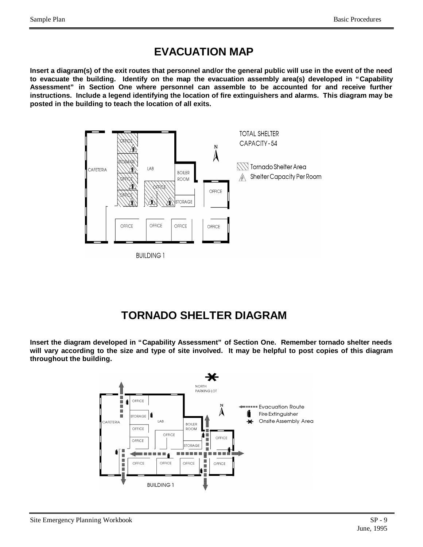# **EVACUATION MAP**

**Insert a diagram(s) of the exit routes that personnel and/or the general public will use in the event of the need to evacuate the building. Identify on the map the evacuation assembly area(s) developed in "Capability Assessment" in Section One where personnel can assemble to be accounted for and receive further instructions. Include a legend identifying the location of fire extinguishers and alarms. This diagram may be posted in the building to teach the location of all exits.**



# **TORNADO SHELTER DIAGRAM**

**Insert the diagram developed in "Capability Assessment" of Section One. Remember tornado shelter needs will vary according to the size and type of site involved. It may be helpful to post copies of this diagram throughout the building.**

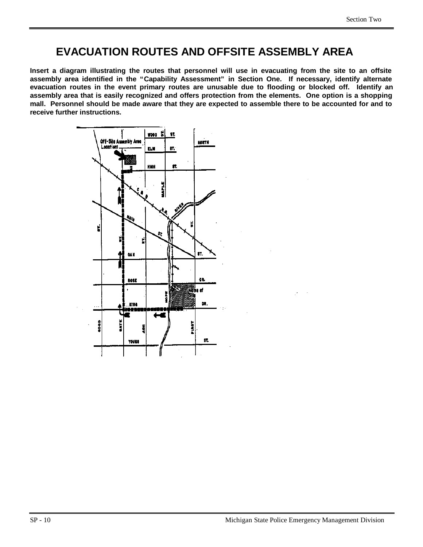# **EVACUATION ROUTES AND OFFSITE ASSEMBLY AREA**

**Insert a diagram illustrating the routes that personnel will use in evacuating from the site to an offsite assembly area identified in the "Capability Assessment" in Section One. If necessary, identify alternate evacuation routes in the event primary routes are unusable due to flooding or blocked off. Identify an assembly area that is easily recognized and offers protection from the elements. One option is a shopping mall. Personnel should be made aware that they are expected to assemble there to be accounted for and to receive further instructions.**

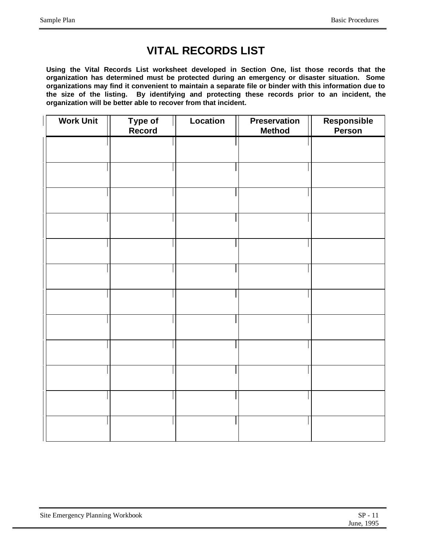# **VITAL RECORDS LIST**

**Using the Vital Records List worksheet developed in Section One, list those records that the organization has determined must be protected during an emergency or disaster situation. Some organizations may find it convenient to maintain a separate file or binder with this information due to the size of the listing. By identifying and protecting these records prior to an incident, the organization will be better able to recover from that incident.**

| <b>Work Unit</b> | Type of<br>Record | Location | <b>Preservation</b><br><b>Method</b> | Responsible<br>Person |
|------------------|-------------------|----------|--------------------------------------|-----------------------|
|                  |                   |          |                                      |                       |
|                  |                   |          |                                      |                       |
|                  |                   |          |                                      |                       |
|                  |                   |          |                                      |                       |
|                  |                   |          |                                      |                       |
|                  |                   |          |                                      |                       |
|                  |                   |          |                                      |                       |
|                  |                   |          |                                      |                       |
|                  |                   |          |                                      |                       |
|                  |                   |          |                                      |                       |
|                  |                   |          |                                      |                       |
|                  |                   |          |                                      |                       |
|                  |                   |          |                                      |                       |
|                  |                   |          |                                      |                       |

| Site Emergency Planning Workbook | $SP - 11$  |
|----------------------------------|------------|
|                                  | June, 1995 |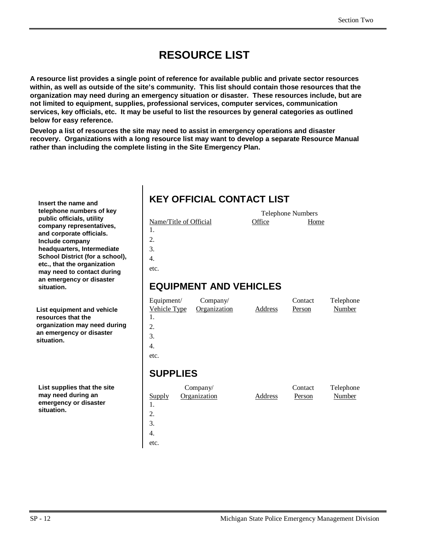# **RESOURCE LIST**

**A resource list provides a single point of reference for available public and private sector resources within, as well as outside of the site's community. This list should contain those resources that the organization may need during an emergency situation or disaster. These resources include, but are not limited to equipment, supplies, professional services, computer services, communication services, key officials, etc. It may be useful to list the resources by general categories as outlined below for easy reference.**

**Develop a list of resources the site may need to assist in emergency operations and disaster recovery. Organizations with a long resource list may want to develop a separate Resource Manual rather than including the complete listing in the Site Emergency Plan.**

**Insert the name and telephone numbers of key public officials, utility company representatives, and corporate officials. Include company headquarters, Intermediate School District (for a school), etc., that the organization may need to contact during an emergency or disaster situation.**

**List equipment and vehicle resources that the organization may need during an emergency or disaster situation.**

**List supplies that the site may need during an emergency or disaster situation.**

# **KEY OFFICIAL CONTACT LIST**

| Name/Title of Official |  |
|------------------------|--|
| $\mathbf{L}$           |  |

2.

3.

4.

etc.

#### **EQUIPMENT AND VEHICLES**

| Equipment/<br>Vehicle Type | Company/<br>Organization | Address | Contact<br>Person | Telephone<br>Number |
|----------------------------|--------------------------|---------|-------------------|---------------------|
| 1.<br>2.                   |                          |         |                   |                     |
| 3.                         |                          |         |                   |                     |
| 4.                         |                          |         |                   |                     |
| etc.                       |                          |         |                   |                     |
|                            |                          |         |                   |                     |

Telephone Numbers Office Home

#### **SUPPLIES**

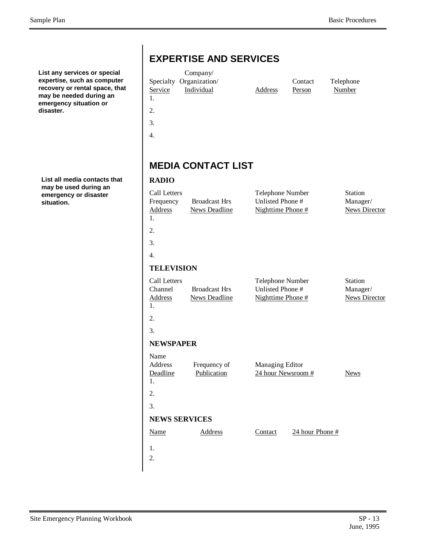**List any services or special expertise, such as computer recovery or rental space, that may be needed during an emergency situation or disaster.**

**List all media contacts that may be used during an emergency or disaster situation.**

|                                                   | Company/                                     |                                                           |                 |                                             |
|---------------------------------------------------|----------------------------------------------|-----------------------------------------------------------|-----------------|---------------------------------------------|
|                                                   | Specialty Organization/                      |                                                           | Contact         | Telephone                                   |
| Service                                           | Individual                                   | Address                                                   | Person          | <b>Number</b>                               |
| 1.                                                |                                              |                                                           |                 |                                             |
| 2.                                                |                                              |                                                           |                 |                                             |
| 3.                                                |                                              |                                                           |                 |                                             |
| $\overline{4}$ .                                  |                                              |                                                           |                 |                                             |
|                                                   |                                              |                                                           |                 |                                             |
|                                                   |                                              |                                                           |                 |                                             |
|                                                   | <b>MEDIA CONTACT LIST</b>                    |                                                           |                 |                                             |
| <b>RADIO</b>                                      |                                              |                                                           |                 |                                             |
| Call Letters<br>Frequency<br><b>Address</b><br>1. | <b>Broadcast Hrs</b><br><b>News Deadline</b> | Telephone Number<br>Unlisted Phone #<br>Nighttime Phone # |                 | Station<br>Manager/<br><b>News Director</b> |
| 2.                                                |                                              |                                                           |                 |                                             |
| 3.                                                |                                              |                                                           |                 |                                             |
| $\overline{4}$ .                                  |                                              |                                                           |                 |                                             |
| <b>TELEVISION</b>                                 |                                              |                                                           |                 |                                             |
| Call Letters<br>Channel<br><b>Address</b><br>1.   | <b>Broadcast Hrs</b><br><b>News Deadline</b> | Telephone Number<br>Unlisted Phone #<br>Nighttime Phone # |                 | Station<br>Manager/<br><b>News Director</b> |
| 2.                                                |                                              |                                                           |                 |                                             |
| 3.                                                |                                              |                                                           |                 |                                             |
| <b>NEWSPAPER</b>                                  |                                              |                                                           |                 |                                             |
| Name<br>Address<br>Deadline<br>ı.                 | Frequency of<br>Publication                  | <b>Managing Editor</b><br>24 hour Newsroom #              |                 | <b>News</b>                                 |
| 2.                                                |                                              |                                                           |                 |                                             |
| 3.                                                |                                              |                                                           |                 |                                             |
| <b>NEWS SERVICES</b>                              |                                              |                                                           |                 |                                             |
| <b>Name</b>                                       | <b>Address</b>                               | Contact                                                   | 24 hour Phone # |                                             |
|                                                   |                                              |                                                           |                 |                                             |
| 1.                                                |                                              |                                                           |                 |                                             |
| 2.                                                |                                              |                                                           |                 |                                             |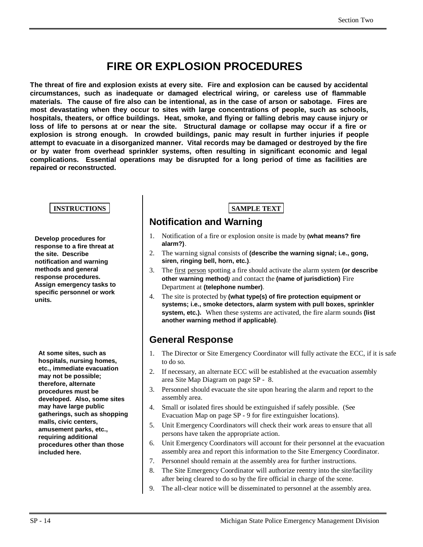# **FIRE OR EXPLOSION PROCEDURES**

**The threat of fire and explosion exists at every site. Fire and explosion can be caused by accidental circumstances, such as inadequate or damaged electrical wiring, or careless use of flammable materials. The cause of fire also can be intentional, as in the case of arson or sabotage. Fires are most devastating when they occur to sites with large concentrations of people, such as schools, hospitals, theaters, or office buildings. Heat, smoke, and flying or falling debris may cause injury or loss of life to persons at or near the site. Structural damage or collapse may occur if a fire or explosion is strong enough. In crowded buildings, panic may result in further injuries if people attempt to evacuate in a disorganized manner. Vital records may be damaged or destroyed by the fire or by water from overhead sprinkler systems, often resulting in significant economic and legal complications. Essential operations may be disrupted for a long period of time as facilities are repaired or reconstructed.**

#### **INSTRUCTIONS SAMPLE TEXT**

**Develop procedures for response to a fire threat at the site. Describe notification and warning methods and general response procedures. Assign emergency tasks to specific personnel or work units.**

**At some sites, such as hospitals, nursing homes, etc., immediate evacuation may not be possible; therefore, alternate procedures must be developed. Also, some sites may have large public gatherings, such as shopping malls, civic centers, amusement parks, etc., requiring additional procedures other than those included here.**

#### **Notification and Warning**

- 1. Notification of a fire or explosion onsite is made by **(what means? fire alarm?)**.
- 2. The warning signal consists of **(describe the warning signal; i.e., gong, siren, ringing bell, horn, etc.)**.
- 3. The first person spotting a fire should activate the alarm system **(or describe other warning method***)* and contact the **(name of jurisdiction)** Fire Department at **(telephone number)**.
- 4. The site is protected by **(what type(s) of fire protection equipment or systems; i.e., smoke detectors, alarm system with pull boxes, sprinkler system, etc.).** When these systems are activated, the fire alarm sounds **(list another warning method if applicable)**.

#### **General Response**

- 1. The Director or Site Emergency Coordinator will fully activate the ECC, if it is safe to do so.
- 2. If necessary, an alternate ECC will be established at the evacuation assembly area Site Map Diagram on page SP - 8.
- 3. Personnel should evacuate the site upon hearing the alarm and report to the assembly area.
- 4. Small or isolated fires should be extinguished if safely possible. (See Evacuation Map on page SP - 9 for fire extinguisher locations).
- 5. Unit Emergency Coordinators will check their work areas to ensure that all persons have taken the appropriate action.
- 6. Unit Emergency Coordinators will account for their personnel at the evacuation assembly area and report this information to the Site Emergency Coordinator.
- 7. Personnel should remain at the assembly area for further instructions.
- 8. The Site Emergency Coordinator will authorize reentry into the site/facility after being cleared to do so by the fire official in charge of the scene.
- 9. The all-clear notice will be disseminated to personnel at the assembly area.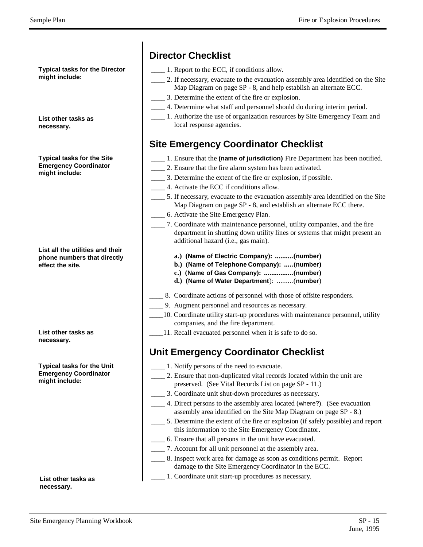**Typical tasks for the Director might include:**

**List other tasks as necessary.**

**Typical tasks for the Site Emergency Coordinator might include:**

**List all the utilities and their phone numbers that directly effect the site.**

**List other tasks as necessary.**

**Typical tasks for the Unit Emergency Coordinator might include:**

**List other tasks as necessary.**

## **Director Checklist**

- \_\_\_\_ 1. Report to the ECC, if conditions allow.
- \_\_\_\_ 2. If necessary, evacuate to the evacuation assembly area identified on the Site Map Diagram on page SP - 8, and help establish an alternate ECC.
- \_\_\_\_ 3. Determine the extent of the fire or explosion.
- \_\_\_\_ 4. Determine what staff and personnel should do during interim period.
- \_\_\_\_ 1. Authorize the use of organization resources by Site Emergency Team and local response agencies.

# **Site Emergency Coordinator Checklist**

- \_\_\_\_ 1. Ensure that the **(name of jurisdiction)** Fire Department has been notified.
- \_\_\_\_ 2. Ensure that the fire alarm system has been activated.
- \_\_\_\_ 3. Determine the extent of the fire or explosion, if possible.
	- \_\_\_\_ 4. Activate the ECC if conditions allow.
- \_\_\_\_ 5. If necessary, evacuate to the evacuation assembly area identified on the Site Map Diagram on page SP - 8, and establish an alternate ECC there.
- \_\_\_\_ 6. Activate the Site Emergency Plan.
- \_\_\_\_ 7. Coordinate with maintenance personnel, utility companies, and the fire department in shutting down utility lines or systems that might present an additional hazard (i.e., gas main).
	- **a.) (Name of Electric Company): ..........(number)**
	- **b.) (Name of Telephone Company): .....(number)**
	- **c.) (Name of Gas Company): ................(number)**
	- **d.) (Name of Water Department**): .........(**number**)
- \_\_\_\_ 8. Coordinate actions of personnel with those of offsite responders.
- \_\_\_\_ 9. Augment personnel and resources as necessary.
- \_\_\_\_10. Coordinate utility start-up procedures with maintenance personnel, utility companies, and the fire department.
- \_\_\_\_11. Recall evacuated personnel when it is safe to do so.

## **Unit Emergency Coordinator Checklist**

- \_\_\_\_ 1. Notify persons of the need to evacuate.
- \_\_\_\_ 2. Ensure that non-duplicated vital records located within the unit are preserved. (See Vital Records List on page SP - 11.)
- \_\_\_\_ 3. Coordinate unit shut-down procedures as necessary.
- \_\_\_\_ 4. Direct persons to the assembly area located (where?). (See evacuation assembly area identified on the Site Map Diagram on page SP - 8.)
- \_\_\_\_ 5. Determine the extent of the fire or explosion (if safely possible) and report this information to the Site Emergency Coordinator.
- \_\_\_\_ 6. Ensure that all persons in the unit have evacuated.
- \_\_\_\_ 7. Account for all unit personnel at the assembly area.
- \_\_\_\_ 8. Inspect work area for damage as soon as conditions permit. Report damage to the Site Emergency Coordinator in the ECC.
- \_\_\_\_ 1. Coordinate unit start-up procedures as necessary.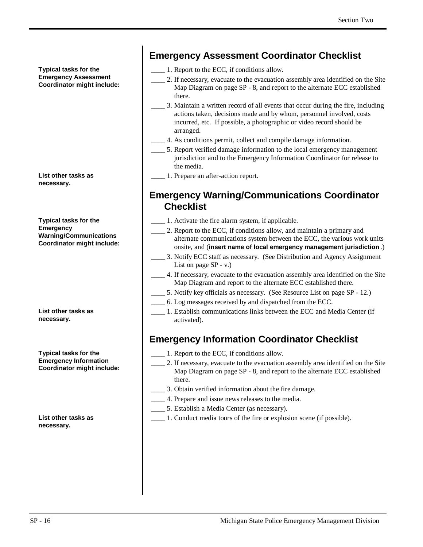**Typical tasks for the Emergency Assessment Coordinator might include:**

**List other tasks as necessary.**

**Typical tasks for the Emergency Warning/Communications Coordinator might include:**

**List other tasks as necessary.**

**Typical tasks for the Emergency Information Coordinator might include:**

**List other tasks as necessary.**

#### **Emergency Assessment Coordinator Checklist**

- \_\_\_\_ 1. Report to the ECC, if conditions allow.
- 2. If necessary, evacuate to the evacuation assembly area identified on the Site Map Diagram on page SP - 8, and report to the alternate ECC established there.
- \_\_\_\_ 3. Maintain a written record of all events that occur during the fire, including actions taken, decisions made and by whom, personnel involved, costs incurred, etc. If possible, a photographic or video record should be arranged.
- \_\_\_\_ 4. As conditions permit, collect and compile damage information.
- \_\_\_\_ 5. Report verified damage information to the local emergency management jurisdiction and to the Emergency Information Coordinator for release to the media.
- \_\_\_\_ 1. Prepare an after-action report.

#### **Emergency Warning/Communications Coordinator Checklist**

- \_\_\_\_ 1. Activate the fire alarm system, if applicable.
- \_\_\_\_ 2. Report to the ECC, if conditions allow, and maintain a primary and alternate communications system between the ECC, the various work units onsite, and (**insert name of local emergency management jurisdiction** .)
- \_\_\_\_ 3. Notify ECC staff as necessary. (See Distribution and Agency Assignment List on page SP - v.)
- \_\_\_\_ 4. If necessary, evacuate to the evacuation assembly area identified on the Site Map Diagram and report to the alternate ECC established there.
- \_\_\_\_ 5. Notify key officials as necessary. (See Resource List on page SP 12.)
- \_\_\_\_ 6. Log messages received by and dispatched from the ECC.
- \_\_\_\_ 1. Establish communications links between the ECC and Media Center (if activated).

#### **Emergency Information Coordinator Checklist**

- \_\_\_\_ 1. Report to the ECC, if conditions allow.
- \_\_\_\_ 2. If necessary, evacuate to the evacuation assembly area identified on the Site Map Diagram on page SP - 8, and report to the alternate ECC established there.
- \_\_\_\_ 3. Obtain verified information about the fire damage.
- 4. Prepare and issue news releases to the media.
- \_\_\_\_ 5. Establish a Media Center (as necessary).
- \_\_\_\_ 1. Conduct media tours of the fire or explosion scene (if possible).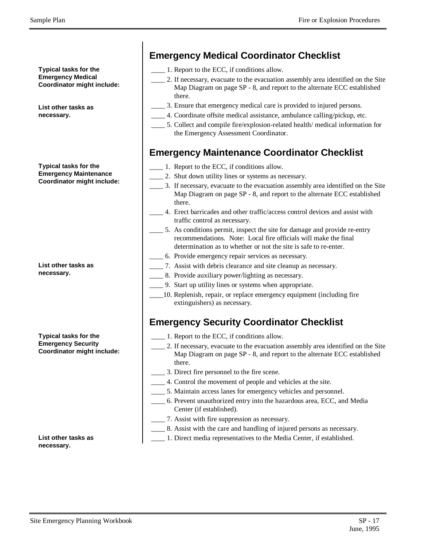**Typical tasks for the Emergency Medical Coordinator might include:**

**List other tasks as necessary.**

**Typical tasks for the Emergency Maintenance Coordinator might include:**

**List other tasks as necessary.**

**Typical tasks for the Emergency Security Coordinator might include:**

**List other tasks as necessary.**

## **Emergency Medical Coordinator Checklist**

- \_\_\_\_ 1. Report to the ECC, if conditions allow.
- \_\_\_\_ 2. If necessary, evacuate to the evacuation assembly area identified on the Site Map Diagram on page SP - 8, and report to the alternate ECC established there.
- \_\_\_\_ 3. Ensure that emergency medical care is provided to injured persons.
	- \_\_\_\_ 4. Coordinate offsite medical assistance, ambulance calling/pickup, etc.
- \_\_\_\_ 5. Collect and compile fire/explosion-related health/ medical information for the Emergency Assessment Coordinator.

#### **Emergency Maintenance Coordinator Checklist**

- \_\_\_\_ 1. Report to the ECC, if conditions allow.
	- \_\_\_\_ 2. Shut down utility lines or systems as necessary.
	- \_\_\_\_ 3. If necessary, evacuate to the evacuation assembly area identified on the Site Map Diagram on page SP - 8, and report to the alternate ECC established there.
	- \_\_\_\_ 4. Erect barricades and other traffic/access control devices and assist with traffic control as necessary.
	- \_\_\_\_ 5. As conditions permit, inspect the site for damage and provide re-entry recommendations. Note: Local fire officials will make the final determination as to whether or not the site is safe to re-enter.
	- \_\_\_\_ 6. Provide emergency repair services as necessary.
	- \_\_\_\_ 7. Assist with debris clearance and site cleanup as necessary.
	- \_\_\_\_ 8. Provide auxiliary power/lighting as necessary.
	- \_\_\_\_ 9. Start up utility lines or systems when appropriate.
	- \_\_\_\_10. Replenish, repair, or replace emergency equipment (including fire extinguishers) as necessary.

#### **Emergency Security Coordinator Checklist**

- \_\_\_\_ 1. Report to the ECC, if conditions allow.
- \_\_\_\_ 2. If necessary, evacuate to the evacuation assembly area identified on the Site Map Diagram on page SP - 8, and report to the alternate ECC established there.
- \_\_\_\_ 3. Direct fire personnel to the fire scene.
- \_\_\_\_ 4. Control the movement of people and vehicles at the site.
- \_\_\_\_ 5. Maintain access lanes for emergency vehicles and personnel.
- \_\_\_\_ 6. Prevent unauthorized entry into the hazardous area, ECC, and Media Center (if established).
- \_\_\_\_ 7. Assist with fire suppression as necessary.
- \_\_\_\_ 8. Assist with the care and handling of injured persons as necessary.
- \_\_\_\_ 1. Direct media representatives to the Media Center, if established.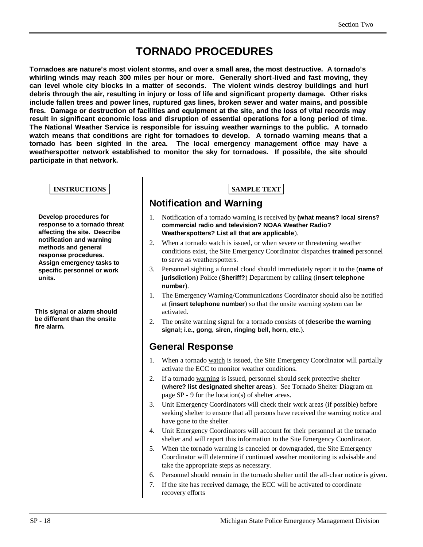# **TORNADO PROCEDURES**

**Tornadoes are nature's most violent storms, and over a small area, the most destructive. A tornado's whirling winds may reach 300 miles per hour or more. Generally short-lived and fast moving, they can level whole city blocks in a matter of seconds. The violent winds destroy buildings and hurl debris through the air, resulting in injury or loss of life and significant property damage. Other risks include fallen trees and power lines, ruptured gas lines, broken sewer and water mains, and possible fires. Damage or destruction of facilities and equipment at the site, and the loss of vital records may result in significant economic loss and disruption of essential operations for a long period of time. The National Weather Service is responsible for issuing weather warnings to the public. A tornado watch means that conditions are right for tornadoes to develop. A tornado warning means that a tornado has been sighted in the area. The local emergency management office may have a weatherspotter network established to monitor the sky for tornadoes. If possible, the site should participate in that network.**

#### **INSTRUCTIONS SAMPLE TEXT**

**Develop procedures for response to a tornado threat affecting the site. Describe notification and warning methods and general response procedures. Assign emergency tasks to specific personnel or work units.**

**This signal or alarm should be different than the onsite fire alarm.**

#### **Notification and Warning**

- 1. Notification of a tornado warning is received by **(what means? local sirens? commercial radio and television? NOAA Weather Radio? Weatherspotters? List all that are applicable**).
- 2. When a tornado watch is issued, or when severe or threatening weather conditions exist, the Site Emergency Coordinator dispatches **trained** personnel to serve as weatherspotters.
- 3. Personnel sighting a funnel cloud should immediately report it to the (**name of jurisdiction**) Police (**Sheriff?**) Department by calling (**insert telephone number**).
- 1. The Emergency Warning/Communications Coordinator should also be notified at (**insert telephone number**) so that the onsite warning system can be activated.
- 2. The onsite warning signal for a tornado consists of (**describe the warning signal; i.e., gong, siren, ringing bell, horn, etc.**).

#### **General Response**

- 1. When a tornado watch is issued, the Site Emergency Coordinator will partially activate the ECC to monitor weather conditions.
- 2. If a tornado warning is issued, personnel should seek protective shelter (**where? list designated shelter areas**). See Tornado Shelter Diagram on page SP - 9 for the location(s) of shelter areas.
- 3. Unit Emergency Coordinators will check their work areas (if possible) before seeking shelter to ensure that all persons have received the warning notice and have gone to the shelter.
- 4. Unit Emergency Coordinators will account for their personnel at the tornado shelter and will report this information to the Site Emergency Coordinator.
- 5. When the tornado warning is canceled or downgraded, the Site Emergency Coordinator will determine if continued weather monitoring is advisable and take the appropriate steps as necessary.
- 6. Personnel should remain in the tornado shelter until the all-clear notice is given.
- 7. If the site has received damage, the ECC will be activated to coordinate recovery efforts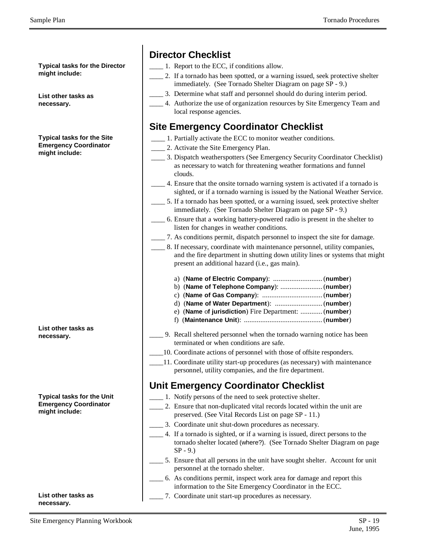**Typical tasks for the Director might include:**

**List other tasks as necessary.**

**Typical tasks for the Site Emergency Coordinator might include:**

| List other tasks as |  |
|---------------------|--|
| necessary.          |  |

**Typical tasks for the Unit Emergency Coordinator might include:**

**List other tasks as necessary.**

#### **Director Checklist**

\_\_\_\_ 1. Report to the ECC, if conditions allow.

- \_\_\_\_ 2. If a tornado has been spotted, or a warning issued, seek protective shelter immediately. (See Tornado Shelter Diagram on page SP - 9.)
- \_\_\_\_ 3. Determine what staff and personnel should do during interim period.
- \_\_\_\_ 4. Authorize the use of organization resources by Site Emergency Team and local response agencies.

#### **Site Emergency Coordinator Checklist**

- 1. Partially activate the ECC to monitor weather conditions.
- \_\_\_\_ 2. Activate the Site Emergency Plan.
- \_\_\_\_ 3. Dispatch weatherspotters (See Emergency Security Coordinator Checklist) as necessary to watch for threatening weather formations and funnel clouds.
- \_\_\_\_ 4. Ensure that the onsite tornado warning system is activated if a tornado is sighted, or if a tornado warning is issued by the National Weather Service.
- \_\_\_\_ 5. If a tornado has been spotted, or a warning issued, seek protective shelter immediately. (See Tornado Shelter Diagram on page SP - 9.)
- \_\_\_\_ 6. Ensure that a working battery-powered radio is present in the shelter to listen for changes in weather conditions.
- \_\_\_\_ 7. As conditions permit, dispatch personnel to inspect the site for damage.
- \_\_\_\_ 8. If necessary, coordinate with maintenance personnel, utility companies, and the fire department in shutting down utility lines or systems that might present an additional hazard (i.e., gas main).
	- a) (**Name of Electric Company**): ...........................(**number**)
	- b) (**Name of Telephone Company**): .......................(**number**)
	- c) (**Name of Gas Company**): .................................(**number**)
	- d) (**Name of Water Department**): ..........................(**number**)
	- e) (**Name** o**f jurisdiction**) Fire Department: ............(**number**) f) (**Maintenance Unit**): ...........................................(**number**)
- \_\_\_\_ 9. Recall sheltered personnel when the tornado warning notice has been terminated or when conditions are safe.
- \_\_\_\_10. Coordinate actions of personnel with those of offsite responders.
- \_\_\_\_11. Coordinate utility start-up procedures (as necessary) with maintenance personnel, utility companies, and the fire department.

#### **Unit Emergency Coordinator Checklist**

- \_\_\_\_ 1. Notify persons of the need to seek protective shelter.
- 2. Ensure that non-duplicated vital records located within the unit are preserved. (See Vital Records List on page SP - 11.)
- \_\_\_\_ 3. Coordinate unit shut-down procedures as necessary.
- \_\_\_\_ 4. If a tornado is sighted, or if a warning is issued, direct persons to the tornado shelter located (where?). (See Tornado Shelter Diagram on page  $SP - 9.$ )
- \_\_\_\_ 5. Ensure that all persons in the unit have sought shelter. Account for unit personnel at the tornado shelter.
- \_\_\_\_ 6. As conditions permit, inspect work area for damage and report this information to the Site Emergency Coordinator in the ECC.
- \_\_\_\_ 7. Coordinate unit start-up procedures as necessary.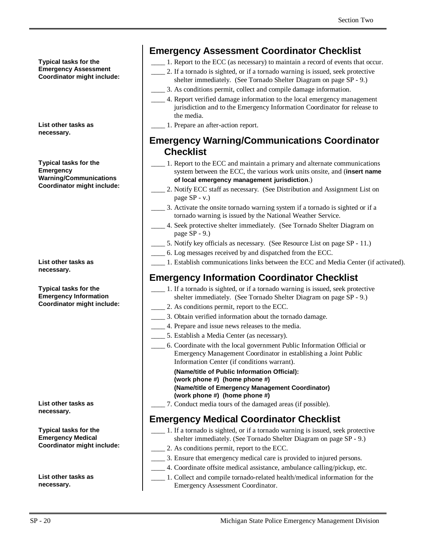**Typical tasks for the Emergency Assessment Coordinator might include:**

**List other tasks as necessary.**

**Typical tasks for the Emergency Warning/Communications Coordinator might include:**

**List other tasks as necessary.**

**Typical tasks for the Emergency Information Coordinator might include:**

**List other tasks as necessary.**

**Typical tasks for the Emergency Medical Coordinator might include:**

**List other tasks as necessary.**

#### **Emergency Assessment Coordinator Checklist**

- \_\_\_\_ 1. Report to the ECC (as necessary) to maintain a record of events that occur.
- \_\_\_\_ 2. If a tornado is sighted, or if a tornado warning is issued, seek protective shelter immediately. (See Tornado Shelter Diagram on page SP - 9.)
- \_\_\_\_ 3. As conditions permit, collect and compile damage information.
- \_\_\_\_ 4. Report verified damage information to the local emergency management jurisdiction and to the Emergency Information Coordinator for release to the media.
- \_\_\_\_ 1. Prepare an after-action report.

#### **Emergency Warning/Communications Coordinator Checklist**

- \_\_\_\_ 1. Report to the ECC and maintain a primary and alternate communications system between the ECC, the various work units onsite, and (**insert name of local emergency management jurisdiction**.)
- 2. Notify ECC staff as necessary. (See Distribution and Assignment List on page SP - v.)
- \_\_\_\_ 3. Activate the onsite tornado warning system if a tornado is sighted or if a tornado warning is issued by the National Weather Service.
- \_\_\_\_ 4. Seek protective shelter immediately. (See Tornado Shelter Diagram on page SP - 9.)
- \_\_\_\_ 5. Notify key officials as necessary. (See Resource List on page SP 11.)
- \_\_\_\_ 6. Log messages received by and dispatched from the ECC.
- \_\_\_\_ 1. Establish communications links between the ECC and Media Center (if activated).

## **Emergency Information Coordinator Checklist**

- \_\_\_\_ 1. If a tornado is sighted, or if a tornado warning is issued, seek protective shelter immediately. (See Tornado Shelter Diagram on page SP - 9.)
- \_\_\_\_ 2. As conditions permit, report to the ECC.
- \_\_\_\_ 3. Obtain verified information about the tornado damage.
- \_\_\_\_ 4. Prepare and issue news releases to the media.
- \_\_\_\_ 5. Establish a Media Center (as necessary).
- \_\_\_\_ 6. Coordinate with the local government Public Information Official or Emergency Management Coordinator in establishing a Joint Public Information Center (if conditions warrant).

**(Name/title of Public Information Official): (work phone #) (home phone #) (Name/title of Emergency Management Coordinator) (work phone #) (home phone #)**

\_\_\_\_ 7. Conduct media tours of the damaged areas (if possible).

## **Emergency Medical Coordinator Checklist**

- \_\_\_\_ 1. If a tornado is sighted, or if a tornado warning is issued, seek protective shelter immediately. (See Tornado Shelter Diagram on page SP - 9.)
- \_\_\_\_ 2. As conditions permit, report to the ECC.
- \_\_\_\_ 3. Ensure that emergency medical care is provided to injured persons.
	- \_\_\_\_ 4. Coordinate offsite medical assistance, ambulance calling/pickup, etc.
- \_\_\_\_ 1. Collect and compile tornado-related health/medical information for the Emergency Assessment Coordinator.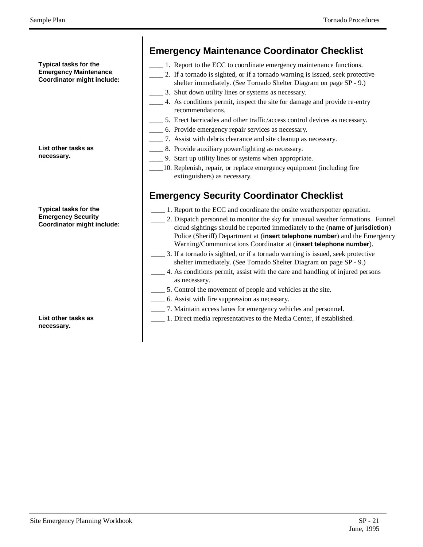**Typical tasks for the Emergency Maintenance Coordinator might include:**

**List other tasks as necessary.**

**Typical tasks for the Emergency Security Coordinator might include:**

**List other tasks as necessary.**

### **Emergency Maintenance Coordinator Checklist**

- \_\_\_\_ 1. Report to the ECC to coordinate emergency maintenance functions.
- 2. If a tornado is sighted, or if a tornado warning is issued, seek protective shelter immediately. (See Tornado Shelter Diagram on page SP - 9.)
- 3. Shut down utility lines or systems as necessary.
- \_\_\_\_ 4. As conditions permit, inspect the site for damage and provide re-entry recommendations.
- 5. Erect barricades and other traffic/access control devices as necessary.
- \_\_\_\_ 6. Provide emergency repair services as necessary.
- \_\_\_\_ 7. Assist with debris clearance and site cleanup as necessary.
- \_\_\_\_ 8. Provide auxiliary power/lighting as necessary.
- \_\_\_\_ 9. Start up utility lines or systems when appropriate.
- \_\_\_\_10. Replenish, repair, or replace emergency equipment (including fire extinguishers) as necessary.

# **Emergency Security Coordinator Checklist**

- \_\_\_\_ 1. Report to the ECC and coordinate the onsite weatherspotter operation.
- \_\_\_\_ 2. Dispatch personnel to monitor the sky for unusual weather formations. Funnel cloud sightings should be reported immediately to the (**name of jurisdiction**) Police (Sheriff) Department at (**insert telephone number**) and the Emergency Warning/Communications Coordinator at (**insert telephone number**).
- \_\_\_\_ 3. If a tornado is sighted, or if a tornado warning is issued, seek protective shelter immediately. (See Tornado Shelter Diagram on page SP - 9.)
- \_\_\_\_ 4. As conditions permit, assist with the care and handling of injured persons as necessary.
- \_\_\_\_ 5. Control the movement of people and vehicles at the site.
- \_\_\_\_ 6. Assist with fire suppression as necessary.
- \_\_\_\_ 7. Maintain access lanes for emergency vehicles and personnel.
- \_\_\_\_ 1. Direct media representatives to the Media Center, if established.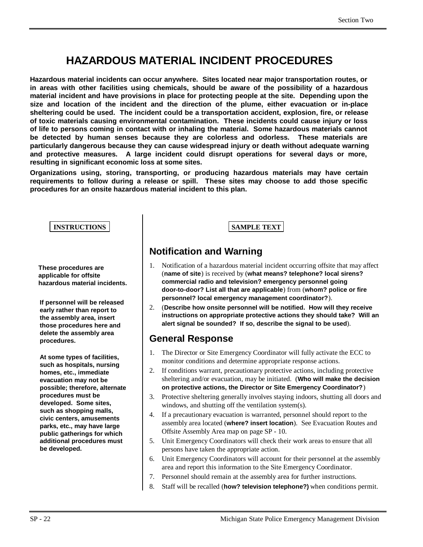# **HAZARDOUS MATERIAL INCIDENT PROCEDURES**

**Hazardous material incidents can occur anywhere. Sites located near major transportation routes, or in areas with other facilities using chemicals, should be aware of the possibility of a hazardous material incident and have provisions in place for protecting people at the site. Depending upon the size and location of the incident and the direction of the plume, either evacuation or in-place sheltering could be used. The incident could be a transportation accident, explosion, fire, or release of toxic materials causing environmental contamination. These incidents could cause injury or loss of life to persons coming in contact with or inhaling the material. Some hazardous materials cannot be detected by human senses because they are colorless and odorless. These materials are particularly dangerous because they can cause widespread injury or death without adequate warning and protective measures. A large incident could disrupt operations for several days or more, resulting in significant economic loss at some sites.**

**Organizations using, storing, transporting, or producing hazardous materials may have certain requirements to follow during a release or spill. These sites may choose to add those specific procedures for an onsite hazardous material incident to this plan.**

#### **INSTRUCTIONS SAMPLE TEXT**

**These procedures are applicable for offsite hazardous material incidents.**

**If personnel will be released early rather than report to the assembly area, insert those procedures here and delete the assembly area procedures.**

**At some types of facilities, such as hospitals, nursing homes, etc., immediate evacuation may not be possible; therefore, alternate procedures must be developed. Some sites, such as shopping malls, civic centers, amusements parks, etc., may have large public gatherings for which additional procedures must be developed.**

#### **Notification and Warning**

- 1. Notification of a hazardous material incident occurring offsite that may affect (**name of site**) is received by (**what means? telephone? local sirens? commercial radio and television? emergency personnel going door-to-door? List all that are applicable**) from (**whom? police or fire personnel? local emergency management coordinator?**).
- 2. (**Describe how onsite personnel will be notified. How will they receive instructions on appropriate protective actions they should take? Will an alert signal be sounded? If so, describe the signal to be used**).

#### **General Response**

- 1. The Director or Site Emergency Coordinator will fully activate the ECC to monitor conditions and determine appropriate response actions.
- 2. If conditions warrant, precautionary protective actions, including protective sheltering and/or evacuation, may be initiated. (**Who will make the decision on protective actions, the Director or Site Emergency Coordinator?**)
- 3. Protective sheltering generally involves staying indoors, shutting all doors and windows, and shutting off the ventilation system(s).
- 4. If a precautionary evacuation is warranted, personnel should report to the assembly area located (**where? insert location**). See Evacuation Routes and Offsite Assembly Area map on page SP - 10.
- 5. Unit Emergency Coordinators will check their work areas to ensure that all persons have taken the appropriate action.
- 6. Unit Emergency Coordinators will account for their personnel at the assembly area and report this information to the Site Emergency Coordinator.
- 7. Personnel should remain at the assembly area for further instructions.
- 8. Staff will be recalled (**how? television telephone?)** when conditions permit.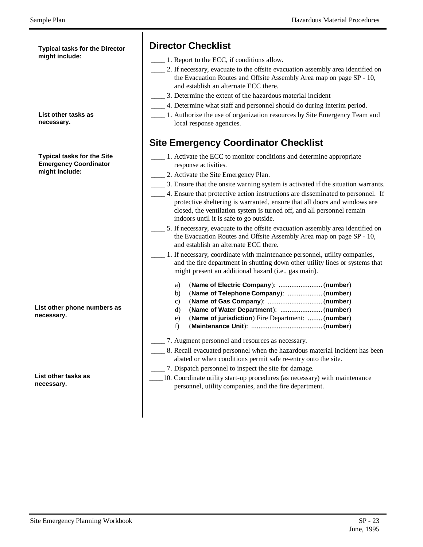**Typical tasks for the Director might include:**

**List other tasks as necessary.**

**Typical tasks for the Site Emergency Coordinator might include:**

**List other phone numbers as necessary.**

**List other tasks as necessary.**

#### **Director Checklist**

- \_\_\_\_ 1. Report to the ECC, if conditions allow.
- \_\_\_\_ 2. If necessary, evacuate to the offsite evacuation assembly area identified on the Evacuation Routes and Offsite Assembly Area map on page SP - 10, and establish an alternate ECC there.
- \_\_\_\_ 3. Determine the extent of the hazardous material incident
- \_\_\_\_ 4. Determine what staff and personnel should do during interim period.
- \_\_\_\_ 1. Authorize the use of organization resources by Site Emergency Team and local response agencies.

#### **Site Emergency Coordinator Checklist**

- \_\_\_\_ 1. Activate the ECC to monitor conditions and determine appropriate response activities.
- \_\_\_\_ 2. Activate the Site Emergency Plan.
- \_\_\_\_ 3. Ensure that the onsite warning system is activated if the situation warrants.
- \_\_\_\_ 4. Ensure that protective action instructions are disseminated to personnel. If protective sheltering is warranted, ensure that all doors and windows are closed, the ventilation system is turned off, and all personnel remain indoors until it is safe to go outside.
- 5. If necessary, evacuate to the offsite evacuation assembly area identified on the Evacuation Routes and Offsite Assembly Area map on page SP - 10, and establish an alternate ECC there.
- \_\_\_\_ 1. If necessary, coordinate with maintenance personnel, utility companies, and the fire department in shutting down other utility lines or systems that might present an additional hazard (i.e., gas main).
	- a) (**Name of Electric Company**): ........................(**number**)
	- b) (**Name of Telephone Company**): ...................(**number**)
	- c) (**Name of Gas Company**): ..............................(**number**)
	- d) (**Name of Water Department**): .......................(**number**)
	- e) (**Name of jurisdiction**) Fire Department: ........(**number**) f) (**Maintenance Unit**): .......................................(**number**)
- \_\_\_\_ 7. Augment personnel and resources as necessary.
- \_\_\_\_ 8. Recall evacuated personnel when the hazardous material incident has been abated or when conditions permit safe re-entry onto the site.
- \_\_\_\_ 7. Dispatch personnel to inspect the site for damage.
- \_\_\_\_10. Coordinate utility start-up procedures (as necessary) with maintenance personnel, utility companies, and the fire department.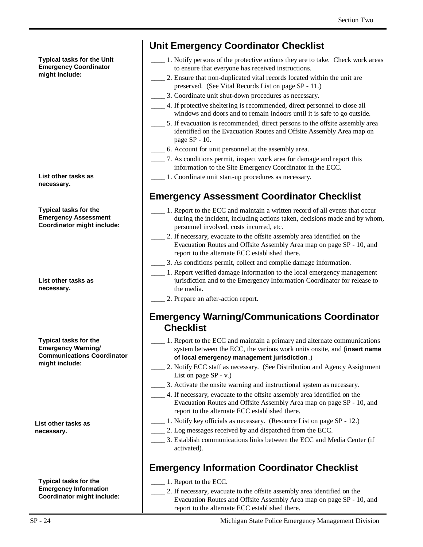**Typical tasks for the Unit Emergency Coordinator might include:**

**List other tasks as necessary.**

**Typical tasks for the Emergency Assessment Coordinator might include:**

**List other tasks as necessary.**

**Typical tasks for the Emergency Warning/ Communications Coordinator might include:**

**List other tasks as necessary.**

**Typical tasks for the Emergency Information Coordinator might include:**

#### **Unit Emergency Coordinator Checklist**

- \_\_\_\_ 1. Notify persons of the protective actions they are to take. Check work areas to ensure that everyone has received instructions.
- 2. Ensure that non-duplicated vital records located within the unit are preserved. (See Vital Records List on page SP - 11.)
- \_\_\_\_ 3. Coordinate unit shut-down procedures as necessary.
- \_\_\_\_ 4. If protective sheltering is recommended, direct personnel to close all windows and doors and to remain indoors until it is safe to go outside.
- \_\_\_\_ 5. If evacuation is recommended, direct persons to the offsite assembly area identified on the Evacuation Routes and Offsite Assembly Area map on page SP - 10.
- \_\_\_\_ 6. Account for unit personnel at the assembly area.
- \_\_\_\_ 7. As conditions permit, inspect work area for damage and report this information to the Site Emergency Coordinator in the ECC.
- \_\_\_\_ 1. Coordinate unit start-up procedures as necessary.

# **Emergency Assessment Coordinator Checklist**

- 1. Report to the ECC and maintain a written record of all events that occur during the incident, including actions taken, decisions made and by whom, personnel involved, costs incurred, etc.
- \_\_\_\_ 2. If necessary, evacuate to the offsite assembly area identified on the Evacuation Routes and Offsite Assembly Area map on page SP - 10, and report to the alternate ECC established there.
- \_\_\_\_ 3. As conditions permit, collect and compile damage information.
- \_\_\_\_ 1. Report verified damage information to the local emergency management jurisdiction and to the Emergency Information Coordinator for release to the media.
	- \_\_\_\_ 2. Prepare an after-action report.

#### **Emergency Warning/Communications Coordinator Checklist**

- \_\_\_\_ 1. Report to the ECC and maintain a primary and alternate communications system between the ECC, the various work units onsite, and (**insert name of local emergency management jurisdiction**.)
- \_\_\_\_ 2. Notify ECC staff as necessary. (See Distribution and Agency Assignment List on page SP - v.)
- \_\_\_\_ 3. Activate the onsite warning and instructional system as necessary.
	- \_\_\_\_ 4. If necessary, evacuate to the offsite assembly area identified on the Evacuation Routes and Offsite Assembly Area map on page SP - 10, and report to the alternate ECC established there.
- \_\_\_\_ 1. Notify key officials as necessary. (Resource List on page SP 12.)
- \_\_\_\_ 2. Log messages received by and dispatched from the ECC.
- \_\_\_\_ 3. Establish communications links between the ECC and Media Center (if activated).

## **Emergency Information Coordinator Checklist**

\_\_\_\_ 1. Report to the ECC.

 \_\_\_\_ 2. If necessary, evacuate to the offsite assembly area identified on the Evacuation Routes and Offsite Assembly Area map on page SP - 10, and report to the alternate ECC established there.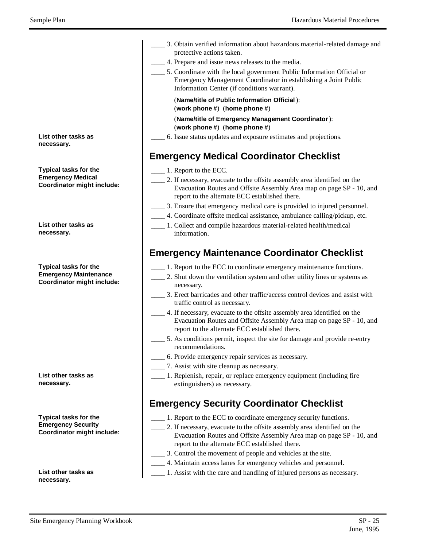|                                         | 3. Obtain verified information about hazardous material-related damage and                                                                                                                         |
|-----------------------------------------|----------------------------------------------------------------------------------------------------------------------------------------------------------------------------------------------------|
|                                         | protective actions taken.                                                                                                                                                                          |
|                                         | 4. Prepare and issue news releases to the media.                                                                                                                                                   |
|                                         | 5. Coordinate with the local government Public Information Official or<br>Emergency Management Coordinator in establishing a Joint Public<br>Information Center (if conditions warrant).           |
|                                         | (Name/title of Public Information Official):<br>(work phone #) (home phone #)                                                                                                                      |
|                                         | (Name/title of Emergency Management Coordinator):<br>(work phone $#$ ) (home phone $#$ )                                                                                                           |
| ks as                                   | 6. Issue status updates and exposure estimates and projections.                                                                                                                                    |
|                                         | <b>Emergency Medical Coordinator Checklist</b>                                                                                                                                                     |
| for the                                 | 1. Report to the ECC.                                                                                                                                                                              |
| edical<br>night include:                | 2. If necessary, evacuate to the offsite assembly area identified on the<br>Evacuation Routes and Offsite Assembly Area map on page SP - 10, and<br>report to the alternate ECC established there. |
|                                         | 3. Ensure that emergency medical care is provided to injured personnel.                                                                                                                            |
|                                         | 4. Coordinate offsite medical assistance, ambulance calling/pickup, etc.                                                                                                                           |
| ks as                                   | __ 1. Collect and compile hazardous material-related health/medical<br>information.                                                                                                                |
|                                         | <b>Emergency Maintenance Coordinator Checklist</b>                                                                                                                                                 |
| for the<br>aintenance<br>night include: | 1. Report to the ECC to coordinate emergency maintenance functions.<br>2. Shut down the ventilation system and other utility lines or systems as<br>necessary.                                     |
|                                         | 3. Erect barricades and other traffic/access control devices and assist with<br>traffic control as necessary.                                                                                      |
|                                         | 4. If necessary, evacuate to the offsite assembly area identified on the<br>Evacuation Routes and Offsite Assembly Area map on page SP - 10, and<br>report to the alternate ECC established there. |
|                                         | 5. As conditions permit, inspect the site for damage and provide re-entry<br>recommendations.                                                                                                      |
|                                         | 6. Provide emergency repair services as necessary.                                                                                                                                                 |
|                                         | 7. Assist with site cleanup as necessary.                                                                                                                                                          |
| ks as                                   | 1. Replenish, repair, or replace emergency equipment (including fire<br>extinguishers) as necessary.                                                                                               |
|                                         | <b>Emergency Security Coordinator Checklist</b>                                                                                                                                                    |
| for the                                 | 1. Report to the ECC to coordinate emergency security functions.                                                                                                                                   |
| ecurity<br>night include:               | 2. If necessary, evacuate to the offsite assembly area identified on the<br>Evacuation Routes and Offsite Assembly Area map on page SP - 10, and<br>report to the alternate ECC established there. |
|                                         | 3. Control the movement of people and vehicles at the site.                                                                                                                                        |
|                                         | 4. Maintain access lanes for emergency vehicles and personnel.                                                                                                                                     |
| ks as                                   | 1. Assist with the care and handling of injured persons as necessary.                                                                                                                              |

**List other task necessary.**

**Typical tasks Emergency Me Coordinator m** 

**List other task necessary.**

**Typical tasks Emergency Ma Coordinator m** 

**List other task necessary.**

**Typical tasks Emergency Se Coordinator m** 

**List other tasks as necessary.**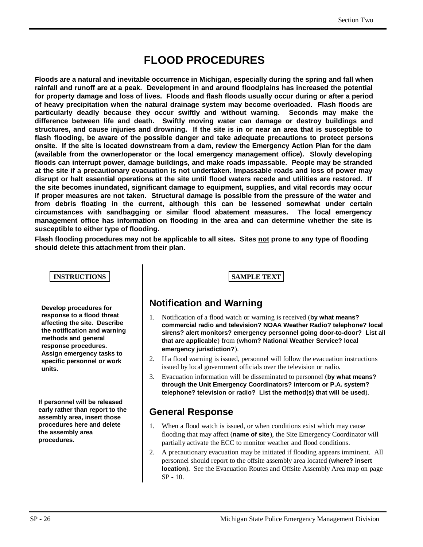# **FLOOD PROCEDURES**

**Floods are a natural and inevitable occurrence in Michigan, especially during the spring and fall when rainfall and runoff are at a peak. Development in and around floodplains has increased the potential for property damage and loss of lives. Floods and flash floods usually occur during or after a period of heavy precipitation when the natural drainage system may become overloaded. Flash floods are particularly deadly because they occur swiftly and without warning. Seconds may make the difference between life and death. Swiftly moving water can damage or destroy buildings and structures, and cause injuries and drowning. If the site is in or near an area that is susceptible to flash flooding, be aware of the possible danger and take adequate precautions to protect persons onsite. If the site is located downstream from a dam, review the Emergency Action Plan for the dam (available from the owner/operator or the local emergency management office). Slowly developing floods can interrupt power, damage buildings, and make roads impassable. People may be stranded at the site if a precautionary evacuation is not undertaken. Impassable roads and loss of power may disrupt or halt essential operations at the site until flood waters recede and utilities are restored. If the site becomes inundated, significant damage to equipment, supplies, and vital records may occur if proper measures are not taken. Structural damage is possible from the pressure of the water and from debris floating in the current, although this can be lessened somewhat under certain circumstances with sandbagging or similar flood abatement measures. The local emergency management office has information on flooding in the area and can determine whether the site is susceptible to either type of flooding.**

**Flash flooding procedures may not be applicable to all sites. Sites not prone to any type of flooding should delete this attachment from their plan.**

#### **INSTRUCTIONS SAMPLE TEXT**

**Develop procedures for response to a flood threat affecting the site. Describe the notification and warning methods and general response procedures. Assign emergency tasks to specific personnel or work units.**

**If personnel will be released early rather than report to the assembly area, insert those procedures here and delete the assembly area procedures.**

#### **Notification and Warning**

- 1. Notification of a flood watch or warning is received (**by what means? commercial radio and television? NOAA Weather Radio? telephone? local sirens? alert monitors? emergency personnel going door-to-door? List all that are applicable**) from (**whom? National Weather Service? local emergency jurisdiction?**).
- 2. If a flood warning is issued, personnel will follow the evacuation instructions issued by local government officials over the television or radio.
- 3. Evacuation information will be disseminated to personnel (**by what means? through the Unit Emergency Coordinators? intercom or P.A. system? telephone? television or radio? List the method(s) that will be used**).

#### **General Response**

- 1. When a flood watch is issued, or when conditions exist which may cause flooding that may affect (**name of site**), the Site Emergency Coordinator will partially activate the ECC to monitor weather and flood conditions.
- 2. A precautionary evacuation may be initiated if flooding appears imminent. All personnel should report to the offsite assembly area located (**where? insert location**). See the Evacuation Routes and Offsite Assembly Area map on page SP - 10.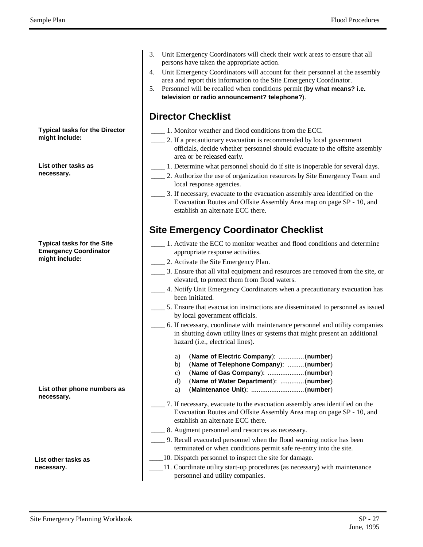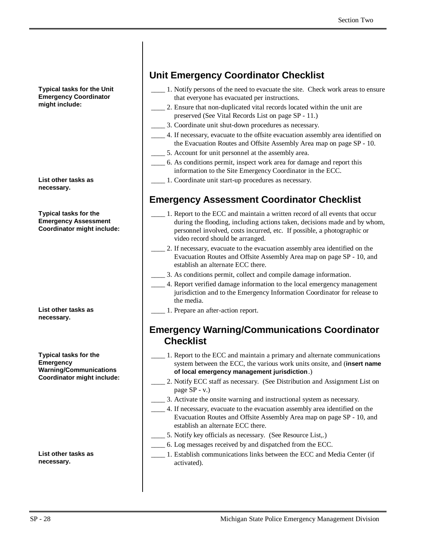**Typical tasks for the Unit Emergency Coordinator might include:**

**List other tasks as necessary.**

**Typical tasks for the Emergency Assessment Coordinator might include:**

**List other tasks as necessary.**

**Typical tasks for the Emergency Warning/Communications Coordinator might include:**

**List other tasks as necessary.**

## **Unit Emergency Coordinator Checklist**

- \_\_\_\_ 1. Notify persons of the need to evacuate the site. Check work areas to ensure that everyone has evacuated per instructions.
- \_\_\_\_ 2. Ensure that non-duplicated vital records located within the unit are preserved (See Vital Records List on page SP - 11.)
- \_\_\_\_ 3. Coordinate unit shut-down procedures as necessary.
- \_\_\_\_ 4. If necessary, evacuate to the offsite evacuation assembly area identified on the Evacuation Routes and Offsite Assembly Area map on page SP - 10.
- 5. Account for unit personnel at the assembly area.
- \_\_\_\_ 6. As conditions permit, inspect work area for damage and report this information to the Site Emergency Coordinator in the ECC.
- \_\_\_\_ 1. Coordinate unit start-up procedures as necessary.

#### **Emergency Assessment Coordinator Checklist**

- \_\_\_\_ 1. Report to the ECC and maintain a written record of all events that occur during the flooding, including actions taken, decisions made and by whom, personnel involved, costs incurred, etc. If possible, a photographic or video record should be arranged.
- 2. If necessary, evacuate to the evacuation assembly area identified on the Evacuation Routes and Offsite Assembly Area map on page SP - 10, and establish an alternate ECC there.
- \_\_\_\_ 3. As conditions permit, collect and compile damage information.
- \_\_\_\_ 4. Report verified damage information to the local emergency management jurisdiction and to the Emergency Information Coordinator for release to the media.
- \_\_\_\_ 1. Prepare an after-action report.

#### **Emergency Warning/Communications Coordinator Checklist**

- \_\_\_\_ 1. Report to the ECC and maintain a primary and alternate communications system between the ECC, the various work units onsite, and (**insert name of local emergency management jurisdiction**.)
- 2. Notify ECC staff as necessary. (See Distribution and Assignment List on page SP - v.)
- \_\_\_\_ 3. Activate the onsite warning and instructional system as necessary.
- \_\_\_\_ 4. If necessary, evacuate to the evacuation assembly area identified on the Evacuation Routes and Offsite Assembly Area map on page SP - 10, and establish an alternate ECC there.
- \_\_\_\_ 5. Notify key officials as necessary. (See Resource List,.)
- \_\_\_\_ 6. Log messages received by and dispatched from the ECC.
- \_\_\_\_ 1. Establish communications links between the ECC and Media Center (if activated).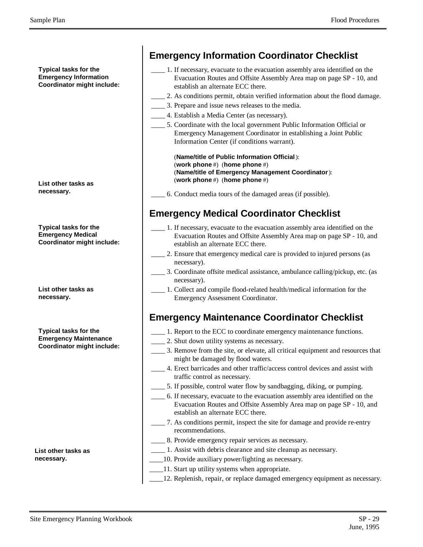**Typical tasks for the Emergency Information Coordinator might include:**

**List other tasks as necessary.**

**Typical tasks for the Emergency Medical Coordinator might include:**

**List other tasks as necessary.**

**Typical tasks for the Emergency Maintenance Coordinator might include:**

**List other tasks as necessary.**

| 1. If necessary, evacuate to the evacuation assembly area identified on the<br>Evacuation Routes and Offsite Assembly Area map on page SP - 10, and<br>establish an alternate ECC there. |
|------------------------------------------------------------------------------------------------------------------------------------------------------------------------------------------|
| 2. As conditions permit, obtain verified information about the flood damage.                                                                                                             |
| 3. Prepare and issue news releases to the media.                                                                                                                                         |
| 4. Establish a Media Center (as necessary).                                                                                                                                              |
| 5. Coordinate with the local government Public Information Official or<br>Emergency Management Coordinator in establishing a Joint Public<br>Information Center (if conditions warrant). |
| (Name/title of Public Information Official):<br>(work phone #) (home phone #)<br>(Name/title of Emergency Management Coordinator):<br>(work phone #) (home phone #)                      |
| 6. Conduct media tours of the damaged areas (if possible).                                                                                                                               |
| 1. If necessary, evacuate to the evacuation assembly area identified on the<br>Evacuation Routes and Offsite Assembly Area map on page SP - 10, and                                      |
| establish an alternate ECC there.<br>2. Ensure that emergency medical care is provided to injured persons (as                                                                            |
| necessary).<br>__ 3. Coordinate offsite medical assistance, ambulance calling/pickup, etc. (as                                                                                           |
| necessary).<br>1. Collect and compile flood-related health/medical information for the<br>Emergency Assessment Coordinator.                                                              |
| <b>Emergency Maintenance Coordinator Checklist</b>                                                                                                                                       |
| 1. Report to the ECC to coordinate emergency maintenance functions.                                                                                                                      |
| 2. Shut down utility systems as necessary.                                                                                                                                               |
| 3. Remove from the site, or elevate, all critical equipment and resources that<br>might be damaged by flood waters.                                                                      |
| 4. Erect barricades and other traffic/access control devices and assist with<br>traffic control as necessary.                                                                            |
| __ 5. If possible, control water flow by sandbagging, diking, or pumping.                                                                                                                |
| 6. If necessary, evacuate to the evacuation assembly area identified on the<br>Evacuation Routes and Offsite Assembly Area map on page SP - 10, and<br>establish an alternate ECC there. |

- \_\_\_\_ 7. As conditions permit, inspect the site for damage and provide re-entry recommendations.
- 8. Provide emergency repair services as necessary.
- \_\_\_\_ 1. Assist with debris clearance and site cleanup as necessary.
- \_\_\_\_10. Provide auxiliary power/lighting as necessary.
- \_\_\_\_11. Start up utility systems when appropriate.
- \_\_\_\_12. Replenish, repair, or replace damaged emergency equipment as necessary.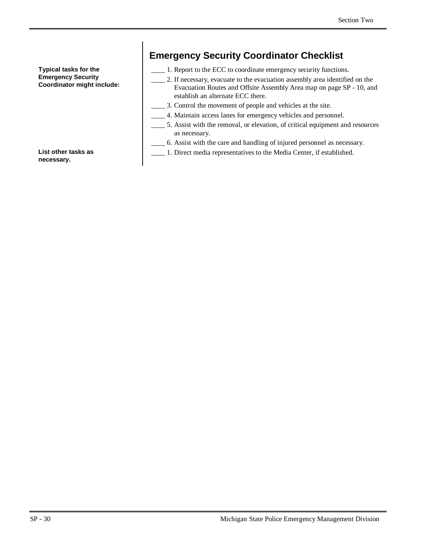**Typical tasks for the Emergency Security Coordinator might include:**

# **Emergency Security Coordinator Checklist**

- \_\_\_\_ 1. Report to the ECC to coordinate emergency security functions.
- \_\_\_\_ 2. If necessary, evacuate to the evacuation assembly area identified on the Evacuation Routes and Offsite Assembly Area map on page SP - 10, and establish an alternate ECC there.
- \_\_\_\_ 3. Control the movement of people and vehicles at the site.
- \_\_\_\_ 4. Maintain access lanes for emergency vehicles and personnel.
- \_\_\_\_ 5. Assist with the removal, or elevation, of critical equipment and resources as necessary.
- \_\_\_\_ 6. Assist with the care and handling of injured personnel as necessary.
- \_\_\_\_ 1. Direct media representatives to the Media Center, if established.

**List other tasks as necessary.**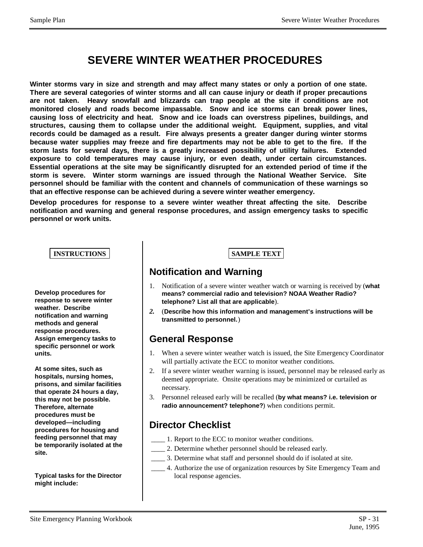# **SEVERE WINTER WEATHER PROCEDURES**

**Winter storms vary in size and strength and may affect many states or only a portion of one state. There are several categories of winter storms and all can cause injury or death if proper precautions are not taken. Heavy snowfall and blizzards can trap people at the site if conditions are not monitored closely and roads become impassable. Snow and ice storms can break power lines, causing loss of electricity and heat. Snow and ice loads can overstress pipelines, buildings, and structures, causing them to collapse under the additional weight. Equipment, supplies, and vital records could be damaged as a result. Fire always presents a greater danger during winter storms because water supplies may freeze and fire departments may not be able to get to the fire. If the storm lasts for several days, there is a greatly increased possibility of utility failures. Extended exposure to cold temperatures may cause injury, or even death, under certain circumstances. Essential operations at the site may be significantly disrupted for an extended period of time if the storm is severe. Winter storm warnings are issued through the National Weather Service. Site personnel should be familiar with the content and channels of communication of these warnings so that an effective response can be achieved during a severe winter weather emergency.**

**Develop procedures for response to a severe winter weather threat affecting the site. Describe notification and warning and general response procedures, and assign emergency tasks to specific personnel or work units.**

#### **INSTRUCTIONS SAMPLE TEXT**

**Develop procedures for response to severe winter weather. Describe notification and warning methods and general response procedures. Assign emergency tasks to specific personnel or work units.**

**At some sites, such as hospitals, nursing homes, prisons, and similar facilities that operate 24 hours a day, this may not be possible. Therefore, alternate procedures must be developed— including procedures for housing and feeding personnel that may be temporarily isolated at the site.**

**Typical tasks for the Director might include:**

#### **Notification and Warning**

- 1. Notification of a severe winter weather watch or warning is received by (**what means? commercial radio and television? NOAA Weather Radio? telephone? List all that are applicable**).
- *2.* (**Describe how this information and management's instructions will be transmitted to personnel.**)

#### **General Response**

- 1. When a severe winter weather watch is issued, the Site Emergency Coordinator will partially activate the ECC to monitor weather conditions.
- 2. If a severe winter weather warning is issued, personnel may be released early as deemed appropriate. Onsite operations may be minimized or curtailed as necessary.
- 3. Personnel released early will be recalled (**by what means? i.e. television or radio announcement? telephone?**) when conditions permit.

#### **Director Checklist**

- \_\_\_\_ 1. Report to the ECC to monitor weather conditions.
- \_\_\_\_ 2. Determine whether personnel should be released early.
- \_\_\_\_ 3. Determine what staff and personnel should do if isolated at site.
- \_\_\_\_ 4. Authorize the use of organization resources by Site Emergency Team and local response agencies.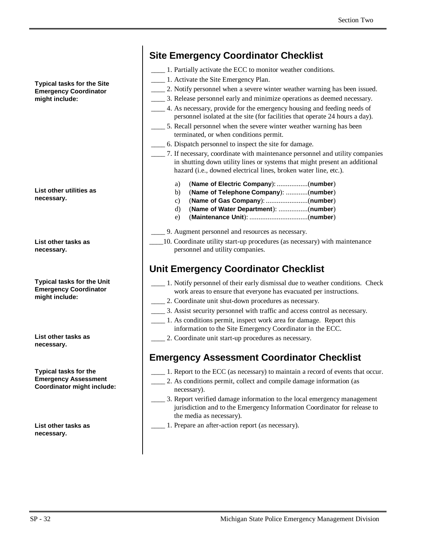**Typical tasks for the Site Emergency Coordinator might include:**

**List other utilities as necessary.**

**List other tasks as necessary.**

**Typical tasks for the Unit Emergency Coordinator might include:**

**List other tasks as necessary.**

**Typical tasks for the Emergency Assessment Coordinator might include:**

**List other tasks as necessary.**

#### **Site Emergency Coordinator Checklist**

- \_\_\_\_ 1. Partially activate the ECC to monitor weather conditions.
- \_\_\_\_ 1. Activate the Site Emergency Plan.
	- \_\_\_\_ 2. Notify personnel when a severe winter weather warning has been issued.
	- \_\_\_\_ 3. Release personnel early and minimize operations as deemed necessary.
- \_\_\_\_ 4. As necessary, provide for the emergency housing and feeding needs of personnel isolated at the site (for facilities that operate 24 hours a day).
- \_\_\_\_ 5. Recall personnel when the severe winter weather warning has been terminated, or when conditions permit.
- \_\_\_\_ 6. Dispatch personnel to inspect the site for damage.
- \_\_\_\_ 7. If necessary, coordinate with maintenance personnel and utility companies in shutting down utility lines or systems that might present an additional hazard (i.e., downed electrical lines, broken water line, etc.).
	- a) (**Name of Electric Company**): .................(**number**)
	- b) (**Name of Telephone Company**): ............(**number**)
	- c) (**Name of Gas Company**): .......................(**number**)
	- d) (**Name of Water Department**): ................(**number**)
	- e) (**Maintenance Unit**): ................................(**number**)
	- \_\_\_\_ 9. Augment personnel and resources as necessary.
- \_\_\_\_10. Coordinate utility start-up procedures (as necessary) with maintenance personnel and utility companies.

#### **Unit Emergency Coordinator Checklist**

- \_\_\_\_ 1. Notify personnel of their early dismissal due to weather conditions. Check work areas to ensure that everyone has evacuated per instructions.
- \_\_\_\_ 2. Coordinate unit shut-down procedures as necessary.
- \_\_\_\_ 3. Assist security personnel with traffic and access control as necessary.
	- \_\_\_\_ 1. As conditions permit, inspect work area for damage. Report this information to the Site Emergency Coordinator in the ECC.
	- \_\_\_\_ 2. Coordinate unit start-up procedures as necessary.

#### **Emergency Assessment Coordinator Checklist**

- \_\_\_\_ 1. Report to the ECC (as necessary) to maintain a record of events that occur.
- \_\_\_\_ 2. As conditions permit, collect and compile damage information (as necessary).
- \_\_\_\_ 3. Report verified damage information to the local emergency management jurisdiction and to the Emergency Information Coordinator for release to the media as necessary).
- \_\_\_\_ 1. Prepare an after-action report (as necessary).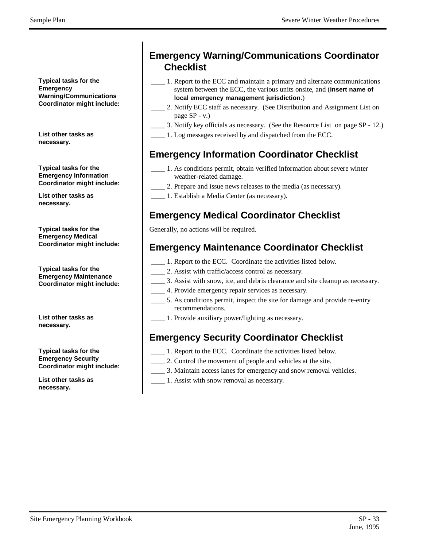**Typical tasks for the Emergency Warning/Communications Coordinator might include:**

**List other tasks as necessary.**

#### **Typical tasks for the Emergency Information Coordinator might include:**

**List other tasks as necessary.**

**Typical tasks for the Emergency Medical Coordinator might include:**

**Typical tasks for the Emergency Maintenance Coordinator might include:**

**List other tasks as necessary.**

**Typical tasks for the Emergency Security Coordinator might include:**

**List other tasks as necessary.**

## **Emergency Warning/Communications Coordinator Checklist**

- \_\_\_\_ 1. Report to the ECC and maintain a primary and alternate communications system between the ECC, the various units onsite, and (**insert name of local emergency management jurisdiction**.)
- 2. Notify ECC staff as necessary. (See Distribution and Assignment List on page SP - v.)
- \_\_\_\_ 3. Notify key officials as necessary. (See the Resource List on page SP 12.)
- \_\_\_\_ 1. Log messages received by and dispatched from the ECC.

#### **Emergency Information Coordinator Checklist**

- \_\_\_\_ 1. As conditions permit, obtain verified information about severe winter weather-related damage.
- \_\_\_\_ 2. Prepare and issue news releases to the media (as necessary).
- \_\_\_\_ 1. Establish a Media Center (as necessary).

## **Emergency Medical Coordinator Checklist**

Generally, no actions will be required.

#### **Emergency Maintenance Coordinator Checklist**

- \_\_\_\_ 1. Report to the ECC. Coordinate the activities listed below.
- \_\_\_\_ 2. Assist with traffic/access control as necessary.
- \_\_\_\_ 3. Assist with snow, ice, and debris clearance and site cleanup as necessary.
- \_\_\_\_ 4. Provide emergency repair services as necessary.
	- \_\_\_\_ 5. As conditions permit, inspect the site for damage and provide re-entry recommendations.
- \_\_\_\_ 1. Provide auxiliary power/lighting as necessary.

## **Emergency Security Coordinator Checklist**

- \_\_\_\_ 1. Report to the ECC. Coordinate the activities listed below.
- \_\_\_\_ 2. Control the movement of people and vehicles at the site.
- \_\_\_\_ 3. Maintain access lanes for emergency and snow removal vehicles.
	- \_\_\_\_ 1. Assist with snow removal as necessary.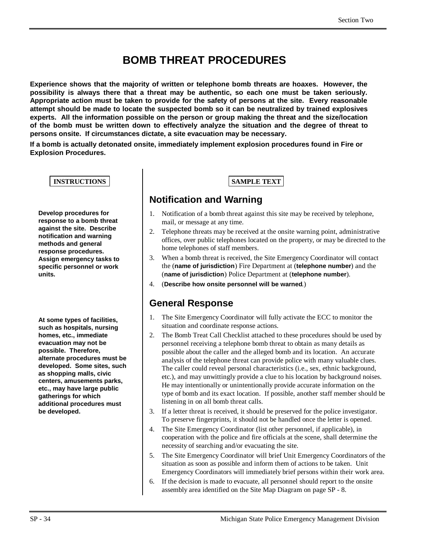# **BOMB THREAT PROCEDURES**

**Experience shows that the majority of written or telephone bomb threats are hoaxes. However, the possibility is always there that a threat may be authentic, so each one must be taken seriously. Appropriate action must be taken to provide for the safety of persons at the site. Every reasonable attempt should be made to locate the suspected bomb so it can be neutralized by trained explosives experts. All the information possible on the person or group making the threat and the size/location of the bomb must be written down to effectively analyze the situation and the degree of threat to persons onsite. If circumstances dictate, a site evacuation may be necessary.**

**If a bomb is actually detonated onsite, immediately implement explosion procedures found in Fire or Explosion Procedures.**

**INSTRUCTIONS SAMPLE TEXT** 

**Develop procedures for response to a bomb threat against the site. Describe notification and warning methods and general response procedures. Assign emergency tasks to specific personnel or work units.**

**At some types of facilities, such as hospitals, nursing homes, etc., immediate evacuation may not be possible. Therefore, alternate procedures must be developed. Some sites, such as shopping malls, civic centers, amusements parks, etc., may have large public gatherings for which additional procedures must be developed.**

#### **Notification and Warning**

- 1. Notification of a bomb threat against this site may be received by telephone, mail, or message at any time.
- 2. Telephone threats may be received at the onsite warning point, administrative offices, over public telephones located on the property, or may be directed to the home telephones of staff members.
- 3. When a bomb threat is received, the Site Emergency Coordinator will contact the (**name of jurisdiction**) Fire Department at (**telephone number**) and the (**name of jurisdiction**) Police Department at (**telephone number**).
- 4. (**Describe how onsite personnel will be warned**.)

#### **General Response**

- 1. The Site Emergency Coordinator will fully activate the ECC to monitor the situation and coordinate response actions.
- 2. The Bomb Treat Call Checklist attached to these procedures should be used by personnel receiving a telephone bomb threat to obtain as many details as possible about the caller and the alleged bomb and its location. An accurate analysis of the telephone threat can provide police with many valuable clues. The caller could reveal personal characteristics (i.e., sex, ethnic background, etc.), and may unwittingly provide a clue to his location by background noises. He may intentionally or unintentionally provide accurate information on the type of bomb and its exact location. If possible, another staff member should be listening in on all bomb threat calls.
- 3. If a letter threat is received, it should be preserved for the police investigator. To preserve fingerprints, it should not be handled once the letter is opened.
- 4. The Site Emergency Coordinator (list other personnel, if applicable), in cooperation with the police and fire officials at the scene, shall determine the necessity of searching and/or evacuating the site.
- 5. The Site Emergency Coordinator will brief Unit Emergency Coordinators of the situation as soon as possible and inform them of actions to be taken. Unit Emergency Coordinators will immediately brief persons within their work area.
- 6. If the decision is made to evacuate, all personnel should report to the onsite assembly area identified on the Site Map Diagram on page SP - 8.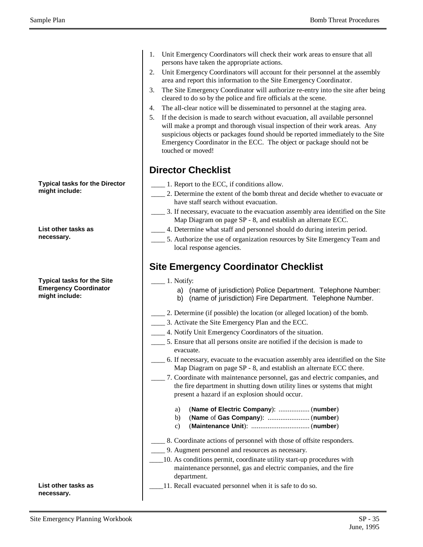Sample Plan Bomb Threat Procedures

**Typical tasks for the Director might include:**

**List other tasks as necessary.**

**Typical tasks for the Site Emergency Coordinator might include:**

**List other tasks as necessary.**

- 1. Unit Emergency Coordinators will check their work areas to ensure that all persons have taken the appropriate actions.
- 2. Unit Emergency Coordinators will account for their personnel at the assembly area and report this information to the Site Emergency Coordinator.
- 3. The Site Emergency Coordinator will authorize re-entry into the site after being cleared to do so by the police and fire officials at the scene.
- 4. The all-clear notice will be disseminated to personnel at the staging area.
- 5. If the decision is made to search without evacuation, all available personnel will make a prompt and thorough visual inspection of their work areas. Any suspicious objects or packages found should be reported immediately to the Site Emergency Coordinator in the ECC. The object or package should not be touched or moved!

#### **Director Checklist**

- \_\_\_\_ 1. Report to the ECC, if conditions allow.
- \_\_\_\_ 2. Determine the extent of the bomb threat and decide whether to evacuate or have staff search without evacuation.
- \_\_\_\_ 3. If necessary, evacuate to the evacuation assembly area identified on the Site Map Diagram on page SP - 8, and establish an alternate ECC.
- \_\_\_\_ 4. Determine what staff and personnel should do during interim period.
- \_\_\_\_ 5. Authorize the use of organization resources by Site Emergency Team and local response agencies.

#### **Site Emergency Coordinator Checklist**

- $\frac{1}{1}$ . Notify:
	- a) (name of jurisdiction) Police Department. Telephone Number: b) (name of jurisdiction) Fire Department. Telephone Number.
- \_\_\_\_ 2. Determine (if possible) the location (or alleged location) of the bomb.
- \_\_\_\_ 3. Activate the Site Emergency Plan and the ECC.
- \_\_\_\_ 4. Notify Unit Emergency Coordinators of the situation.
- \_\_\_\_ 5. Ensure that all persons onsite are notified if the decision is made to evacuate.
- \_\_\_\_ 6. If necessary, evacuate to the evacuation assembly area identified on the Site Map Diagram on page SP - 8, and establish an alternate ECC there.
- \_\_\_\_ 7. Coordinate with maintenance personnel, gas and electric companies, and the fire department in shutting down utility lines or systems that might present a hazard if an explosion should occur.
	- a) (**Name of Electric Company**): ................. (**number**)
	- b) (**Name** of **Gas Company**): ....................... (**number**)
	- c) (**Maintenance Unit**): ................................ (**number**)
- \_\_\_\_ 8. Coordinate actions of personnel with those of offsite responders.
	- \_\_\_\_ 9. Augment personnel and resources as necessary.
- \_\_\_\_10. As conditions permit, coordinate utility start-up procedures with maintenance personnel, gas and electric companies, and the fire department.
- \_\_\_\_11. Recall evacuated personnel when it is safe to do so.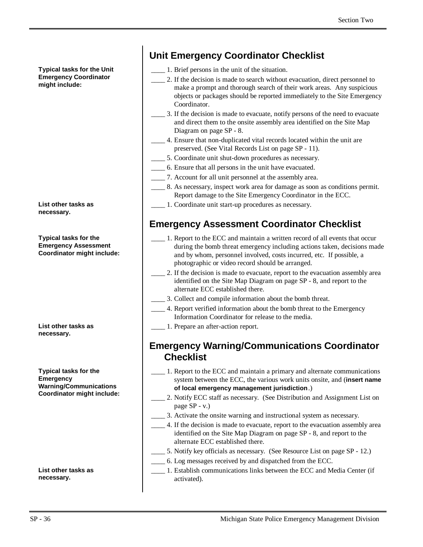**Typical tasks for the Unit Emergency Coordinator might include:**

**List other tasks as necessary.**

**Typical tasks for the Emergency Assessment Coordinator might include:**

**List other tasks as necessary.**

**Typical tasks for the Emergency Warning/Communications Coordinator might include:**

**List other tasks as necessary.**

## **Unit Emergency Coordinator Checklist**

- \_\_\_\_ 1. Brief persons in the unit of the situation.
- \_\_\_\_ 2. If the decision is made to search without evacuation, direct personnel to make a prompt and thorough search of their work areas. Any suspicious objects or packages should be reported immediately to the Site Emergency Coordinator.
- \_\_\_\_ 3. If the decision is made to evacuate, notify persons of the need to evacuate and direct them to the onsite assembly area identified on the Site Map Diagram on page SP - 8.
- \_\_\_\_ 4. Ensure that non-duplicated vital records located within the unit are preserved. (See Vital Records List on page SP - 11).
- \_\_\_\_ 5. Coordinate unit shut-down procedures as necessary.
- \_\_\_\_ 6. Ensure that all persons in the unit have evacuated.
- \_\_\_\_ 7. Account for all unit personnel at the assembly area.
	- \_\_\_\_ 8. As necessary, inspect work area for damage as soon as conditions permit. Report damage to the Site Emergency Coordinator in the ECC.
- \_\_\_\_ 1. Coordinate unit start-up procedures as necessary.

## **Emergency Assessment Coordinator Checklist**

- \_\_\_\_ 1. Report to the ECC and maintain a written record of all events that occur during the bomb threat emergency including actions taken, decisions made and by whom, personnel involved, costs incurred, etc. If possible, a photographic or video record should be arranged.
- \_\_\_\_ 2. If the decision is made to evacuate, report to the evacuation assembly area identified on the Site Map Diagram on page SP - 8, and report to the alternate ECC established there.
- \_\_\_\_ 3. Collect and compile information about the bomb threat.
- \_\_\_\_ 4. Report verified information about the bomb threat to the Emergency Information Coordinator for release to the media.
- \_\_\_\_ 1. Prepare an after-action report.

#### **Emergency Warning/Communications Coordinator Checklist**

- \_\_\_\_ 1. Report to the ECC and maintain a primary and alternate communications system between the ECC, the various work units onsite, and (**insert name of local emergency management jurisdiction**.)
- 2. Notify ECC staff as necessary. (See Distribution and Assignment List on page SP - v.)
- \_\_\_\_ 3. Activate the onsite warning and instructional system as necessary.
- \_\_\_\_ 4. If the decision is made to evacuate, report to the evacuation assembly area identified on the Site Map Diagram on page SP - 8, and report to the alternate ECC established there.
- \_\_\_\_ 5. Notify key officials as necessary. (See Resource List on page SP 12.)
- \_\_\_\_ 6. Log messages received by and dispatched from the ECC.
- \_\_\_\_ 1. Establish communications links between the ECC and Media Center (if activated).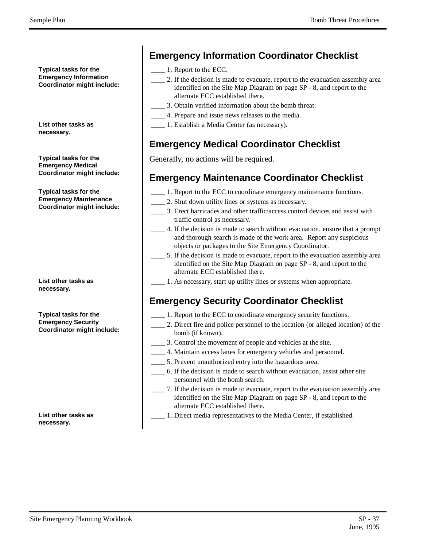**Typical tasks for the Emergency Information Coordinator might include:**

**List other tasks as necessary.**

**Typical tasks for the Emergency Medical Coordinator might include:**

**Typical tasks for the Emergency Maintenance Coordinator might include:**

**List other tasks as necessary.**

**Typical tasks for the Emergency Security Coordinator might include:**

**List other tasks as necessary.**

## **Emergency Information Coordinator Checklist**

- \_\_\_\_ 1. Report to the ECC.
- \_\_\_\_ 2. If the decision is made to evacuate, report to the evacuation assembly area identified on the Site Map Diagram on page SP - 8, and report to the alternate ECC established there.
- \_\_\_\_ 3. Obtain verified information about the bomb threat.
- \_\_\_\_ 4. Prepare and issue news releases to the media.
- \_\_\_\_ 1. Establish a Media Center (as necessary).

## **Emergency Medical Coordinator Checklist**

Generally, no actions will be required.

#### **Emergency Maintenance Coordinator Checklist**

- \_\_\_\_ 1. Report to the ECC to coordinate emergency maintenance functions.
- \_\_\_\_ 2. Shut down utility lines or systems as necessary.
- \_\_\_\_ 3. Erect barricades and other traffic/access control devices and assist with traffic control as necessary.
- \_\_\_\_ 4. If the decision is made to search without evacuation, ensure that a prompt and thorough search is made of the work area. Report any suspicious objects or packages to the Site Emergency Coordinator.
- 5. If the decision is made to evacuate, report to the evacuation assembly area identified on the Site Map Diagram on page SP - 8, and report to the alternate ECC established there.
- \_\_\_\_ 1. As necessary, start up utility lines or systems when appropriate.

## **Emergency Security Coordinator Checklist**

- \_\_\_\_ 1. Report to the ECC to coordinate emergency security functions.
- \_\_\_\_ 2. Direct fire and police personnel to the location (or alleged location) of the bomb (if known).
- \_\_\_\_ 3. Control the movement of people and vehicles at the site.
- \_\_\_\_ 4. Maintain access lanes for emergency vehicles and personnel.
- \_\_\_\_ 5. Prevent unauthorized entry into the hazardous area.
- \_\_\_\_ 6. If the decision is made to search without evacuation, assist other site personnel with the bomb search.
- \_\_\_\_ 7. If the decision is made to evacuate, report to the evacuation assembly area identified on the Site Map Diagram on page SP - 8, and report to the alternate ECC established there.
- \_\_\_\_ 1. Direct media representatives to the Media Center, if established.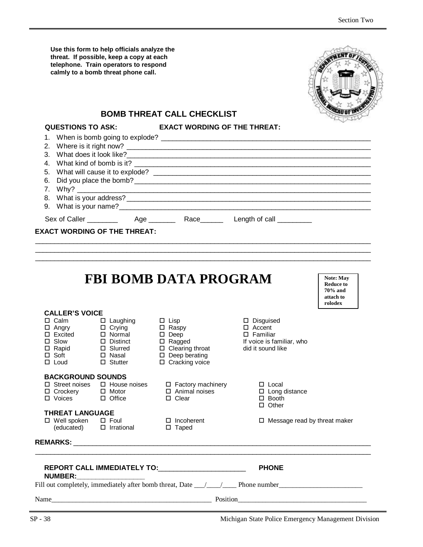| Use this form to help officials analyze the<br>threat. If possible, keep a copy at each<br>telephone. Train operators to respond<br>calmly to a bomb threat phone call.  |                                                           |                                                                                                                                                                 |                                                                                                              |                                                                         |  |
|--------------------------------------------------------------------------------------------------------------------------------------------------------------------------|-----------------------------------------------------------|-----------------------------------------------------------------------------------------------------------------------------------------------------------------|--------------------------------------------------------------------------------------------------------------|-------------------------------------------------------------------------|--|
|                                                                                                                                                                          |                                                           | <b>BOMB THREAT CALL CHECKLIST</b>                                                                                                                               |                                                                                                              |                                                                         |  |
| <b>QUESTIONS TO ASK:</b><br>1.<br>2.                                                                                                                                     |                                                           | <b>EXACT WORDING OF THE THREAT:</b>                                                                                                                             |                                                                                                              |                                                                         |  |
|                                                                                                                                                                          |                                                           |                                                                                                                                                                 |                                                                                                              |                                                                         |  |
| <b>CALLER'S VOICE</b><br>$\square$ Slow<br>$\Box$ Rapid<br>□ Soft<br>$\Box$ Loud                                                                                         | $\Box$ Distinct<br>□ Slurred<br>□ Nasal<br>$\Box$ Stutter | <b>FBI BOMB DATA PROGRAM</b><br>$\Box$ Lisp<br>□ Raspy<br>$\square$ Deep<br>$\Box$ Ragged<br>$\Box$ Clearing throat<br>$\Box$ Deep berating<br>□ Cracking voice | $\square$ Disguised<br>$\Box$ Accent<br>$\square$ Familiar<br>If voice is familiar, who<br>did it sound like | <b>Note: May</b><br><b>Reduce to</b><br>70% and<br>attach to<br>rolodex |  |
| <b>BACKGROUND SOUNDS</b><br>$\Box$ Street noises<br>□ Crockery<br>□ Voices<br><b>THREAT LANGUAGE</b><br>□ Well spoken □ Foul □ Incohe<br>(educated) □ Irrational □ Taped | $\square$ Motor<br>$\Box$ Office                          | □ House noises □ Factory machinery<br>$\Box$ Animal noises<br>$\Box$ Clear<br>$\Box$ Incoherent                                                                 | $\Box$ Local<br>$\square$ Long distance<br>$\square$ Booth<br>$\Box$ Other<br>□ Message read by threat maker |                                                                         |  |
|                                                                                                                                                                          |                                                           |                                                                                                                                                                 |                                                                                                              |                                                                         |  |
| <b>NUMBER:</b>                                                                                                                                                           |                                                           | REPORT CALL IMMEDIATELY TO: ______________________                                                                                                              | <b>PHONE</b>                                                                                                 |                                                                         |  |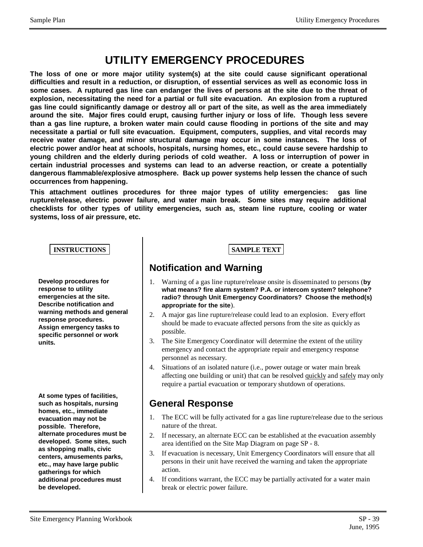# **UTILITY EMERGENCY PROCEDURES**

**The loss of one or more major utility system(s) at the site could cause significant operational difficulties and result in a reduction, or disruption, of essential services as well as economic loss in some cases. A ruptured gas line can endanger the lives of persons at the site due to the threat of explosion, necessitating the need for a partial or full site evacuation. An explosion from a ruptured gas line could significantly damage or destroy all or part of the site, as well as the area immediately around the site. Major fires could erupt, causing further injury or loss of life. Though less severe than a gas line rupture, a broken water main could cause flooding in portions of the site and may necessitate a partial or full site evacuation. Equipment, computers, supplies, and vital records may receive water damage, and minor structural damage may occur in some instances. The loss of electric power and/or heat at schools, hospitals, nursing homes, etc., could cause severe hardship to young children and the elderly during periods of cold weather. A loss or interruption of power in certain industrial processes and systems can lead to an adverse reaction, or create a potentially dangerous flammable/explosive atmosphere. Back up power systems help lessen the chance of such occurrences from happening.**

**This attachment outlines procedures for three major types of utility emergencies: gas line rupture/release, electric power failure, and water main break. Some sites may require additional checklists for other types of utility emergencies, such as, steam line rupture, cooling or water systems, loss of air pressure, etc.**

#### **INSTRUCTIONS SAMPLE TEXT**

**Develop procedures for response to utility emergencies at the site. Describe notification and warning methods and general response procedures. Assign emergency tasks to specific personnel or work units.**

**At some types of facilities, such as hospitals, nursing homes, etc., immediate evacuation may not be possible. Therefore, alternate procedures must be developed. Some sites, such as shopping malls, civic centers, amusements parks, etc., may have large public gatherings for which additional procedures must be developed.**

#### **Notification and Warning**

- 1. Warning of a gas line rupture/release onsite is disseminated to persons (**by what means? fire alarm system? P.A. or intercom system? telephone? radio? through Unit Emergency Coordinators? Choose the method(s) appropriate for the site**).
- 2. A major gas line rupture/release could lead to an explosion. Every effort should be made to evacuate affected persons from the site as quickly as possible.
- 3. The Site Emergency Coordinator will determine the extent of the utility emergency and contact the appropriate repair and emergency response personnel as necessary.
- 4. Situations of an isolated nature (i.e., power outage or water main break affecting one building or unit) that can be resolved quickly and safely may only require a partial evacuation or temporary shutdown of operations.

#### **General Response**

- 1. The ECC will be fully activated for a gas line rupture/release due to the serious nature of the threat.
- 2. If necessary, an alternate ECC can be established at the evacuation assembly area identified on the Site Map Diagram on page SP - 8.
- 3. If evacuation is necessary, Unit Emergency Coordinators will ensure that all persons in their unit have received the warning and taken the appropriate action.
- 4. If conditions warrant, the ECC may be partially activated for a water main break or electric power failure.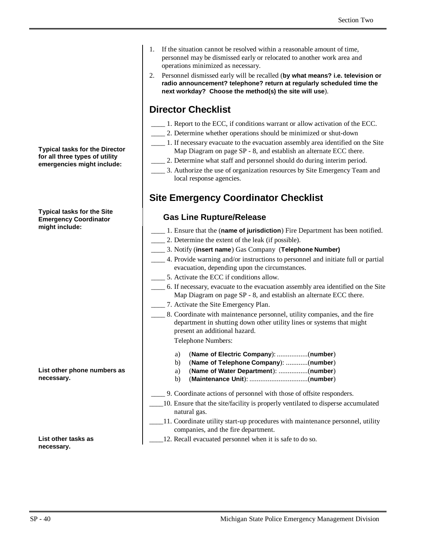**Typical tasks for the Director for all three types of utility emergencies might include:**

#### **Typical tasks for the Site Emergency Coordinator might include:**

**List other phone numbers as necessary.**

**List other tasks as necessary.**

- 1. If the situation cannot be resolved within a reasonable amount of time, personnel may be dismissed early or relocated to another work area and operations minimized as necessary.
- 2. Personnel dismissed early will be recalled (**by what means? i.e. television or radio announcement? telephone? return at regularly scheduled time the next workday? Choose the method(s) the site will use**).

#### **Director Checklist**

- \_\_\_\_ 1. Report to the ECC, if conditions warrant or allow activation of the ECC.
- \_\_\_\_ 2. Determine whether operations should be minimized or shut-down
- \_\_\_\_ 1. If necessary evacuate to the evacuation assembly area identified on the Site Map Diagram on page SP - 8, and establish an alternate ECC there.
- \_\_\_\_ 2. Determine what staff and personnel should do during interim period.
- \_\_\_\_ 3. Authorize the use of organization resources by Site Emergency Team and local response agencies.

## **Site Emergency Coordinator Checklist**

#### **Gas Line Rupture/Release**

 \_\_\_\_ 1. Ensure that the (**name of jurisdiction**) Fire Department has been notified. \_\_\_\_ 2. Determine the extent of the leak (if possible). \_\_\_\_ 3. Notify (**insert name**) Gas Company (**Telephone Number)** \_\_\_\_ 4. Provide warning and/or instructions to personnel and initiate full or partial evacuation, depending upon the circumstances. 5. Activate the ECC if conditions allow. \_\_\_\_ 6. If necessary, evacuate to the evacuation assembly area identified on the Site Map Diagram on page SP - 8, and establish an alternate ECC there. \_\_\_\_ 7. Activate the Site Emergency Plan. \_\_\_\_ 8. Coordinate with maintenance personnel, utility companies, and the fire department in shutting down other utility lines or systems that might present an additional hazard. Telephone Numbers: a) (**Name of Electric Company**): .................(**number**) b) (**Name of Telephone Company**): ............(**number**) a) (**Name of Water Department**): ................(**number**) b) (**Maintenance Unit**): ................................(**number**) \_\_\_\_ 9. Coordinate actions of personnel with those of offsite responders. \_\_\_\_10. Ensure that the site/facility is properly ventilated to disperse accumulated natural gas. \_\_\_\_11. Coordinate utility start-up procedures with maintenance personnel, utility companies, and the fire department. 12. Recall evacuated personnel when it is safe to do so.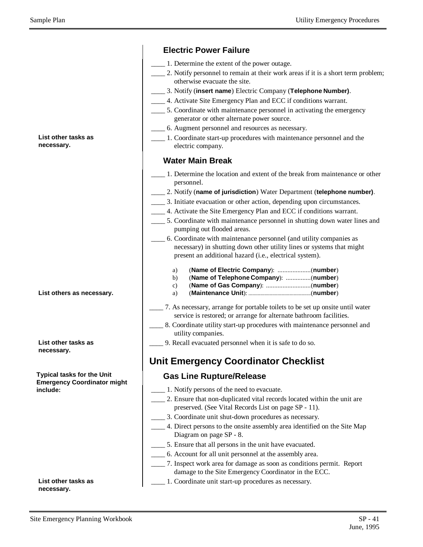|                                                                         | <b>Electric Power Failure</b>                                                                                                                                                                          |
|-------------------------------------------------------------------------|--------------------------------------------------------------------------------------------------------------------------------------------------------------------------------------------------------|
|                                                                         | 1. Determine the extent of the power outage.                                                                                                                                                           |
|                                                                         | 2. Notify personnel to remain at their work areas if it is a short term problem;<br>otherwise evacuate the site.                                                                                       |
|                                                                         | 3. Notify (insert name) Electric Company (Telephone Number).                                                                                                                                           |
|                                                                         | 4. Activate Site Emergency Plan and ECC if conditions warrant.                                                                                                                                         |
|                                                                         | 5. Coordinate with maintenance personnel in activating the emergency<br>generator or other alternate power source.                                                                                     |
|                                                                         | 6. Augment personnel and resources as necessary.                                                                                                                                                       |
| List other tasks as<br>necessary.                                       | 1. Coordinate start-up procedures with maintenance personnel and the<br>electric company.                                                                                                              |
|                                                                         | <b>Water Main Break</b>                                                                                                                                                                                |
|                                                                         | 1. Determine the location and extent of the break from maintenance or other<br>personnel.                                                                                                              |
|                                                                         | 2. Notify (name of jurisdiction) Water Department (telephone number).                                                                                                                                  |
|                                                                         | _______ 3. Initiate evacuation or other action, depending upon circumstances.                                                                                                                          |
|                                                                         | 4. Activate the Site Emergency Plan and ECC if conditions warrant.                                                                                                                                     |
|                                                                         | _____ 5. Coordinate with maintenance personnel in shutting down water lines and                                                                                                                        |
|                                                                         | pumping out flooded areas.                                                                                                                                                                             |
|                                                                         | 6. Coordinate with maintenance personnel (and utility companies as<br>necessary) in shutting down other utility lines or systems that might<br>present an additional hazard (i.e., electrical system). |
| List others as necessary.                                               | a)<br>(Name of Telephone Company): (number)<br>b)<br>c)<br>a)                                                                                                                                          |
|                                                                         | 7. As necessary, arrange for portable toilets to be set up onsite until water<br>service is restored; or arrange for alternate bathroom facilities.                                                    |
|                                                                         | 8. Coordinate utility start-up procedures with maintenance personnel and                                                                                                                               |
|                                                                         | utility companies.                                                                                                                                                                                     |
| List other tasks as<br>necessary.                                       | 9. Recall evacuated personnel when it is safe to do so.                                                                                                                                                |
|                                                                         | <b>Unit Emergency Coordinator Checklist</b>                                                                                                                                                            |
| <b>Typical tasks for the Unit</b><br><b>Emergency Coordinator might</b> | <b>Gas Line Rupture/Release</b>                                                                                                                                                                        |
| include:                                                                | 1. Notify persons of the need to evacuate.                                                                                                                                                             |
|                                                                         | 2. Ensure that non-duplicated vital records located within the unit are                                                                                                                                |
|                                                                         | preserved. (See Vital Records List on page SP - 11).                                                                                                                                                   |
|                                                                         | 3. Coordinate unit shut-down procedures as necessary.<br>4. Direct persons to the onsite assembly area identified on the Site Map                                                                      |
|                                                                         | Diagram on page SP - 8.                                                                                                                                                                                |
|                                                                         | 5. Ensure that all persons in the unit have evacuated.                                                                                                                                                 |
|                                                                         | 6. Account for all unit personnel at the assembly area.                                                                                                                                                |
|                                                                         | 7. Inspect work area for damage as soon as conditions permit. Report<br>damage to the Site Emergency Coordinator in the ECC.                                                                           |
| List other tasks as                                                     | 1. Coordinate unit start-up procedures as necessary.                                                                                                                                                   |

**List other tasks as necessary.**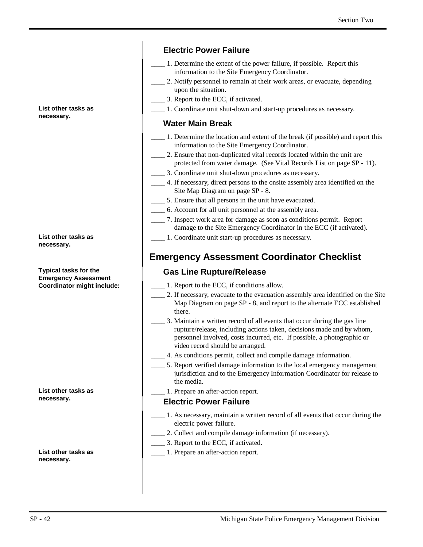#### **Electric Power Failure**

- \_\_\_\_ 1. Determine the extent of the power failure, if possible. Report this information to the Site Emergency Coordinator.
- \_\_\_\_ 2. Notify personnel to remain at their work areas, or evacuate, depending upon the situation.
- \_\_\_\_ 3. Report to the ECC, if activated.
- \_\_\_\_ 1. Coordinate unit shut-down and start-up procedures as necessary.

#### **Water Main Break**

- \_\_\_\_ 1. Determine the location and extent of the break (if possible) and report this information to the Site Emergency Coordinator.
- 2. Ensure that non-duplicated vital records located within the unit are protected from water damage. (See Vital Records List on page SP - 11).
- \_\_\_\_ 3. Coordinate unit shut-down procedures as necessary.
- \_\_\_\_ 4. If necessary, direct persons to the onsite assembly area identified on the Site Map Diagram on page SP - 8.
- \_\_\_\_ 5. Ensure that all persons in the unit have evacuated.
- \_\_\_\_ 6. Account for all unit personnel at the assembly area.
- \_\_\_\_ 7. Inspect work area for damage as soon as conditions permit. Report damage to the Site Emergency Coordinator in the ECC (if activated).
- \_\_\_\_ 1. Coordinate unit start-up procedures as necessary.

#### **Emergency Assessment Coordinator Checklist**

#### **Gas Line Rupture/Release**

- \_\_\_\_ 1. Report to the ECC, if conditions allow.
- \_\_\_\_ 2. If necessary, evacuate to the evacuation assembly area identified on the Site Map Diagram on page SP - 8, and report to the alternate ECC established there.
- \_\_\_\_ 3. Maintain a written record of all events that occur during the gas line rupture/release, including actions taken, decisions made and by whom, personnel involved, costs incurred, etc. If possible, a photographic or video record should be arranged.
- \_\_\_\_ 4. As conditions permit, collect and compile damage information.
- 5. Report verified damage information to the local emergency management jurisdiction and to the Emergency Information Coordinator for release to the media.
- \_\_\_\_ 1. Prepare an after-action report.

#### **Electric Power Failure**

- \_\_\_\_ 1. As necessary, maintain a written record of all events that occur during the electric power failure.
- 2. Collect and compile damage information (if necessary).
- \_\_\_\_ 3. Report to the ECC, if activated.
- \_\_\_\_ 1. Prepare an after-action report.

#### **List other tasks as necessary.**

**List other tasks as necessary.**

**Typical tasks for the Emergency Assessment Coordinator might include:**

**List other tasks as necessary.**

**List other tasks as necessary.**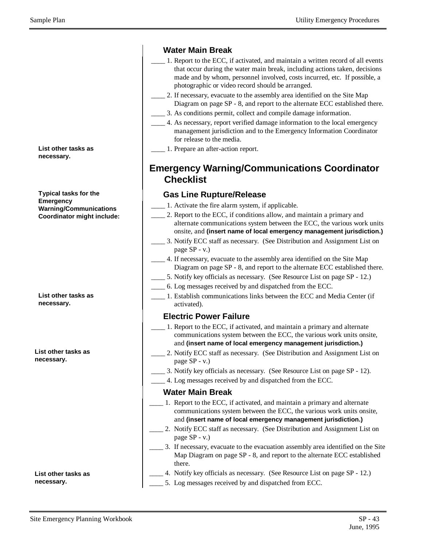**List other tasks as necessary.**

**Typical tasks for the Emergency Warning/Communications Coordinator might include:**

**List other tasks as necessary.**

**List other tasks as necessary.**

**List other tasks as necessary.**

#### **Water Main Break**

- \_\_\_\_ 1. Report to the ECC, if activated, and maintain a written record of all events that occur during the water main break, including actions taken, decisions made and by whom, personnel involved, costs incurred, etc. If possible, a photographic or video record should be arranged.
- 2. If necessary, evacuate to the assembly area identified on the Site Map Diagram on page SP - 8, and report to the alternate ECC established there.
- \_\_\_\_ 3. As conditions permit, collect and compile damage information.
- \_\_\_\_ 4. As necessary, report verified damage information to the local emergency management jurisdiction and to the Emergency Information Coordinator for release to the media.

\_\_\_\_ 1. Prepare an after-action report.

### **Emergency Warning/Communications Coordinator Checklist**

#### **Gas Line Rupture/Release**

- \_\_\_\_ 1. Activate the fire alarm system, if applicable.
- 2. Report to the ECC, if conditions allow, and maintain a primary and alternate communications system between the ECC, the various work units onsite, and **(insert name of local emergency management jurisdiction.)**
- \_\_\_\_ 3. Notify ECC staff as necessary. (See Distribution and Assignment List on page SP - v.)
- 4. If necessary, evacuate to the assembly area identified on the Site Map Diagram on page SP - 8, and report to the alternate ECC established there.
- 5. Notify key officials as necessary. (See Resource List on page SP 12.)
- \_\_\_\_ 6. Log messages received by and dispatched from the ECC.
- \_\_\_\_ 1. Establish communications links between the ECC and Media Center (if activated).

#### **Electric Power Failure**

- \_\_\_\_ 1. Report to the ECC, if activated, and maintain a primary and alternate communications system between the ECC, the various work units onsite, and **(insert name of local emergency management jurisdiction.)**
- 2. Notify ECC staff as necessary. (See Distribution and Assignment List on page SP - v.)
- \_\_\_\_ 3. Notify key officials as necessary. (See Resource List on page SP 12).
- \_\_\_\_ 4. Log messages received by and dispatched from the ECC.

#### **Water Main Break**

- \_\_\_\_ 1. Report to the ECC, if activated, and maintain a primary and alternate communications system between the ECC, the various work units onsite, and **(insert name of local emergency management jurisdiction.)**
- 2. Notify ECC staff as necessary. (See Distribution and Assignment List on page SP - v.)
- \_\_\_\_ 3. If necessary, evacuate to the evacuation assembly area identified on the Site Map Diagram on page SP - 8, and report to the alternate ECC established there.
- 4. Notify key officials as necessary. (See Resource List on page SP 12.)
	- 5. Log messages received by and dispatched from ECC.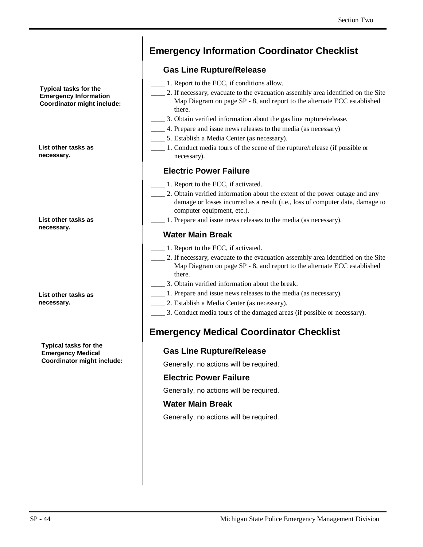**Typical tasks for the Emergency Information Coordinator might include:**

**List other tasks as necessary.**

**List other tasks as necessary.**

**List other tasks as necessary.**

**Typical tasks for the Emergency Medical Coordinator might include:**

# **Emergency Information Coordinator Checklist**

#### **Gas Line Rupture/Release**

- \_\_\_\_ 1. Report to the ECC, if conditions allow.
	- \_\_\_\_ 2. If necessary, evacuate to the evacuation assembly area identified on the Site Map Diagram on page SP - 8, and report to the alternate ECC established there.
- \_\_\_\_ 3. Obtain verified information about the gas line rupture/release.
	- \_\_\_\_ 4. Prepare and issue news releases to the media (as necessary)
- \_\_\_\_ 5. Establish a Media Center (as necessary).
- \_\_\_\_ 1. Conduct media tours of the scene of the rupture/release (if possible or necessary).

#### **Electric Power Failure**

- \_\_\_\_ 1. Report to the ECC, if activated.
- \_\_\_\_ 2. Obtain verified information about the extent of the power outage and any damage or losses incurred as a result (i.e., loss of computer data, damage to computer equipment, etc.).
- \_\_\_\_ 1. Prepare and issue news releases to the media (as necessary).

#### **Water Main Break**

- \_\_\_\_ 1. Report to the ECC, if activated.
- \_\_\_\_ 2. If necessary, evacuate to the evacuation assembly area identified on the Site Map Diagram on page SP - 8, and report to the alternate ECC established there.
- \_\_\_\_ 3. Obtain verified information about the break.
- \_\_\_\_ 1. Prepare and issue news releases to the media (as necessary).
- \_\_\_\_ 2. Establish a Media Center (as necessary).
	- \_\_\_\_ 3. Conduct media tours of the damaged areas (if possible or necessary).

### **Emergency Medical Coordinator Checklist**

#### **Gas Line Rupture/Release**

Generally, no actions will be required.

#### **Electric Power Failure**

Generally, no actions will be required.

#### **Water Main Break**

Generally, no actions will be required.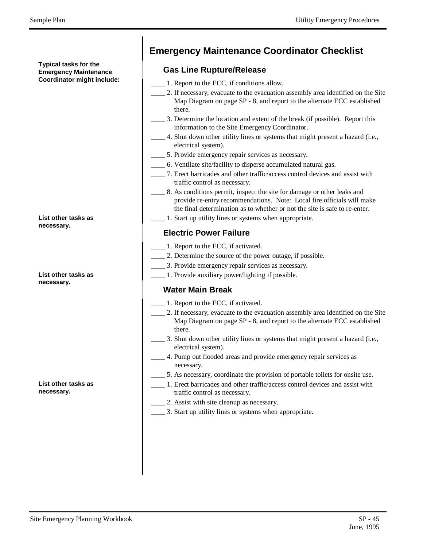**Typical tasks for the Emergency Maintenance Coordinator might include:**

#### **List other tasks as necessary.**

#### **List other tasks as necessary.**

**List other tasks as necessary.**

# **Emergency Maintenance Coordinator Checklist**

#### **Gas Line Rupture/Release**

- \_\_\_\_ 1. Report to the ECC, if conditions allow.
- \_\_\_\_ 2. If necessary, evacuate to the evacuation assembly area identified on the Site Map Diagram on page SP - 8, and report to the alternate ECC established there.
- \_\_\_\_ 3. Determine the location and extent of the break (if possible). Report this information to the Site Emergency Coordinator.
- \_\_\_\_ 4. Shut down other utility lines or systems that might present a hazard (i.e., electrical system).
- \_\_\_\_ 5. Provide emergency repair services as necessary.
- \_\_\_\_ 6. Ventilate site/facility to disperse accumulated natural gas.
- \_\_\_\_ 7. Erect barricades and other traffic/access control devices and assist with traffic control as necessary.
- \_\_\_\_ 8. As conditions permit, inspect the site for damage or other leaks and provide re-entry recommendations. Note: Local fire officials will make the final determination as to whether or not the site is safe to re-enter.
- \_\_\_\_ 1. Start up utility lines or systems when appropriate.

#### **Electric Power Failure**

- \_\_\_\_ 1. Report to the ECC, if activated.
- \_\_\_\_ 2. Determine the source of the power outage, if possible.
- \_\_\_\_ 3. Provide emergency repair services as necessary.
- \_\_\_\_ 1. Provide auxiliary power/lighting if possible.

#### **Water Main Break**

- \_\_\_\_ 1. Report to the ECC, if activated.
	- \_\_\_\_ 2. If necessary, evacuate to the evacuation assembly area identified on the Site Map Diagram on page SP - 8, and report to the alternate ECC established there.
- \_\_\_\_ 3. Shut down other utility lines or systems that might present a hazard (i.e., electrical system).
- \_\_\_\_ 4. Pump out flooded areas and provide emergency repair services as necessary.
- \_\_\_\_ 5. As necessary, coordinate the provision of portable toilets for onsite use.
	- \_\_\_\_ 1. Erect barricades and other traffic/access control devices and assist with traffic control as necessary.
	- \_\_\_\_ 2. Assist with site cleanup as necessary.
	- \_\_\_\_ 3. Start up utility lines or systems when appropriate.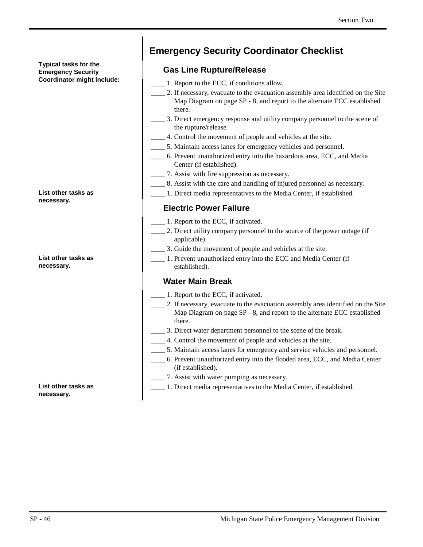#### **Typical tasks for the Emergency Security Coordinator might include:**

|            |  | List other tasks as |  |  |
|------------|--|---------------------|--|--|
| necessary. |  |                     |  |  |

**List other tasks as necessary.**

**List other tasks as necessary.**

# **Emergency Security Coordinator Checklist**

#### **Gas Line Rupture/Release**

- \_\_\_\_ 1. Report to the ECC, if conditions allow.
	- \_\_\_\_ 2. If necessary, evacuate to the evacuation assembly area identified on the Site Map Diagram on page SP - 8, and report to the alternate ECC established there.
- \_\_\_\_ 3. Direct emergency response and utility company personnel to the scene of the rupture/release.
- \_\_\_\_ 4. Control the movement of people and vehicles at the site.
- \_\_\_\_ 5. Maintain access lanes for emergency vehicles and personnel.
- \_\_\_\_ 6. Prevent unauthorized entry into the hazardous area, ECC, and Media Center (if established).
- \_\_\_\_ 7. Assist with fire suppression as necessary.
	- \_\_\_\_ 8. Assist with the care and handling of injured personnel as necessary.
- \_\_\_\_ 1. Direct media representatives to the Media Center, if established.

#### **Electric Power Failure**

- \_\_\_\_ 1. Report to the ECC, if activated.
- \_\_\_\_ 2. Direct utility company personnel to the source of the power outage (if applicable).
- \_\_\_\_ 3. Guide the movement of people and vehicles at the site.
	- \_\_\_\_ 1. Prevent unauthorized entry into the ECC and Media Center (if established).

#### **Water Main Break**

- \_\_\_\_ 1. Report to the ECC, if activated.
- 2. If necessary, evacuate to the evacuation assembly area identified on the Site Map Diagram on page SP - 8, and report to the alternate ECC established there.
- \_\_\_\_ 3. Direct water department personnel to the scene of the break.
- \_\_\_\_ 4. Control the movement of people and vehicles at the site.
- \_\_\_\_ 5. Maintain access lanes for emergency and service vehicles and personnel.
- \_\_\_\_ 6. Prevent unauthorized entry into the flooded area, ECC, and Media Center (if established).
	- \_\_\_\_ 7. Assist with water pumping as necessary.
- \_\_\_\_ 1. Direct media representatives to the Media Center, if established.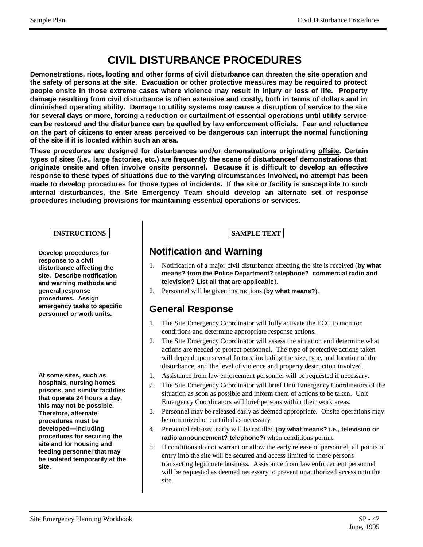# **CIVIL DISTURBANCE PROCEDURES**

**Demonstrations, riots, looting and other forms of civil disturbance can threaten the site operation and the safety of persons at the site. Evacuation or other protective measures may be required to protect people onsite in those extreme cases where violence may result in injury or loss of life. Property damage resulting from civil disturbance is often extensive and costly, both in terms of dollars and in diminished operating ability. Damage to utility systems may cause a disruption of service to the site for several days or more, forcing a reduction or curtailment of essential operations until utility service can be restored and the disturbance can be quelled by law enforcement officials. Fear and reluctance on the part of citizens to enter areas perceived to be dangerous can interrupt the normal functioning of the site if it is located within such an area.**

**These procedures are designed for disturbances and/or demonstrations originating offsite. Certain types of sites (i.e., large factories, etc.) are frequently the scene of disturbances/ demonstrations that originate onsite and often involve onsite personnel. Because it is difficult to develop an effective response to these types of situations due to the varying circumstances involved, no attempt has been made to develop procedures for those types of incidents. If the site or facility is susceptible to such internal disturbances, the Site Emergency Team should develop an alternate set of response procedures including provisions for maintaining essential operations or services.**

#### **INSTRUCTIONS SAMPLE TEXT**

**Develop procedures for response to a civil disturbance affecting the site. Describe notification and warning methods and general response procedures. Assign emergency tasks to specific personnel or work units.**

**At some sites, such as hospitals, nursing homes, prisons, and similar facilities that operate 24 hours a day, this may not be possible. Therefore, alternate procedures must be developed— including procedures for securing the site and for housing and feeding personnel that may be isolated temporarily at the site.**

### **Notification and Warning**

- 1. Notification of a major civil disturbance affecting the site is received (**by what means? from the Police Department? telephone? commercial radio and television? List all that are applicable**).
- 2. Personnel will be given instructions (**by what means?**).

#### **General Response**

- 1. The Site Emergency Coordinator will fully activate the ECC to monitor conditions and determine appropriate response actions.
- 2. The Site Emergency Coordinator will assess the situation and determine what actions are needed to protect personnel. The type of protective actions taken will depend upon several factors, including the size, type, and location of the disturbance, and the level of violence and property destruction involved.
- 1. Assistance from law enforcement personnel will be requested if necessary.
- 2. The Site Emergency Coordinator will brief Unit Emergency Coordinators of the situation as soon as possible and inform them of actions to be taken. Unit Emergency Coordinators will brief persons within their work areas.
- 3. Personnel may be released early as deemed appropriate. Onsite operations may be minimized or curtailed as necessary.
- 4. Personnel released early will be recalled (**by what means? i.e., television or radio announcement? telephone?**) when conditions permit.
- 5. If conditions do not warrant or allow the early release of personnel, all points of entry into the site will be secured and access limited to those persons transacting legitimate business. Assistance from law enforcement personnel will be requested as deemed necessary to prevent unauthorized access onto the site.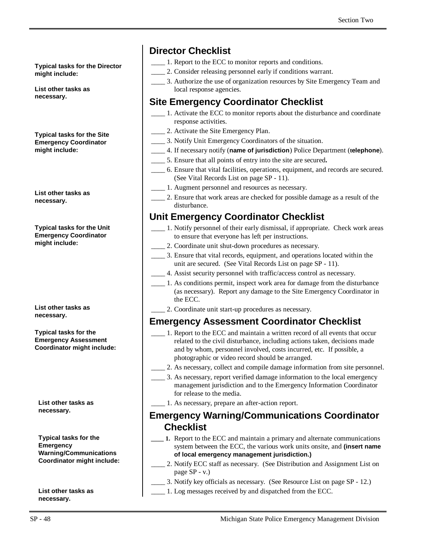**Typical tasks for the Director might include:**

**List other tasks as necessary.**

**Typical tasks for the Site Emergency Coordinator might include:**

**List other tasks as necessary.**

**Typical tasks for the Unit Emergency Coordinator might include:**

**List other tasks as necessary.**

**Typical tasks for the Emergency Assessment Coordinator might include:**

**List other tasks as necessary.**

**Typical tasks for the Emergency Warning/Communications Coordinator might include:**

**List other tasks as necessary.**

# **Director Checklist**

- \_\_\_\_ 1. Report to the ECC to monitor reports and conditions.
- \_\_\_\_ 2. Consider releasing personnel early if conditions warrant.
- \_\_\_\_ 3. Authorize the use of organization resources by Site Emergency Team and local response agencies.

# **Site Emergency Coordinator Checklist**

- \_\_\_\_ 1. Activate the ECC to monitor reports about the disturbance and coordinate response activities.
- \_\_\_\_ 2. Activate the Site Emergency Plan.
- \_\_\_\_ 3. Notify Unit Emergency Coordinators of the situation.
- \_\_\_\_ 4. If necessary notify (**name of jurisdiction**) Police Department (**telephone**).
- \_\_\_\_ 5. Ensure that all points of entry into the site are secured**.**
- \_\_\_\_ 6. Ensure that vital facilities, operations, equipment, and records are secured. (See Vital Records List on page SP - 11).
	- \_\_\_\_ 1. Augment personnel and resources as necessary.
	- \_\_\_\_ 2. Ensure that work areas are checked for possible damage as a result of the disturbance.

# **Unit Emergency Coordinator Checklist**

- \_\_\_\_ 1. Notify personnel of their early dismissal, if appropriate. Check work areas to ensure that everyone has left per instructions.
- \_\_\_\_ 2. Coordinate unit shut-down procedures as necessary.
- \_\_\_\_ 3. Ensure that vital records, equipment, and operations located within the unit are secured. (See Vital Records List on page SP - 11).
- \_\_\_\_ 4. Assist security personnel with traffic/access control as necessary.
- \_\_\_\_ 1. As conditions permit, inspect work area for damage from the disturbance (as necessary). Report any damage to the Site Emergency Coordinator in the ECC.
- \_\_\_\_ 2. Coordinate unit start-up procedures as necessary.

### **Emergency Assessment Coordinator Checklist**

- \_\_\_\_ 1. Report to the ECC and maintain a written record of all events that occur related to the civil disturbance, including actions taken, decisions made and by whom, personnel involved, costs incurred, etc. If possible, a photographic or video record should be arranged.
- \_\_\_\_ 2. As necessary, collect and compile damage information from site personnel.
	- \_\_\_\_ 3. As necessary, report verified damage information to the local emergency management jurisdiction and to the Emergency Information Coordinator for release to the media.
- \_\_\_\_ 1. As necessary, prepare an after-action report.

#### **Emergency Warning/Communications Coordinator Checklist**

- **\_\_\_\_ 1.** Report to the ECC and maintain a primary and alternate communications system between the ECC, the various work units onsite, and **(insert name of local emergency management jurisdiction.)**
- \_\_\_\_ 2. Notify ECC staff as necessary. (See Distribution and Assignment List on page SP - v.)
- \_\_\_\_ 3. Notify key officials as necessary. (See Resource List on page SP 12.)
- \_\_\_\_ 1. Log messages received by and dispatched from the ECC.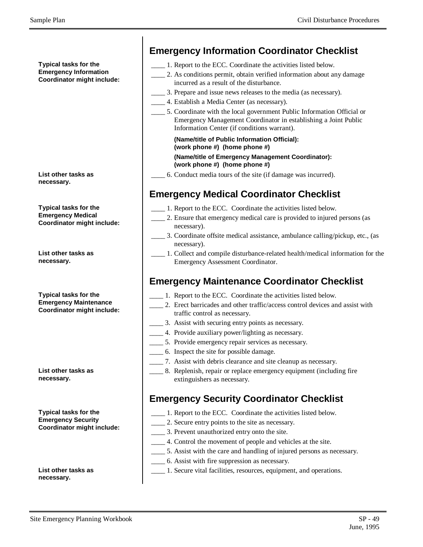**Typical tasks for the Emergency Information Coordinator might include:**

| List other tasks as |  |
|---------------------|--|
| necessary.          |  |

**Typical tasks for the Emergency Medical Coordinator might include:**

**List other tasks as necessary.**

**Typical tasks for the Emergency Maintenance Coordinator might include:**

**List other tasks as necessary.**

**Typical tasks for the Emergency Security Coordinator might include:**

**List other tasks as necessary.**

### **Emergency Information Coordinator Checklist**

- 1. Report to the ECC. Coordinate the activities listed below.
- \_\_\_\_ 2. As conditions permit, obtain verified information about any damage incurred as a result of the disturbance.
- \_\_\_\_ 3. Prepare and issue news releases to the media (as necessary).
- \_\_\_\_ 4. Establish a Media Center (as necessary).
- \_\_\_\_ 5. Coordinate with the local government Public Information Official or Emergency Management Coordinator in establishing a Joint Public Information Center (if conditions warrant).

#### **(Name/title of Public Information Official): (work phone #) (home phone #)**

#### **(Name/title of Emergency Management Coordinator): (work phone #) (home phone #)**

\_\_\_\_ 6. Conduct media tours of the site (if damage was incurred).

# **Emergency Medical Coordinator Checklist**

- \_\_\_\_ 1. Report to the ECC. Coordinate the activities listed below.
- 2. Ensure that emergency medical care is provided to injured persons (as necessary).
- 3. Coordinate offsite medical assistance, ambulance calling/pickup, etc., (as necessary).
- \_\_\_\_ 1. Collect and compile disturbance-related health/medical information for the Emergency Assessment Coordinator.

# **Emergency Maintenance Coordinator Checklist**

- \_\_\_\_ 1. Report to the ECC. Coordinate the activities listed below.
- 2. Erect barricades and other traffic/access control devices and assist with traffic control as necessary.
- \_\_\_\_ 3. Assist with securing entry points as necessary.
- \_\_\_\_ 4. Provide auxiliary power/lighting as necessary.
- \_\_\_\_ 5. Provide emergency repair services as necessary.
- \_\_\_\_ 6. Inspect the site for possible damage.
- \_\_\_\_ 7. Assist with debris clearance and site cleanup as necessary.
- \_\_\_\_ 8. Replenish, repair or replace emergency equipment (including fire extinguishers as necessary.

# **Emergency Security Coordinator Checklist**

- \_\_\_\_ 1. Report to the ECC. Coordinate the activities listed below.
- \_\_\_\_ 2. Secure entry points to the site as necessary.
- \_\_\_\_ 3. Prevent unauthorized entry onto the site.
- \_\_\_\_ 4. Control the movement of people and vehicles at the site.
- \_\_\_\_ 5. Assist with the care and handling of injured persons as necessary.
- \_\_\_\_ 6. Assist with fire suppression as necessary.
- \_\_\_\_ 1. Secure vital facilities, resources, equipment, and operations.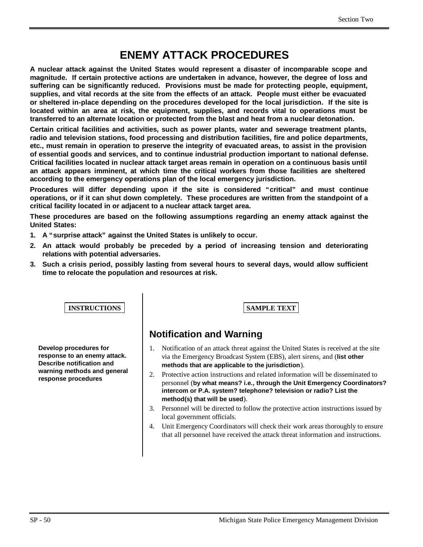# **ENEMY ATTACK PROCEDURES**

**A nuclear attack against the United States would represent a disaster of incomparable scope and magnitude. If certain protective actions are undertaken in advance, however, the degree of loss and suffering can be significantly reduced. Provisions must be made for protecting people, equipment, supplies, and vital records at the site from the effects of an attack. People must either be evacuated or sheltered in-place depending on the procedures developed for the local jurisdiction. If the site is located within an area at risk, the equipment, supplies, and records vital to operations must be transferred to an alternate location or protected from the blast and heat from a nuclear detonation.**

**Certain critical facilities and activities, such as power plants, water and sewerage treatment plants, radio and television stations, food processing and distribution facilities, fire and police departments, etc., must remain in operation to preserve the integrity of evacuated areas, to assist in the provision of essential goods and services, and to continue industrial production important to national defense. Critical facilities located in nuclear attack target areas remain in operation on a continuous basis until an attack appears imminent, at which time the critical workers from those facilities are sheltered according to the emergency operations plan of the local emergency jurisdiction.**

**Procedures will differ depending upon if the site is considered "critical" and must continue operations, or if it can shut down completely. These procedures are written from the standpoint of a critical facility located in or adjacent to a nuclear attack target area.**

**These procedures are based on the following assumptions regarding an enemy attack against the United States:**

- **1. A "surprise attack" against the United States is unlikely to occur.**
- **2. An attack would probably be preceded by a period of increasing tension and deteriorating relations with potential adversaries.**
- **3. Such a crisis period, possibly lasting from several hours to several days, would allow sufficient time to relocate the population and resources at risk.**

**INSTRUCTIONS SAMPLE TEXT** 

**Develop procedures for response to an enemy attack. Describe notification and warning methods and general response procedures**

# **Notification and Warning**

- 1. Notification of an attack threat against the United States is received at the site via the Emergency Broadcast System (EBS), alert sirens, and (**list other methods that are applicable to the jurisdiction**).
- 2. Protective action instructions and related information will be disseminated to personnel (**by what means? i.e., through the Unit Emergency Coordinators? intercom or P.A. system? telephone? television or radio? List the method(s) that will be used**).
- 3. Personnel will be directed to follow the protective action instructions issued by local government officials.
- 4. Unit Emergency Coordinators will check their work areas thoroughly to ensure that all personnel have received the attack threat information and instructions.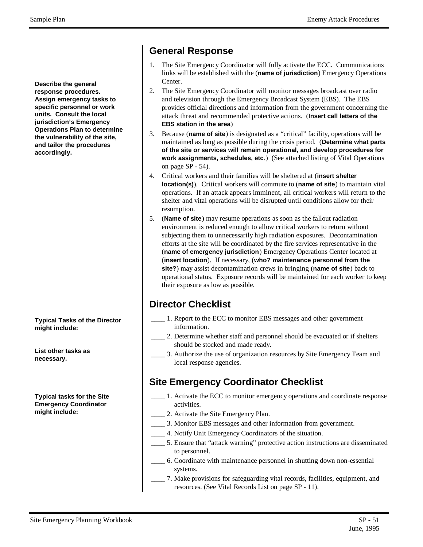**Describe the general response procedures. Assign emergency tasks to specific personnel or work units. Consult the local jurisdiction's Emergency Operations Plan to determine the vulnerability of the site, and tailor the procedures accordingly.**

**Typical Tasks of the Director might include:**

**List other tasks as necessary.**

**Typical tasks for the Site Emergency Coordinator might include:**

- 1. The Site Emergency Coordinator will fully activate the ECC. Communications links will be established with the (**name of jurisdiction**) Emergency Operations Center.
- 2. The Site Emergency Coordinator will monitor messages broadcast over radio and television through the Emergency Broadcast System (EBS). The EBS provides official directions and information from the government concerning the attack threat and recommended protective actions. (**Insert call letters of the EBS station in the area**)
- 3. Because (**name of site**) is designated as a "critical" facility, operations will be maintained as long as possible during the crisis period. (**Determine what parts of the site or services will remain operational, and develop procedures for work assignments, schedules, etc**.) (See attached listing of Vital Operations on page SP - 54).
- 4. Critical workers and their families will be sheltered at (**insert shelter location(s)**). Critical workers will commute to (**name of site**) to maintain vital operations. If an attack appears imminent, all critical workers will return to the shelter and vital operations will be disrupted until conditions allow for their resumption.
- 5. (**Name of site**) may resume operations as soon as the fallout radiation environment is reduced enough to allow critical workers to return without subjecting them to unnecessarily high radiation exposures. Decontamination efforts at the site will be coordinated by the fire services representative in the (**name of emergency jurisdiction**) Emergency Operations Center located at (**insert location**). If necessary, (**who? maintenance personnel from the site?**) may assist decontamination crews in bringing (**name of site**) back to operational status. Exposure records will be maintained for each worker to keep their exposure as low as possible.

# **Director Checklist**

- \_\_\_\_ 1. Report to the ECC to monitor EBS messages and other government information.
- \_\_\_\_ 2. Determine whether staff and personnel should be evacuated or if shelters should be stocked and made ready.
- \_\_\_\_ 3. Authorize the use of organization resources by Site Emergency Team and local response agencies.

### **Site Emergency Coordinator Checklist**

- 1. Activate the ECC to monitor emergency operations and coordinate response activities.
- 2. Activate the Site Emergency Plan.
- \_\_\_\_ 3. Monitor EBS messages and other information from government.
- 4. Notify Unit Emergency Coordinators of the situation.
- \_\_\_\_ 5. Ensure that "attack warning" protective action instructions are disseminated to personnel.
- \_\_\_\_ 6. Coordinate with maintenance personnel in shutting down non-essential systems.
- \_\_\_\_ 7. Make provisions for safeguarding vital records, facilities, equipment, and resources. (See Vital Records List on page SP - 11).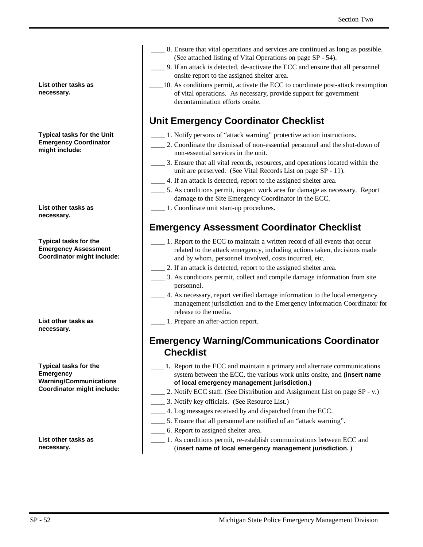**List other tasks as necessary.**

**Typical tasks for the Unit Emergency Coordinator might include:**

**List other tasks as necessary.**

**Typical tasks for the Emergency Assessment Coordinator might include:**

**List other tasks as necessary.**

**Typical tasks for the Emergency Warning/Communications Coordinator might include:**

**List other tasks as necessary.**

- \_\_\_\_ 8. Ensure that vital operations and services are continued as long as possible. (See attached listing of Vital Operations on page SP - 54).
- \_\_\_\_ 9. If an attack is detected, de-activate the ECC and ensure that all personnel onsite report to the assigned shelter area.
- \_\_\_\_10. As conditions permit, activate the ECC to coordinate post-attack resumption of vital operations. As necessary, provide support for government decontamination efforts onsite.

### **Unit Emergency Coordinator Checklist**

- \_\_\_\_ 1. Notify persons of "attack warning" protective action instructions.
	- \_\_\_\_ 2. Coordinate the dismissal of non-essential personnel and the shut-down of non-essential services in the unit.
	- \_\_\_\_ 3. Ensure that all vital records, resources, and operations located within the unit are preserved. (See Vital Records List on page SP - 11).
- \_\_\_\_ 4. If an attack is detected, report to the assigned shelter area.
- \_\_\_\_ 5. As conditions permit, inspect work area for damage as necessary. Report damage to the Site Emergency Coordinator in the ECC.
- \_\_\_\_ 1. Coordinate unit start-up procedures.

### **Emergency Assessment Coordinator Checklist**

- \_\_\_\_ 1. Report to the ECC to maintain a written record of all events that occur related to the attack emergency, including actions taken, decisions made and by whom, personnel involved, costs incurred, etc.
- 2. If an attack is detected, report to the assigned shelter area.
- \_\_\_\_ 3. As conditions permit, collect and compile damage information from site personnel.
- \_\_\_\_ 4. As necessary, report verified damage information to the local emergency management jurisdiction and to the Emergency Information Coordinator for release to the media.
- \_\_\_\_ 1. Prepare an after-action report.

#### **Emergency Warning/Communications Coordinator Checklist**

- **\_\_\_\_ 1.** Report to the ECC and maintain a primary and alternate communications system between the ECC, the various work units onsite, and **(insert name of local emergency management jurisdiction.)**
- 2. Notify ECC staff. (See Distribution and Assignment List on page SP v.)
- \_\_\_\_ 3. Notify key officials. (See Resource List.)
- \_\_\_\_ 4. Log messages received by and dispatched from the ECC.
- 5. Ensure that all personnel are notified of an "attack warning".
- \_\_\_\_ 6. Report to assigned shelter area.
- \_\_\_\_ 1. As conditions permit, re-establish communications between ECC and (**insert name of local emergency management jurisdiction.**)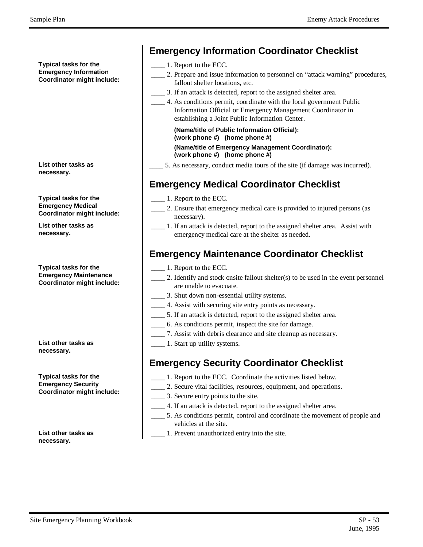**Typical tasks for the Emergency Information Coordinator might include:**

**List other tasks as necessary.**

**Typical tasks for the Emergency Medical Coordinator might include:**

**List other tasks as necessary.**

**Typical tasks for the Emergency Maintenance Coordinator might include:**

**List other tasks as necessary.**

**Typical tasks for the Emergency Security Coordinator might include:**

**List other tasks as necessary.**

|  |  |  | <b>Emergency Information Coordinator Checklist</b> |  |
|--|--|--|----------------------------------------------------|--|
|--|--|--|----------------------------------------------------|--|

- \_\_\_\_ 1. Report to the ECC.
- \_\_\_\_ 2. Prepare and issue information to personnel on "attack warning" procedures, fallout shelter locations, etc.
- 3. If an attack is detected, report to the assigned shelter area.
- \_\_\_\_ 4. As conditions permit, coordinate with the local government Public Information Official or Emergency Management Coordinator in establishing a Joint Public Information Center.

**(Name/title of Public Information Official): (work phone #) (home phone #) (Name/title of Emergency Management Coordinator): (work phone #) (home phone #)**

\_\_\_\_ 5. As necessary, conduct media tours of the site (if damage was incurred).

### **Emergency Medical Coordinator Checklist**

- \_\_\_\_ 1. Report to the ECC.
- \_\_\_\_ 2. Ensure that emergency medical care is provided to injured persons (as necessary).
- \_\_\_\_ 1. If an attack is detected, report to the assigned shelter area. Assist with emergency medical care at the shelter as needed.

# **Emergency Maintenance Coordinator Checklist**

- \_\_\_\_ 1. Report to the ECC.
- $\_\,$  2. Identify and stock onsite fallout shelter(s) to be used in the event personnel are unable to evacuate.
- \_\_\_\_ 3. Shut down non-essential utility systems.
- \_\_\_\_ 4. Assist with securing site entry points as necessary.
- \_\_\_\_ 5. If an attack is detected, report to the assigned shelter area.
- \_\_\_\_ 6. As conditions permit, inspect the site for damage.
- \_\_\_\_ 7. Assist with debris clearance and site cleanup as necessary.
- **\_\_\_\_\_** 1. Start up utility systems.

### **Emergency Security Coordinator Checklist**

- \_\_\_\_ 1. Report to the ECC. Coordinate the activities listed below.
- \_\_\_\_ 2. Secure vital facilities, resources, equipment, and operations.
- \_\_\_\_ 3. Secure entry points to the site.
	- \_\_\_\_ 4. If an attack is detected, report to the assigned shelter area.
	- \_\_\_\_ 5. As conditions permit, control and coordinate the movement of people and vehicles at the site.
- \_\_\_\_ 1. Prevent unauthorized entry into the site.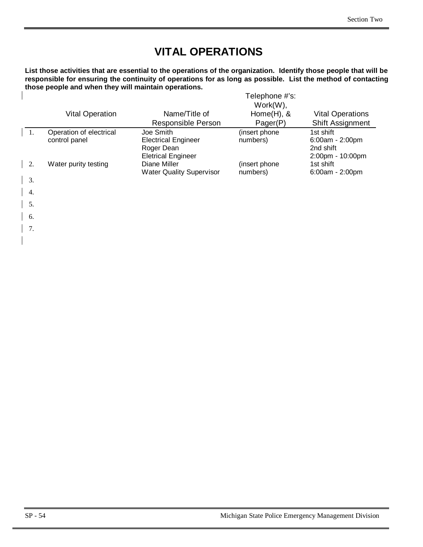# **VITAL OPERATIONS**

**List those activities that are essential to the operations of the organization. Identify those people that will be responsible for ensuring the continuity of operations for as long as possible. List the method of contacting those people and when they will maintain operations.** Telephone #'s:

|    |                                          |                                                                                    | elephone # s:<br>$Work(W)$ , |                                                                    |
|----|------------------------------------------|------------------------------------------------------------------------------------|------------------------------|--------------------------------------------------------------------|
|    | <b>Vital Operation</b>                   | Name/Title of<br><b>Responsible Person</b>                                         | Home $(H)$ , &<br>Pager(P)   | <b>Vital Operations</b><br><b>Shift Assignment</b>                 |
| 1. | Operation of electrical<br>control panel | Joe Smith<br><b>Electrical Engineer</b><br>Roger Dean<br><b>Eletrical Engineer</b> | (insert phone<br>numbers)    | 1st shift<br>$6:00am - 2:00pm$<br>2nd shift<br>$2:00$ pm - 10:00pm |
| 2. | Water purity testing                     | Diane Miller<br><b>Water Quality Supervisor</b>                                    | (insert phone<br>numbers)    | 1st shift<br>$6:00am - 2:00pm$                                     |
| 3. |                                          |                                                                                    |                              |                                                                    |
| 4. |                                          |                                                                                    |                              |                                                                    |

5.

 $\overline{1}$ 

- 6.
- | 7.
-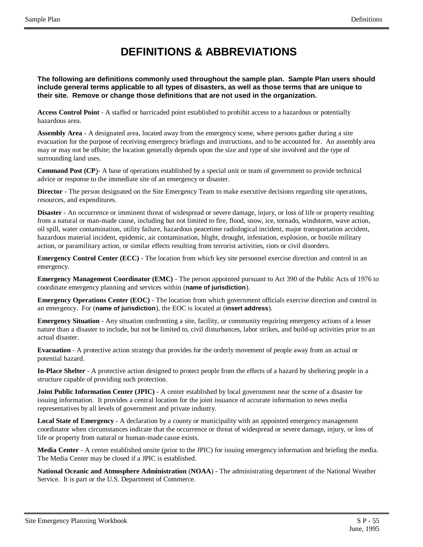# **DEFINITIONS & ABBREVIATIONS**

**The following are definitions commonly used throughout the sample plan. Sample Plan users should include general terms applicable to all types of disasters, as well as those terms that are unique to their site. Remove or change those definitions that are not used in the organization.**

**Access Control Point** - A staffed or barricaded point established to prohibit access to a hazardous or potentially hazardous area.

**Assembly Area** - A designated area, located away from the emergency scene, where persons gather during a site evacuation for the purpose of receiving emergency briefings and instructions, and to be accounted for. An assembly area may or may not be offsite; the location generally depends upon the size and type of site involved and the type of surrounding land uses.

**Command Post (CP**)- A base of operations established by a special unit or team of government to provide technical advice or response to the immediate site of an emergency or disaster.

**Director** - The person designated on the Site Emergency Team to make executive decisions regarding site operations, resources, and expenditures.

**Disaster** - An occurrence or imminent threat of widespread or severe damage, injury, or loss of life or property resulting from a natural or man-made cause, including but not limited to fire, flood, snow, ice, tornado, windstorm, wave action, oil spill, water contamination, utility failure, hazardous peacetime radiological incident, major transportation accident, hazardous material incident, epidemic, air contamination, blight, drought, infestation, explosion, or hostile military action, or paramilitary action, or similar effects resulting from terrorist activities, riots or civil disorders.

**Emergency Control Center (ECC)** - The location from which key site personnel exercise direction and control in an emergency.

**Emergency Management Coordinator (EMC)** - The person appointed pursuant to Act 390 of the Public Acts of 1976 to coordinate emergency planning and services within (**name of jurisdiction**).

**Emergency Operations Center (EOC)** - The location from which government officials exercise direction and control in an emergency. For (**name of jurisdiction**), the EOC is located at (**insert address**).

**Emergency Situation** - Any situation confronting a site, facility, or community requiring emergency actions of a lesser nature than a disaster to include, but not be limited to, civil disturbances, labor strikes, and build-up activities prior to an actual disaster.

**Evacuation** - A protective action strategy that provides for the orderly movement of people away from an actual or potential hazard.

**In-Place Shelter** - A protective action designed to protect people from the effects of a hazard by sheltering people in a structure capable of providing such protection.

**Joint Public Information Center (JPIC)** - A center established by local government near the scene of a disaster for issuing information. It provides a central location for the joint issuance of accurate information to news media representatives by all levels of government and private industry.

**Local State of Emergency** - A declaration by a county or municipality with an appointed emergency management coordinator when circumstances indicate that the occurrence or threat of widespread or severe damage, injury, or loss of life or property from natural or human-made cause exists.

**Media Center** - A center established onsite (prior to the JPIC) for issuing emergency information and briefing the media. The Media Center may be closed if a JPIC is established.

**National Oceanic and Atmosphere Administration** (**NOAA**) - The administrating department of the National Weather Service. It is part or the U.S. Department of Commerce.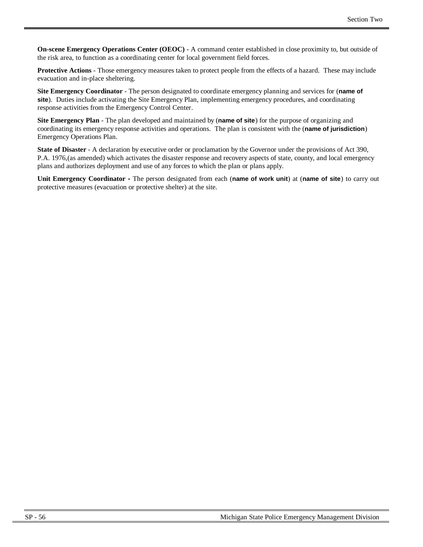**On-scene Emergency Operations Center (OEOC)** - A command center established in close proximity to, but outside of the risk area, to function as a coordinating center for local government field forces.

**Protective Actions** - Those emergency measures taken to protect people from the effects of a hazard. These may include evacuation and in-place sheltering.

**Site Emergency Coordinator** - The person designated to coordinate emergency planning and services for (**name of site**). Duties include activating the Site Emergency Plan, implementing emergency procedures, and coordinating response activities from the Emergency Control Center.

**Site Emergency Plan** - The plan developed and maintained by (**name of site**) for the purpose of organizing and coordinating its emergency response activities and operations. The plan is consistent with the (**name of jurisdiction**) Emergency Operations Plan.

**State of Disaster** - A declaration by executive order or proclamation by the Governor under the provisions of Act 390, P.A. 1976,(as amended) which activates the disaster response and recovery aspects of state, county, and local emergency plans and authorizes deployment and use of any forces to which the plan or plans apply.

**Unit Emergency Coordinator -** The person designated from each (**name of work unit**) at (**name of site**) to carry out protective measures (evacuation or protective shelter) at the site.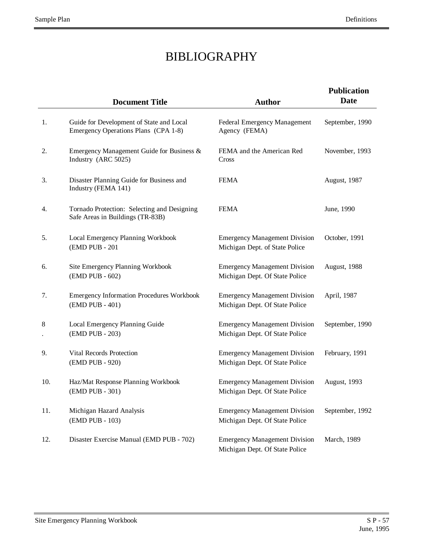# BIBLIOGRAPHY

|     | <b>Document Title</b>                                                            | <b>Author</b>                                                          | <b>Publication</b><br><b>Date</b> |
|-----|----------------------------------------------------------------------------------|------------------------------------------------------------------------|-----------------------------------|
| 1.  | Guide for Development of State and Local<br>Emergency Operations Plans (CPA 1-8) | Federal Emergency Management<br>Agency (FEMA)                          | September, 1990                   |
| 2.  | Emergency Management Guide for Business &<br>Industry (ARC 5025)                 | FEMA and the American Red<br>Cross                                     | November, 1993                    |
| 3.  | Disaster Planning Guide for Business and<br>Industry (FEMA 141)                  | <b>FEMA</b>                                                            | August, 1987                      |
| 4.  | Tornado Protection: Selecting and Designing<br>Safe Areas in Buildings (TR-83B)  | <b>FEMA</b>                                                            | June, 1990                        |
| 5.  | Local Emergency Planning Workbook<br>(EMD PUB - 201                              | <b>Emergency Management Division</b><br>Michigan Dept. of State Police | October, 1991                     |
| 6.  | Site Emergency Planning Workbook<br>(EMD PUB - 602)                              | <b>Emergency Management Division</b><br>Michigan Dept. Of State Police | August, 1988                      |
| 7.  | <b>Emergency Information Procedures Workbook</b><br>(EMD PUB - 401)              | <b>Emergency Management Division</b><br>Michigan Dept. Of State Police | April, 1987                       |
| 8   | Local Emergency Planning Guide<br>(EMD PUB - 203)                                | <b>Emergency Management Division</b><br>Michigan Dept. Of State Police | September, 1990                   |
| 9.  | Vital Records Protection<br>(EMD PUB - 920)                                      | <b>Emergency Management Division</b><br>Michigan Dept. Of State Police | February, 1991                    |
| 10. | Haz/Mat Response Planning Workbook<br>(EMD PUB - 301)                            | <b>Emergency Management Division</b><br>Michigan Dept. Of State Police | August, 1993                      |
| 11. | Michigan Hazard Analysis<br>(EMD PUB - 103)                                      | <b>Emergency Management Division</b><br>Michigan Dept. Of State Police | September, 1992                   |
| 12. | Disaster Exercise Manual (EMD PUB - 702)                                         | <b>Emergency Management Division</b><br>Michigan Dept. Of State Police | March, 1989                       |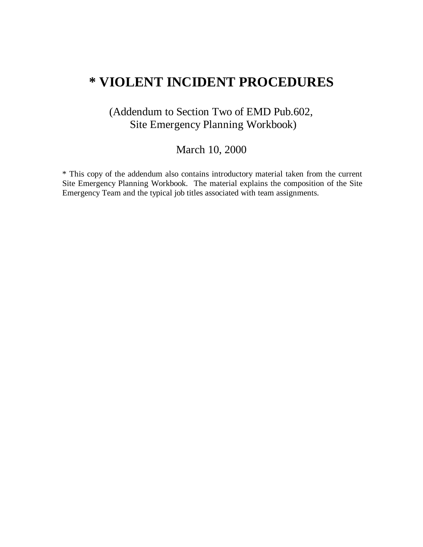# **\* VIOLENT INCIDENT PROCEDURES**

# (Addendum to Section Two of EMD Pub.602, Site Emergency Planning Workbook)

# March 10, 2000

\* This copy of the addendum also contains introductory material taken from the current Site Emergency Planning Workbook. The material explains the composition of the Site Emergency Team and the typical job titles associated with team assignments.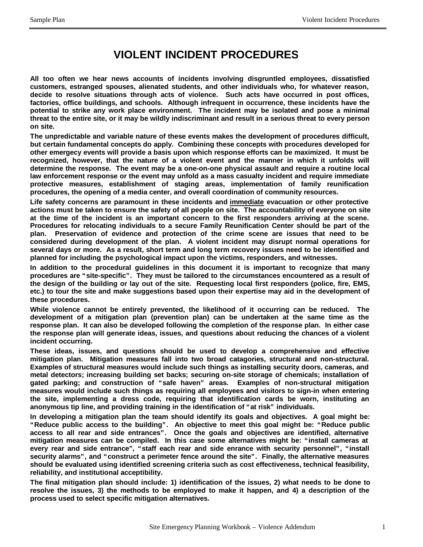# **VIOLENT INCIDENT PROCEDURES**

**All too often we hear news accounts of incidents involving disgruntled employees, dissatisfied customers, estranged spouses, alienated students, and other individuals who, for whatever reason, decide to resolve situations through acts of violence. Such acts have occurred in post offices, factories, office buildings, and schools. Although infrequent in occurrence, these incidents have the potential to strike any work place environment. The incident may be isolated and pose a minimal threat to the entire site, or it may be wildly indiscriminant and result in a serious threat to every person on site.**

**The unpredictable and variable nature of these events makes the development of procedures difficult, but certain fundamental concepts do apply. Combining these concepts with procedures developed for other emergecy events will provide a basis upon which response efforts can be maximized. It must be recognized, however, that the nature of a violent event and the manner in which it unfolds will determine the response. The event may be a one-on-one physical assault and require a routine local law enforcement response or the event may unfold as a mass casualty incident and require immediate protective measures, establishment of staging areas, implementation of family reunification procedures, the opening of a media center, and overall coordination of community resources.**

**Life safety concerns are paramount in these incidents and immediate evacuation or other protective actions must be taken to ensure the safety of all people on site. The accountability of everyone on site at the time of the incident is an important concern to the first responders arriving at the scene. Procedures for relocating individuals to a secure Family Reunification Center should be part of the plan. Preservation of evidence and protection of the crime scene are issues that need to be considered during development of the plan. A violent incident may disrupt normal operations for several days or more. As a result, short term and long term recovery issues need to be identified and planned for including the psychological impact upon the victims, responders, and witnesses.**

**In addition to the procedural guidelines in this document it is important to recognize that many procedures are "site-specific". They must be tailored to the circumstances encountered as a result of the design of the building or lay out of the site. Requesting local first responders (police, fire, EMS, etc.) to tour the site and make suggestions based upon their expertise may aid in the development of these procedures.**

**While violence cannot be entirely prevented, the likelihood of it occurring can be reduced. The development of a mitigation plan (prevention plan) can be undertaken at the same time as the response plan. It can also be developed following the completion of the response plan. In either case the response plan will generate ideas, issues, and questions about reducing the chances of a violent incident occurring.**

**These ideas, issues, and questions should be used to develop a comprehensive and effective mitigation plan. Mitigation measures fall into two broad catagories, structural and non-structural. Examples of structural measures would include such things as installing security doors, cameras, and metal detectors; increasing building set backs; securing on-site storage of chemicals; installation of gated parking; and construction of "safe haven" areas. Examples of non-structural mitigation measures would include such things as requiring all employees and visitors to sign-in when entering the site, implementing a dress code, requiring that identification cards be worn, instituting an anonymous tip line, and providing training in the identification of "at risk" individuals.**

**In developing a mitigation plan the team should identify its goals and objectives. A goal might be: "Reduce public access to the building". An objective to meet this goal might be: "Reduce public access to all rear and side entrances". Once the goals and objectives are identified, alternative mitigation measures can be compiled. In this case some alternatives might be: "install cameras at every rear and side entrance", "staff each rear and side enrance with security personnel", "install security alarms", and "construct a perimeter fence around the site". Finally, the alternative measures should be evaluated using identified screening criteria such as cost effectiveness, technical feasibility, reliability, and institutional acceptibility.**

**The final mitigation plan should include: 1) identification of the issues, 2) what needs to be done to resolve the issues, 3) the methods to be employed to make it happen, and 4) a description of the process used to select specific mitigation alternatives.**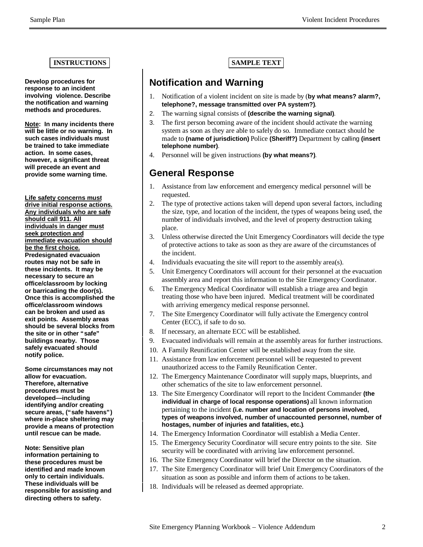#### **INSTRUCTIONS SAMPLE TEXT**

**Develop procedures for response to an incident involving violence. Describe the notification and warning methods and procedures.**

**Note: In many incidents there will be little or no warning. In such cases individuals must be trained to take immediate action. In some cases, however, a significant threat will precede an event and provide some warning time.**

**Life safety concerns must drive initial response actions. Any individuals who are safe should call 911. All individuals in danger must seek protection and immediate evacuation should be the first choice. Predesignated evacuaion routes may not be safe in these incidents. It may be necessary to secure an office/classroom by locking or barricading the door(s). Once this is accomplished the office/classroom windows can be broken and used as exit points. Assembly areas should be several blocks from the site or in other "safe" buildings nearby. Those safely evacuated should notify police.**

**Some circumstances may not allow for evacuation. Therefore, alternative procedures must be developed— including identifying and/or creating secure areas, ("safe havens") where in-place sheltering may provide a means of protection until rescue can be made.**

**Note: Sensitive plan information pertaining to these procedures must be identified and made known only to certain individuals. These individuals will be responsible for assisting and directing others to safety.**

### **Notification and Warning**

- 1. Notification of a violent incident on site is made by (**by what means? alarm?, telephone?, message transmitted over PA system?)**.
- 2. The warning signal consists of **(describe the warning signal)**.
- 3. The first person becoming aware of the incident should activate the warning system as soon as they are able to safely do so. Immediate contact should be made to **(name of jurisdiction)** Police **(Sheriff?)** Department by calling **(insert telephone number)**.
- 4. Personnel will be given instructions **(by what means?)**.

### **General Response**

- 1. Assistance from law enforcement and emergency medical personnel will be requested.
- 2. The type of protective actions taken will depend upon several factors, including the size, type, and location of the incident, the types of weapons being used, the number of individuals involved, and the level of property destruction taking place.
- 3. Unless otherwise directed the Unit Emergency Coordinators will decide the type of protective actions to take as soon as they are aware of the circumstances of the incident.
- 4. Individuals evacuating the site will report to the assembly area(s).
- 5. Unit Emergency Coordinators will account for their personnel at the evacuation assembly area and report this information to the Site Emergency Coordinator.
- 6. The Emergency Medical Coordinator will establish a triage area and begin treating those who have been injured. Medical treatment will be coordinated with arriving emergency medical response personnel.
- 7. The Site Emergency Coordinator will fully activate the Emergency control Center (ECC), if safe to do so.
- 8. If necessary, an alternate ECC will be established.
- 9. Evacuated individuals will remain at the assembly areas for further instructions.
- 10. A Family Reunification Center will be established away from the site.
- 11. Assistance from law enforcement personnel will be requested to prevent unauthorized access to the Family Reunification Center.
- 12. The Emergency Maintenance Coordinator will supply maps, blueprints, and other schematics of the site to law enforcement personnel.
- 13. The Site Emergency Coordinator will report to the Incident Commander **(the individual in charge of local response operations)** all known information pertaining to the incident **(i.e. number and location of persons involved, types of weapons involved, number of unaccounted personnel, number of hostages, number of injuries and fatalities, etc.)**.
- 14. The Emergency Information Coordinator will establish a Media Center.
- 15. The Emergency Security Coordinator will secure entry points to the site. Site security will be coordinated with arriving law enforcement personnel.
- 16. The Site Emergency Coordinator will brief the Director on the situation.
- 17. The Site Emergency Coordinator will brief Unit Emergency Coordinators of the situation as soon as possible and inform them of actions to be taken.
- 18. Individuals will be released as deemed appropriate.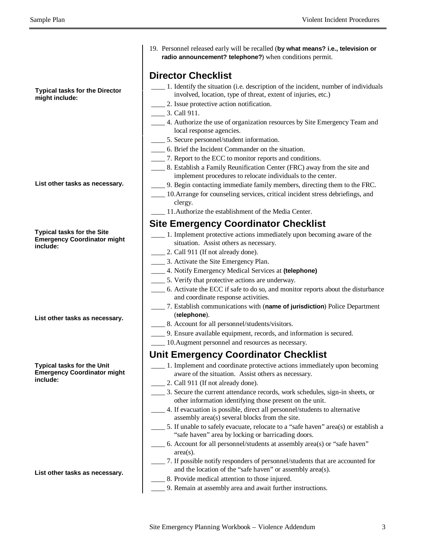**Typical tasks for the Director might include:**

- **List other tasks as necessary.**
- **Typical tasks for the Site Emergency Coordinator might include:**

**List other tasks as necessary.**

#### **Typical tasks for the Unit Emergency Coordinator might include:**

**List other tasks as necessary.**

19. Personnel released early will be recalled (**by what means? i.e., television or radio announcement? telephone?**) when conditions permit.

#### **Director Checklist**

- \_\_\_\_ 1. Identify the situation (i.e. description of the incident, number of individuals involved, location, type of threat, extent of injuries, etc.)
- \_\_\_\_ 2. Issue protective action notification.
- \_\_\_\_ 3. Call 911.
- \_\_\_\_ 4. Authorize the use of organization resources by Site Emergency Team and local response agencies.
- \_\_\_\_ 5. Secure personnel/student information.
- \_\_\_\_ 6. Brief the Incident Commander on the situation.
- \_\_\_\_ 7. Report to the ECC to monitor reports and conditions.
- \_\_\_\_ 8. Establish a Family Reunification Center (FRC) away from the site and implement procedures to relocate individuals to the center.
- \_\_\_\_ 9. Begin contacting immediate family members, directing them to the FRC.
- \_\_\_\_ 10.Arrange for counseling services, critical incident stress debriefings, and clergy.
- \_\_\_\_ 11.Authorize the establishment of the Media Center.

### **Site Emergency Coordinator Checklist**

- \_\_\_\_ 1. Implement protective actions immediately upon becoming aware of the situation. Assist others as necessary.
- 2. Call 911 (If not already done).
- \_\_\_\_ 3. Activate the Site Emergency Plan.
- \_\_\_\_ 4. Notify Emergency Medical Services at **(telephone)**
- \_\_\_\_ 5. Verify that protective actions are underway.
- \_\_\_\_ 6. Activate the ECC if safe to do so, and monitor reports about the disturbance and coordinate response activities.
- \_\_\_\_ 7. Establish communications with (**name of jurisdiction**) Police Department (**telephone**).
- \_\_\_\_ 8. Account for all personnel/students/visitors.
- \_\_\_\_ 9. Ensure available equipment, records, and information is secured.
- \_\_\_\_ 10.Augment personnel and resources as necessary.

#### **Unit Emergency Coordinator Checklist**

- \_\_\_\_ 1. Implement and coordinate protective actions immediately upon becoming aware of the situation. Assist others as necessary.
- 2. Call 911 (If not already done).
- \_\_\_\_ 3. Secure the current attendance records, work schedules, sign-in sheets, or other information identifying those present on the unit.
- \_\_\_\_ 4. If evacuation is possible, direct all personnel/students to alternative assembly area(s) several blocks from the site.
- 5. If unable to safely evacuate, relocate to a "safe haven" area(s) or establish a "safe haven" area by locking or barricading doors.
- \_\_\_\_ 6. Account for all personnel/students at assembly area(s) or "safe haven" area(s).
- \_\_\_\_ 7. If possible notify responders of personnel/students that are accounted for and the location of the "safe haven" or assembly area(s).
- \_\_\_\_ 8. Provide medical attention to those injured.
- \_\_\_\_ 9. Remain at assembly area and await further instructions.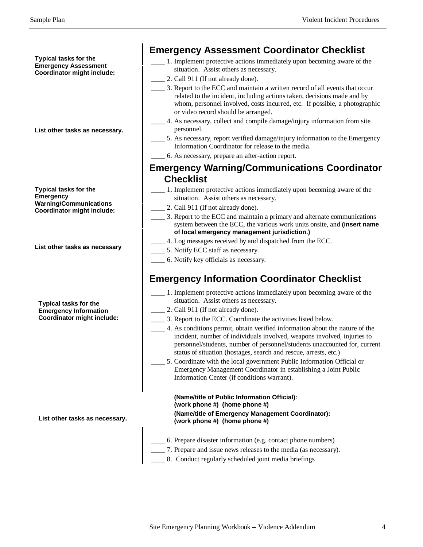**Typical tasks for the Emergency Assessment Coordinator might include:**

#### **List other tasks as necessary.**

**Typical tasks for the Emergency Warning/Communications Coordinator might include:**

**List other tasks as necessary**

**Typical tasks for the Emergency Information Coordinator might include:**

**List other tasks as necessary.**

#### **Emergency Assessment Coordinator Checklist**

- \_\_\_\_ 1. Implement protective actions immediately upon becoming aware of the situation. Assist others as necessary.
- 2. Call 911 (If not already done).
	- \_\_\_\_ 3. Report to the ECC and maintain a written record of all events that occur related to the incident, including actions taken, decisions made and by whom, personnel involved, costs incurred, etc. If possible, a photographic or video record should be arranged.
- \_\_\_\_ 4. As necessary, collect and compile damage/injury information from site personnel.
- \_\_\_\_ 5. As necessary, report verified damage/injury information to the Emergency Information Coordinator for release to the media.
- \_\_\_\_ 6. As necessary, prepare an after-action report.

#### **Emergency Warning/Communications Coordinator Checklist**

- \_\_\_\_ 1. Implement protective actions immediately upon becoming aware of the situation. Assist others as necessary.
- 2. Call 911 (If not already done).
- \_\_\_\_ 3. Report to the ECC and maintain a primary and alternate communications system between the ECC, the various work units onsite, and **(insert name of local emergency management jurisdiction.)**
- \_\_\_\_ 4. Log messages received by and dispatched from the ECC.
- \_\_\_\_ 5. Notify ECC staff as necessary.
- \_\_\_\_ 6. Notify key officials as necessary.

# **Emergency Information Coordinator Checklist**

- \_\_\_\_ 1. Implement protective actions immediately upon becoming aware of the situation. Assist others as necessary.
- \_\_\_\_ 2. Call 911 (If not already done).
- \_\_\_\_ 3. Report to the ECC. Coordinate the activities listed below.
- \_\_\_\_ 4. As conditions permit, obtain verified information about the nature of the incident, number of individuals involved, weapons involved, injuries to personnel/students, number of personnel/students unaccounted for, current status of situation (hostages, search and rescue, arrests, etc.)
- 5. Coordinate with the local government Public Information Official or Emergency Management Coordinator in establishing a Joint Public Information Center (if conditions warrant).

**(Name/title of Public Information Official): (work phone #) (home phone #) (Name/title of Emergency Management Coordinator): (work phone #) (home phone #)**

- \_\_\_\_ 6. Prepare disaster information (e.g. contact phone numbers)
	- \_\_\_\_ 7. Prepare and issue news releases to the media (as necessary).
- 8. Conduct regularly scheduled joint media briefings